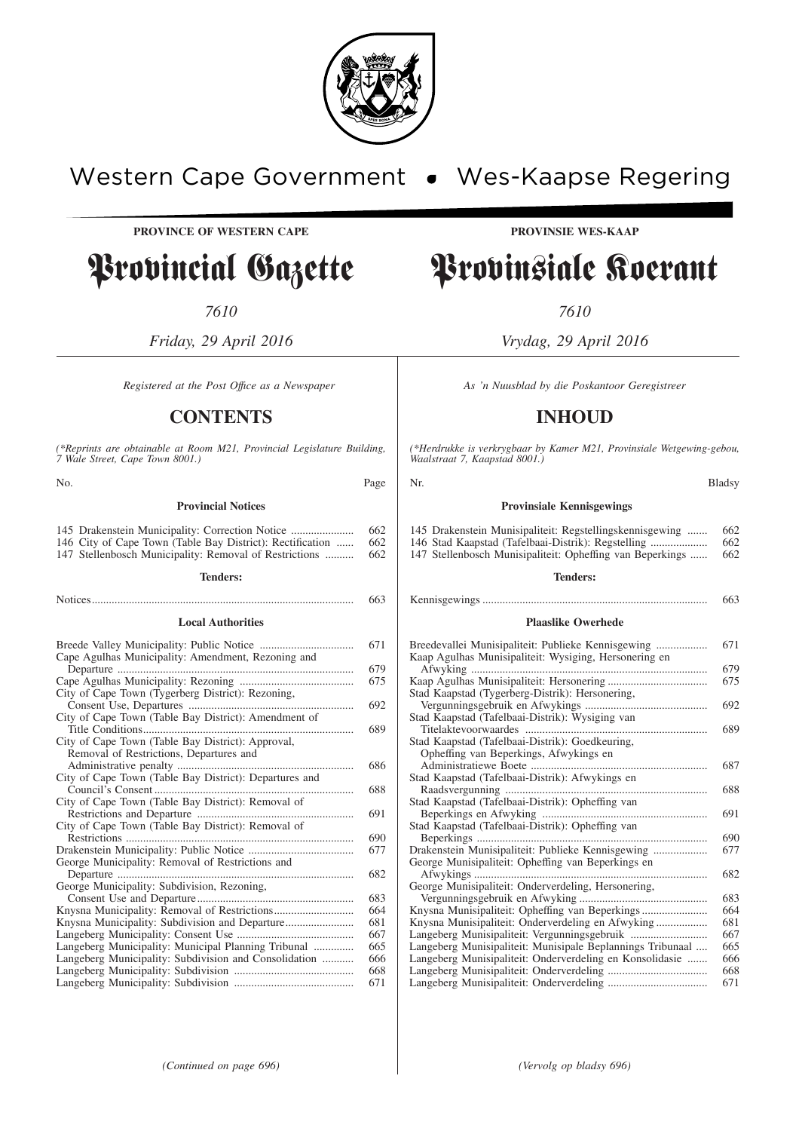

## Western Cape Government . Wes-Kaapse Regering

**PROVINCE OF WESTERN CAPE PROVINSIE WES-KAAP**

## Provincial Gazette Provinsiale Koerant

*7610 7610*

*Friday, 29 April 2016 Vrydag, 29 April 2016*

### **CONTENTS INHOUD**

*(\*Reprints are obtainable at Room M21, Provincial Legislature Building, 7 Wale Street, Cape Town 8001.)*

No. Bladsy Rage Nr. 2008 and the Bladsy Region of the Bladsy Region of the Bladsy **Provincial Notices**

| 145 Drakenstein Municipality: Correction Notice           | 662 |
|-----------------------------------------------------------|-----|
| 146 City of Cape Town (Table Bay District): Rectification | 662 |
| 147 Stellenbosch Municipality: Removal of Restrictions    | 662 |

#### **Tenders:**

#### Notices............................................................................................ 663

#### **Local Authorities**

|                                                        | 671 |
|--------------------------------------------------------|-----|
| Cape Agulhas Municipality: Amendment, Rezoning and     |     |
|                                                        | 679 |
|                                                        | 675 |
| City of Cape Town (Tygerberg District): Rezoning,      |     |
|                                                        | 692 |
| City of Cape Town (Table Bay District): Amendment of   |     |
|                                                        | 689 |
| City of Cape Town (Table Bay District): Approval,      |     |
| Removal of Restrictions, Departures and                |     |
|                                                        | 686 |
| City of Cape Town (Table Bay District): Departures and |     |
|                                                        | 688 |
| City of Cape Town (Table Bay District): Removal of     |     |
|                                                        | 691 |
| City of Cape Town (Table Bay District): Removal of     |     |
| Restrictions                                           | 690 |
|                                                        | 677 |
| George Municipality: Removal of Restrictions and       |     |
| Departure                                              | 682 |
| George Municipality: Subdivision, Rezoning,            |     |
|                                                        | 683 |
|                                                        | 664 |
|                                                        | 681 |
|                                                        | 667 |
| Langeberg Municipality: Municipal Planning Tribunal    | 665 |
|                                                        | 666 |
| Langeberg Municipality: Subdivision and Consolidation  |     |
|                                                        | 668 |
|                                                        | 671 |

*Registered at the Post Office as a Newspaper* As 'n Nuusblad by die Poskantoor Geregistreer

*(\*Herdrukke is verkrygbaar by Kamer M21, Provinsiale Wetgewing-gebou, Waalstraat 7, Kaapstad 8001.)*

#### **Provinsiale Kennisgewings**

| 145 Drakenstein Munisipaliteit: Regstellingskennisgewing  | 662 |
|-----------------------------------------------------------|-----|
| 146 Stad Kaapstad (Tafelbaai-Distrik): Regstelling        | 662 |
| 147 Stellenbosch Munisipaliteit: Opheffing van Beperkings | 662 |

#### **Tenders:**

| 663 |
|-----|
|     |

#### **Plaaslike Owerhede**

| Breedevallei Munisipaliteit: Publieke Kennisgewing         | 671 |
|------------------------------------------------------------|-----|
| Kaap Agulhas Munisipaliteit: Wysiging, Hersonering en      |     |
|                                                            | 679 |
|                                                            | 675 |
| Stad Kaapstad (Tygerberg-Distrik): Hersonering,            |     |
|                                                            | 692 |
| Stad Kaapstad (Tafelbaai-Distrik): Wysiging van            |     |
|                                                            | 689 |
| Stad Kaapstad (Tafelbaai-Distrik): Goedkeuring,            |     |
| Opheffing van Beperkings, Afwykings en                     |     |
|                                                            | 687 |
| Stad Kaapstad (Tafelbaai-Distrik): Afwykings en            |     |
|                                                            | 688 |
| Stad Kaapstad (Tafelbaai-Distrik): Opheffing van           |     |
|                                                            | 691 |
| Stad Kaapstad (Tafelbaai-Distrik): Opheffing van           |     |
| Beperkings                                                 | 690 |
| Drakenstein Munisipaliteit: Publieke Kennisgewing          | 677 |
| George Munisipaliteit: Opheffing van Beperkings en         |     |
|                                                            | 682 |
| George Munisipaliteit: Onderverdeling, Hersonering,        |     |
|                                                            | 683 |
| Knysna Munisipaliteit: Opheffing van Beperkings            | 664 |
| Knysna Munisipaliteit: Onderverdeling en Afwyking          | 681 |
|                                                            | 667 |
| Langeberg Munisipaliteit: Munisipale Beplannings Tribunaal | 665 |
| Langeberg Munisipaliteit: Onderverdeling en Konsolidasie   | 666 |
|                                                            | 668 |
|                                                            | 671 |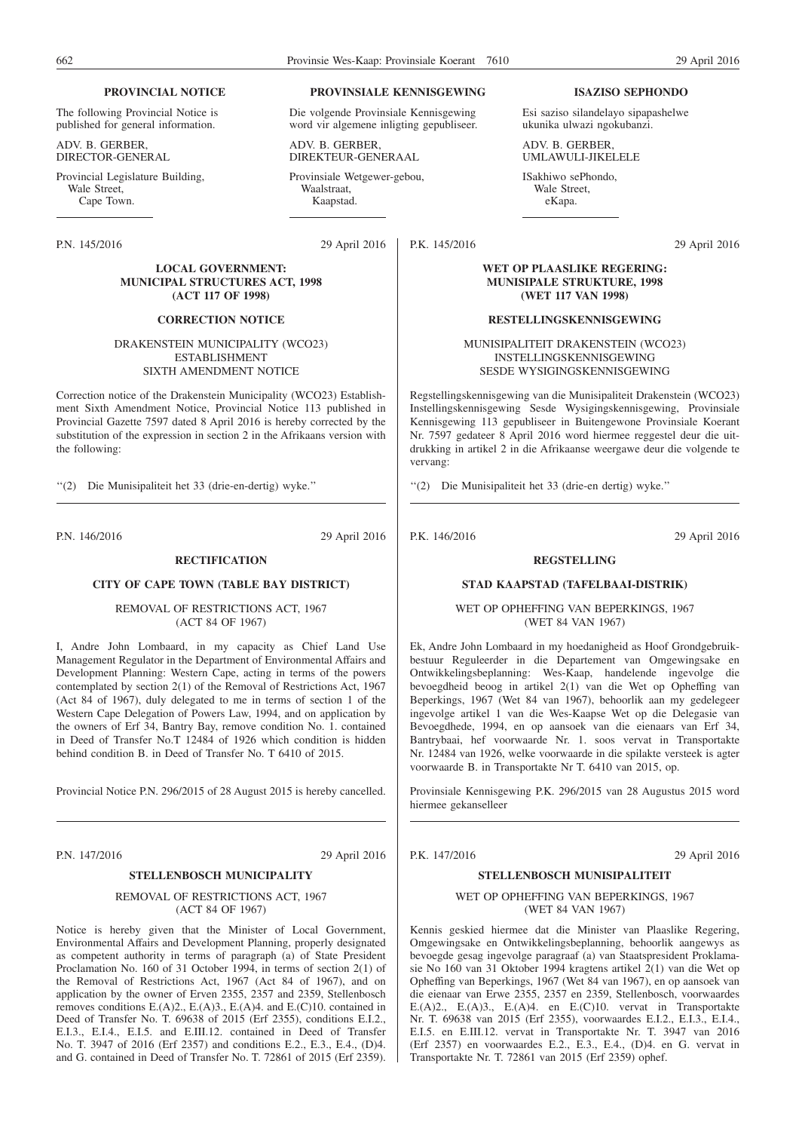#### **PROVINCIAL NOTICE**

The following Provincial Notice is published for general information.

ADV. B. GERBER, DIRECTOR-GENERAL

Provincial Legislature Building, Wale Street. Cape Town.

P.N. 145/2016 29 April 2016

#### **LOCAL GOVERNMENT: MUNICIPAL STRUCTURES ACT, 1998 (ACT 117 OF 1998)**

#### **CORRECTION NOTICE**

DRAKENSTEIN MUNICIPALITY (WCO23) ESTABLISHMENT SIXTH AMENDMENT NOTICE

Correction notice of the Drakenstein Municipality (WCO23) Establishment Sixth Amendment Notice, Provincial Notice 113 published in Provincial Gazette 7597 dated 8 April 2016 is hereby corrected by the substitution of the expression in section 2 in the Afrikaans version with the following:

''(2) Die Munisipaliteit het 33 (drie-en-dertig) wyke.''

P.N. 146/2016 29 April 2016

#### **RECTIFICATION**

#### **CITY OF CAPE TOWN (TABLE BAY DISTRICT)**

REMOVAL OF RESTRICTIONS ACT, 1967 (ACT 84 OF 1967)

I, Andre John Lombaard, in my capacity as Chief Land Use Management Regulator in the Department of Environmental Affairs and Development Planning: Western Cape, acting in terms of the powers contemplated by section 2(1) of the Removal of Restrictions Act, 1967 (Act 84 of 1967), duly delegated to me in terms of section 1 of the Western Cape Delegation of Powers Law, 1994, and on application by the owners of Erf 34, Bantry Bay, remove condition No. 1. contained in Deed of Transfer No.T 12484 of 1926 which condition is hidden behind condition B. in Deed of Transfer No. T 6410 of 2015.

Provincial Notice P.N. 296/2015 of 28 August 2015 is hereby cancelled.

P.N. 147/2016 29 April 2016

#### **STELLENBOSCH MUNICIPALITY**

REMOVAL OF RESTRICTIONS ACT, 1967 (ACT 84 OF 1967)

Notice is hereby given that the Minister of Local Government, Environmental Affairs and Development Planning, properly designated as competent authority in terms of paragraph (a) of State President Proclamation No. 160 of 31 October 1994, in terms of section 2(1) of the Removal of Restrictions Act, 1967 (Act 84 of 1967), and on application by the owner of Erven 2355, 2357 and 2359, Stellenbosch removes conditions E.(A)2., E.(A)3., E.(A)4. and E.(C)10. contained in Deed of Transfer No. T. 69638 of 2015 (Erf 2355), conditions E.I.2., E.I.3., E.I.4., E.I.5. and E.III.12. contained in Deed of Transfer No. T. 3947 of 2016 (Erf 2357) and conditions E.2., E.3., E.4., (D)4. and G. contained in Deed of Transfer No. T. 72861 of 2015 (Erf 2359).

#### **PROVINSIALE KENNISGEWING**

Die volgende Provinsiale Kennisgewing word vir algemene inligting gepubliseer.

ADV. B. GERBER, DIREKTEUR-GENERAAL

Provinsiale Wetgewer-gebou, Waalstraat, Kaapstad.

P.K. 145/2016 29 April 2016

#### **WET OP PLAASLIKE REGERING: MUNISIPALE STRUKTURE, 1998 (WET 117 VAN 1998)**

**ISAZISO SEPHONDO**

Esi saziso silandelayo sipapashelwe ukunika ulwazi ngokubanzi.

#### **RESTELLINGSKENNISGEWING**

ADV. B. GERBER, UMLAWULI-JIKELELE ISakhiwo sePhondo, Wale Street, eKapa.

MUNISIPALITEIT DRAKENSTEIN (WCO23) INSTELLINGSKENNISGEWING SESDE WYSIGINGSKENNISGEWING

Regstellingskennisgewing van die Munisipaliteit Drakenstein (WCO23) Instellingskennisgewing Sesde Wysigingskennisgewing, Provinsiale Kennisgewing 113 gepubliseer in Buitengewone Provinsiale Koerant Nr. 7597 gedateer 8 April 2016 word hiermee reggestel deur die uitdrukking in artikel 2 in die Afrikaanse weergawe deur die volgende te vervang:

''(2) Die Munisipaliteit het 33 (drie-en dertig) wyke.''

#### **REGSTELLING**

#### **STAD KAAPSTAD (TAFELBAAI-DISTRIK)**

WET OP OPHEFFING VAN BEPERKINGS, 1967 (WET 84 VAN 1967)

Ek, Andre John Lombaard in my hoedanigheid as Hoof Grondgebruikbestuur Reguleerder in die Departement van Omgewingsake en Ontwikkelingsbeplanning: Wes-Kaap, handelende ingevolge die bevoegdheid beoog in artikel 2(1) van die Wet op Opheffing van Beperkings, 1967 (Wet 84 van 1967), behoorlik aan my gedelegeer ingevolge artikel 1 van die Wes-Kaapse Wet op die Delegasie van Bevoegdhede, 1994, en op aansoek van die eienaars van Erf 34, Bantrybaai, hef voorwaarde Nr. 1. soos vervat in Transportakte Nr. 12484 van 1926, welke voorwaarde in die spilakte versteek is agter voorwaarde B. in Transportakte Nr T. 6410 van 2015, op.

Provinsiale Kennisgewing P.K. 296/2015 van 28 Augustus 2015 word hiermee gekanselleer

P.K. 147/2016 29 April 2016

#### **STELLENBOSCH MUNISIPALITEIT**

WET OP OPHEFFING VAN BEPERKINGS, 1967 (WET 84 VAN 1967)

Kennis geskied hiermee dat die Minister van Plaaslike Regering, Omgewingsake en Ontwikkelingsbeplanning, behoorlik aangewys as bevoegde gesag ingevolge paragraaf (a) van Staatspresident Proklamasie No 160 van 31 Oktober 1994 kragtens artikel 2(1) van die Wet op Opheffing van Beperkings, 1967 (Wet 84 van 1967), en op aansoek van die eienaar van Erwe 2355, 2357 en 2359, Stellenbosch, voorwaardes E.(A)2., E.(A)3., E.(A)4. en E.(C)10. vervat in Transportakte Nr. T. 69638 van 2015 (Erf 2355), voorwaardes E.I.2., E.I.3., E.I.4., E.I.5. en E.III.12. vervat in Transportakte Nr. T. 3947 van 2016 (Erf 2357) en voorwaardes E.2., E.3., E.4., (D)4. en G. vervat in Transportakte Nr. T. 72861 van 2015 (Erf 2359) ophef.

P.K. 146/2016 29 April 2016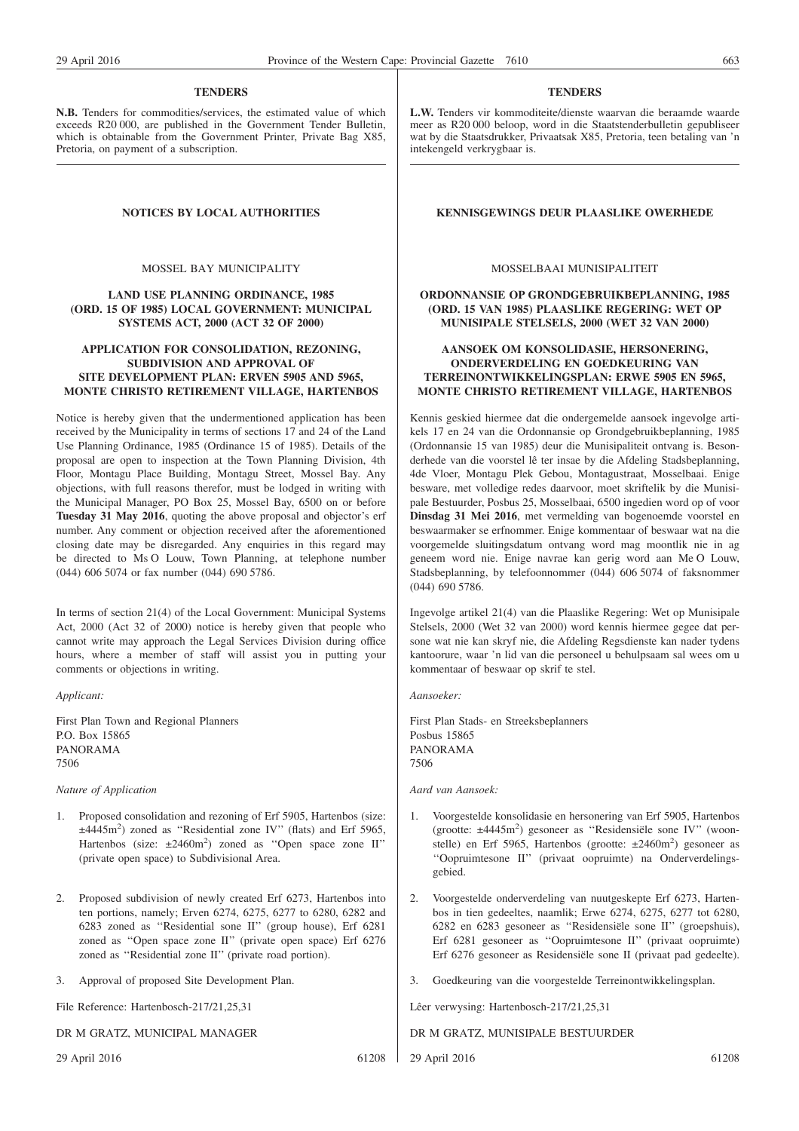#### **TENDERS**

**N.B.** Tenders for commodities/services, the estimated value of which exceeds R20 000, are published in the Government Tender Bulletin, which is obtainable from the Government Printer, Private Bag X85, Pretoria, on payment of a subscription.

MOSSEL BAY MUNICIPALITY

#### **LAND USE PLANNING ORDINANCE, 1985 (ORD. 15 OF 1985) LOCAL GOVERNMENT: MUNICIPAL SYSTEMS ACT, 2000 (ACT 32 OF 2000)**

#### **APPLICATION FOR CONSOLIDATION, REZONING, SUBDIVISION AND APPROVAL OF SITE DEVELOPMENT PLAN: ERVEN 5905 AND 5965, MONTE CHRISTO RETIREMENT VILLAGE, HARTENBOS**

Notice is hereby given that the undermentioned application has been received by the Municipality in terms of sections 17 and 24 of the Land Use Planning Ordinance, 1985 (Ordinance 15 of 1985). Details of the proposal are open to inspection at the Town Planning Division, 4th Floor, Montagu Place Building, Montagu Street, Mossel Bay. Any objections, with full reasons therefor, must be lodged in writing with the Municipal Manager, PO Box 25, Mossel Bay, 6500 on or before **Tuesday 31 May 2016**, quoting the above proposal and objector's erf number. Any comment or objection received after the aforementioned closing date may be disregarded. Any enquiries in this regard may be directed to Ms O Louw, Town Planning, at telephone number (044) 606 5074 or fax number (044) 690 5786.

In terms of section 21(4) of the Local Government: Municipal Systems Act, 2000 (Act 32 of 2000) notice is hereby given that people who cannot write may approach the Legal Services Division during office hours, where a member of staff will assist you in putting your comments or objections in writing.

*Applicant:*

First Plan Town and Regional Planners P.O. Box 15865 PANORAMA 7506

*Nature of Application*

- 1. Proposed consolidation and rezoning of Erf 5905, Hartenbos (size:  $\pm$ 4445m<sup>2</sup>) zoned as "Residential zone IV" (flats) and Erf 5965, Hartenbos (size:  $\pm 2460 \text{m}^2$ ) zoned as "Open space zone II" (private open space) to Subdivisional Area.
- 2. Proposed subdivision of newly created Erf 6273, Hartenbos into ten portions, namely; Erven 6274, 6275, 6277 to 6280, 6282 and 6283 zoned as ''Residential sone II'' (group house), Erf 6281 zoned as ''Open space zone II'' (private open space) Erf 6276 zoned as ''Residential zone II'' (private road portion).
- 3. Approval of proposed Site Development Plan.

File Reference: Hartenbosch-217/21,25,31

DR M GRATZ, MUNICIPAL MANAGER

29 April 2016 61208

#### **TENDERS**

**L.W.** Tenders vir kommoditeite/dienste waarvan die beraamde waarde meer as R20 000 beloop, word in die Staatstenderbulletin gepubliseer wat by die Staatsdrukker, Privaatsak X85, Pretoria, teen betaling van 'n intekengeld verkrygbaar is.

#### **NOTICES BY LOCAL AUTHORITIES EXERCISE ALSO KENNISGEWINGS DEUR PLAASLIKE OWERHEDE**

#### MOSSELBAAI MUNISIPALITEIT

#### **ORDONNANSIE OP GRONDGEBRUIKBEPLANNING, 1985 (ORD. 15 VAN 1985) PLAASLIKE REGERING: WET OP MUNISIPALE STELSELS, 2000 (WET 32 VAN 2000)**

#### **AANSOEK OM KONSOLIDASIE, HERSONERING, ONDERVERDELING EN GOEDKEURING VAN TERREINONTWIKKELINGSPLAN: ERWE 5905 EN 5965, MONTE CHRISTO RETIREMENT VILLAGE, HARTENBOS**

Kennis geskied hiermee dat die ondergemelde aansoek ingevolge artikels 17 en 24 van die Ordonnansie op Grondgebruikbeplanning, 1985 (Ordonnansie 15 van 1985) deur die Munisipaliteit ontvang is. Besonderhede van die voorstel lê ter insae by die Afdeling Stadsbeplanning, 4de Vloer, Montagu Plek Gebou, Montagustraat, Mosselbaai. Enige besware, met volledige redes daarvoor, moet skriftelik by die Munisipale Bestuurder, Posbus 25, Mosselbaai, 6500 ingedien word op of voor **Dinsdag 31 Mei 2016**, met vermelding van bogenoemde voorstel en beswaarmaker se erfnommer. Enige kommentaar of beswaar wat na die voorgemelde sluitingsdatum ontvang word mag moontlik nie in ag geneem word nie. Enige navrae kan gerig word aan Me O Louw, Stadsbeplanning, by telefoonnommer (044) 606 5074 of faksnommer (044) 690 5786.

Ingevolge artikel 21(4) van die Plaaslike Regering: Wet op Munisipale Stelsels, 2000 (Wet 32 van 2000) word kennis hiermee gegee dat persone wat nie kan skryf nie, die Afdeling Regsdienste kan nader tydens kantoorure, waar 'n lid van die personeel u behulpsaam sal wees om u kommentaar of beswaar op skrif te stel.

*Aansoeker:*

First Plan Stads- en Streeksbeplanners Posbus 15865 PANORAMA 7506

*Aard van Aansoek:*

- 1. Voorgestelde konsolidasie en hersonering van Erf 5905, Hartenbos (grootte: ±4445m<sup>2</sup>) gesoneer as "Residensiële sone IV" (woonstelle) en Erf 5965, Hartenbos (grootte: ±2460m<sup>2</sup>) gesoneer as ''Oopruimtesone II'' (privaat oopruimte) na Onderverdelingsgebied.
- 2. Voorgestelde onderverdeling van nuutgeskepte Erf 6273, Hartenbos in tien gedeeltes, naamlik; Erwe 6274, 6275, 6277 tot 6280, 6282 en 6283 gesoneer as ''Residensiële sone II'' (groepshuis), Erf 6281 gesoneer as ''Oopruimtesone II'' (privaat oopruimte) Erf 6276 gesoneer as Residensiële sone II (privaat pad gedeelte).
- 3. Goedkeuring van die voorgestelde Terreinontwikkelingsplan.

Lêer verwysing: Hartenbosch-217/21,25,31

- DR M GRATZ, MUNISIPALE BESTUURDER
- 29 April 2016 61208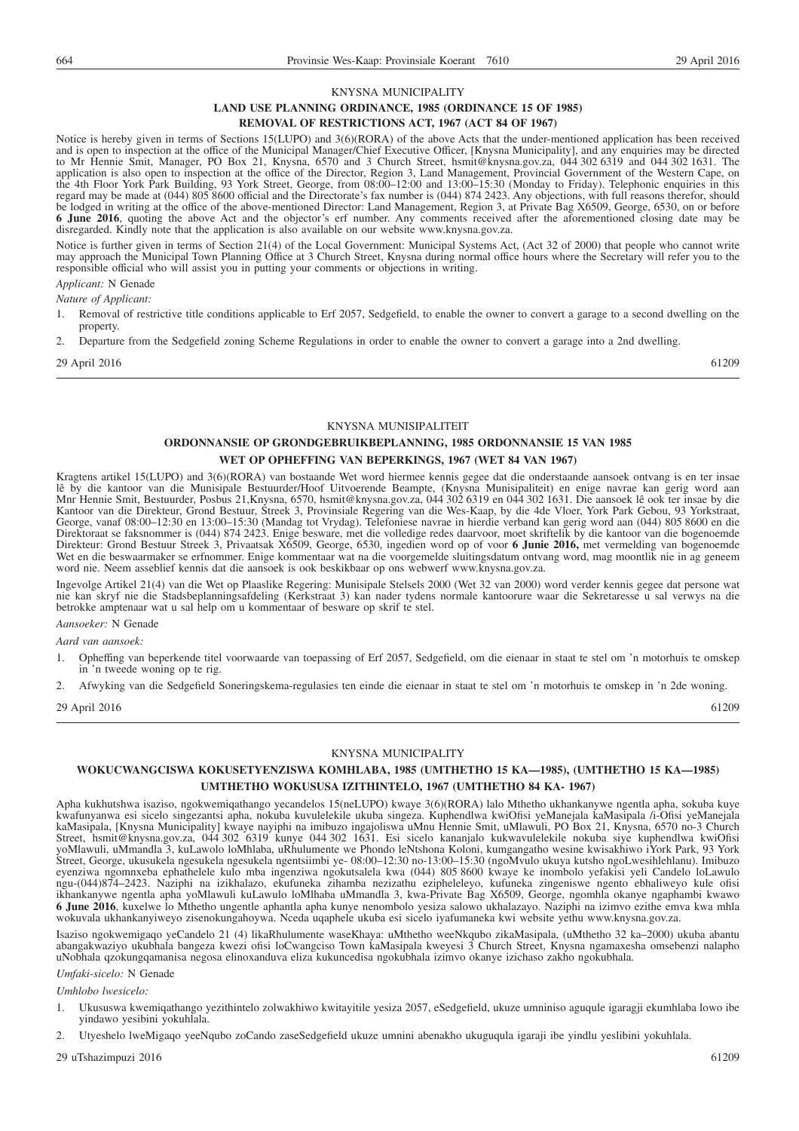#### KNYSNA MUNICIPALITY

#### **LAND USE PLANNING ORDINANCE, 1985 (ORDINANCE 15 OF 1985)**

#### **REMOVAL OF RESTRICTIONS ACT, 1967 (ACT 84 OF 1967)**

Notice is hereby given in terms of Sections 15(LUPO) and 3(6)(RORA) of the above Acts that the under-mentioned application has been received and is open to inspection at the office of the Municipal Manager/Chief Executive Officer, [Knysna Municipality], and any enquiries may be directed to Mr Hennie Smit, Manager, PO Box 21, Knysna, 6570 and 3 Church Street, hsmit@knysna.gov.za, 044 302 6319 and 044 302 1631. The application is also open to inspection at the office of the Director, Region 3, Land Management, Provincial Government of the Western Cape, on the 4th Floor York Park Building, 93 York Street, George, from 08:00–12:00 and 13:00–15:30 (Monday to Friday). Telephonic enquiries in this regard may be made at (044) 805 8600 official and the Directorate's fax number is (044) 874 2423. Any objections, with full reasons therefor, should be lodged in writing at the office of the above-mentioned Director: Land Management, Region 3, at Private Bag X6509, George, 6530, on or before **6 June 2016**, quoting the above Act and the objector's erf number. Any comments received after the aforementioned closing date may be disregarded. Kindly note that the application is also available on our website www.knysna.gov.za.

Notice is further given in terms of Section 21(4) of the Local Government: Municipal Systems Act, (Act 32 of 2000) that people who cannot write may approach the Municipal Town Planning Office at 3 Church Street, Knysna during normal office hours where the Secretary will refer you to the responsible official who will assist you in putting your comments or objections in writing. *Applicant:* N Genade

## *Nature of Applicant:*

- 1. Removal of restrictive title conditions applicable to Erf 2057, Sedgefield, to enable the owner to convert a garage to a second dwelling on the property
- 2. Departure from the Sedgefield zoning Scheme Regulations in order to enable the owner to convert a garage into a 2nd dwelling.

29 April 2016 61209

#### KNYSNA MUNISIPALITEIT

#### **ORDONNANSIE OP GRONDGEBRUIKBEPLANNING, 1985 ORDONNANSIE 15 VAN 1985 WET OP OPHEFFING VAN BEPERKINGS, 1967 (WET 84 VAN 1967)**

Kragtens artikel 15(LUPO) and 3(6)(RORA) van bostaande Wet word hiermee kennis gegee dat die onderstaande aansoek ontvang is en ter insae lê by die kantoor van die Munisipale Bestuurder/Hoof Uitvoerende Beampte, (Knysna Munisipaliteit) en enige navrae kan gerig word aan Mnr Hennie Smit, Bestuurder, Posbus 21,Knysna, 6570, hsmit@knysna.gov.za, 044 302 6319 en 044 302 1631. Die aansoek lê ook ter insae by die Kantoor van die Direkteur, Grond Bestuur, Streek 3, Provinsiale Regering van die Wes-Kaap, by die 4de Vloer, York Park Gebou, 93 Yorkstraat, George, vanaf 08:00–12:30 en 13:00–15:30 (Mandag tot Vrydag). Telefoniese navrae in hierdie verband kan gerig word aan (044) 805 8600 en die Direktoraat se faksnommer is (044) 874 2423. Enige besware, met die volledige redes daarvoor, moet skriftelik by die kantoor van die bogenoemde Direkteur: Grond Bestuur Streek 3, Privaatsak X6509, George, 6530, ingedien word op of voor **6 Junie 2016,** met vermelding van bogenoemde Wet en die beswaarmaker se erfnommer. Enige kommentaar wat na die voorgemelde sluitingsdatum ontvang word, mag moontlik nie in ag geneem word nie. Neem asseblief kennis dat die aansoek is ook beskikbaar op ons webwerf www.knysna.gov.za.

Ingevolge Artikel 21(4) van die Wet op Plaaslike Regering: Munisipale Stelsels 2000 (Wet 32 van 2000) word verder kennis gegee dat persone wat nie kan skryf nie die Stadsbeplanningsafdeling (Kerkstraat 3) kan nader tydens normale kantoorure waar die Sekretaresse u sal verwys na die betrokke amptenaar wat u sal help om u kommentaar of besware op skrif te stel.

*Aansoeker:* N Genade

*Aard van aansoek:*

- 1. Opheffing van beperkende titel voorwaarde van toepassing of Erf 2057, Sedgefield, om die eienaar in staat te stel om 'n motorhuis te omskep in 'n tweede woning op te rig.
- 2. Afwyking van die Sedgefield Soneringskema-regulasies ten einde die eienaar in staat te stel om 'n motorhuis te omskep in 'n 2de woning.

29 April 2016 61209

#### KNYSNA MUNICIPALITY

#### **WOKUCWANGCISWA KOKUSETYENZISWA KOMHLABA, 1985 (UMTHETHO 15 KA—1985), (UMTHETHO 15 KA—1985) UMTHETHO WOKUSUSA IZITHINTELO, 1967 (UMTHETHO 84 KA- 1967)**

Apha kukhutshwa isaziso, ngokwemiqathango yecandelos 15(neLUPO) kwaye 3(6)(RORA) lalo Mthetho ukhankanywe ngentla apha, sokuba kuye kwafunyanwa esi sicelo singezantsi apha, nokuba kuvulelekile ukuba singeza. Kuphendlwa kwiOfisi yeManejala kaMasipala /i-Ofisi yeManejala kaMasipala, [Knysna Municipality] kwaye nayiphi na imibuzo ingajoliswa uMnu Hennie Smit, uMlawuli, PO Box 21, Knysna, 6570 no-3 Church Street, hsmit@knysna.gov.za, 044 302 6319 kunye 044 302 1631. Esi sicelo kananjalo kukwavulelekile nokuba siye kuphendlwa kwiOfisi yoMlawuli, uMmandla 3, kuLawolo loMhlaba, uRhulumente we Phondo leNtshona Koloni, kumgangatho wesine kwisakhiwo iYork Park, 93 York Street, George, ukusukela ngesukela ngesukela ngentsiimbi ye- 08:00–12:30 no-13:00–15:30 (ngoMvulo ukuya kutsho ngoLwesihlehlanu). Imibuzo eyenziwa ngomnxeba ephathelele kulo mba ingenziwa ngokutsalela kwa (044) 805 8600 kwaye ke inombolo yefakisi yeli Candelo loLawulo ngu-(044)874–2423. Naziphi na izikhalazo, ekufuneka zihamba nezizathu ezipheleleyo, kufuneka zingeniswe ngento ebhaliweyo kule ofisi ikhankanywe ngentla apha yoMlawuli kuLawulo loMlhaba uMmandla 3, kwa-Private Bag X6509, George, ngomhla okanye ngaphambi kwawo **6 June 2016**, kuxelwe lo Mthetho ungentle aphantla apha kunye nenombolo yesiza salowo ukhalazayo. Naziphi na izimvo ezithe emva kwa mhla wokuvala ukhankanyiweyo zisenokungahoywa. Nceda uqaphele ukuba esi sicelo iyafumaneka kwi website yethu www.knysna.gov.za.

Isaziso ngokwemigaqo yeCandelo 21 (4) likaRhulumente waseKhaya: uMthetho weeNkqubo zikaMasipala, (uMthetho 32 ka–2000) ukuba abantu abangakwaziyo ukubhala bangeza kwezi ofisi loCwangciso Town kaMasipala kweyesi 3 Church Street, Knysna ngamaxesha omsebenzi nalapho uNobhala qzokungqamanisa negosa elinoxanduva eliza kukuncedisa ngokubhala izimvo okanye izichaso zakho ngokubhala.

#### *Umfaki-sicelo:* N Genade

*Umhlobo lwesicelo:*

- 1. Ukususwa kwemiqathango yezithintelo zolwakhiwo kwitayitile yesiza 2057, eSedgefield, ukuze umniniso aguqule igaragji ekumhlaba lowo ibe yindawo yesibini yokuhlala.
- 2. Utyeshelo lweMigaqo yeeNqubo zoCando zaseSedgefield ukuze umnini abenakho ukuguqula igaraji ibe yindlu yeslibini yokuhlala.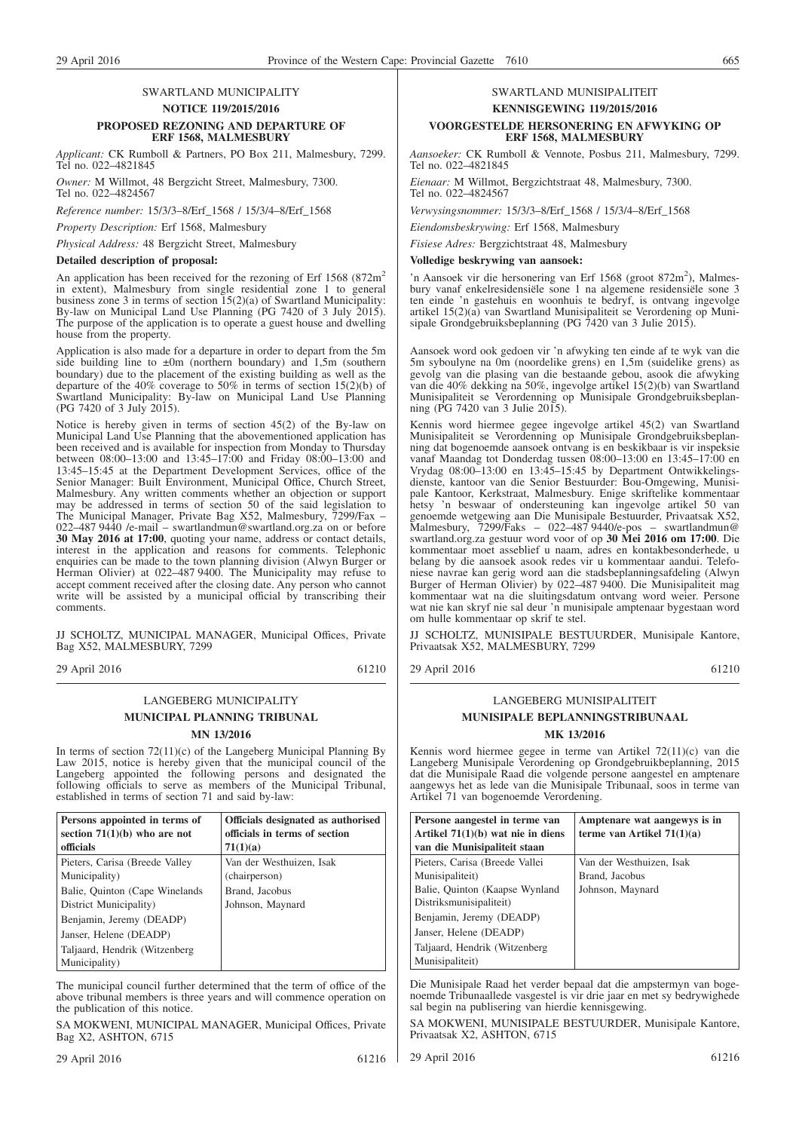#### SWARTLAND MUNICIPALITY **NOTICE 119/2015/2016 PROPOSED REZONING AND DEPARTURE OF ERF 1568, MALMESBURY**

*Applicant:* CK Rumboll & Partners, PO Box 211, Malmesbury, 7299. Tel no. 022–4821845

*Owner:* M Willmot, 48 Bergzicht Street, Malmesbury, 7300. Tel no. 022–4824567

*Reference number:* 15/3/3–8/Erf\_1568 / 15/3/4–8/Erf\_1568

*Property Description:* Erf 1568, Malmesbury

*Physical Address:* 48 Bergzicht Street, Malmesbury

#### **Detailed description of proposal:**

An application has been received for the rezoning of Erf 1568 (872m<sup>2</sup>) in extent), Malmesbury from single residential zone 1 to general business zone 3 in terms of section 15(2)(a) of Swartland Municipality: By-law on Municipal Land Use Planning (PG 7420 of 3 July 2015). The purpose of the application is to operate a guest house and dwelling house from the property.

Application is also made for a departure in order to depart from the 5m side building line to  $\pm 0$ m (northern boundary) and 1,5m (southern boundary) due to the placement of the existing building as well as the departure of the 40% coverage to 50% in terms of section  $15(2)(b)$  of Swartland Municipality: By-law on Municipal Land Use Planning (PG 7420 of 3 July 2015).

Notice is hereby given in terms of section 45(2) of the By-law on Municipal Land Use Planning that the abovementioned application has been received and is available for inspection from Monday to Thursday between 08:00–13:00 and 13:45–17:00 and Friday 08:00–13:00 and 13:45–15:45 at the Department Development Services, office of the Senior Manager: Built Environment, Municipal Office, Church Street, Malmesbury. Any written comments whether an objection or support may be addressed in terms of section 50 of the said legislation to The Municipal Manager, Private Bag X52, Malmesbury, 7299/Fax – 022–487 9440 /e-mail – swartlandmun@swartland.org.za on or before **30 May 2016 at 17:00**, quoting your name, address or contact details, interest in the application and reasons for comments. Telephonic enquiries can be made to the town planning division (Alwyn Burger or Herman Olivier) at 022–487 9400. The Municipality may refuse to accept comment received after the closing date. Any person who cannot write will be assisted by a municipal official by transcribing their comments.

JJ SCHOLTZ, MUNICIPAL MANAGER, Municipal Offices, Private Bag X52, MALMESBURY, 7299

29 April 2016 61210

#### LANGEBERG MUNICIPALITY **MUNICIPAL PLANNING TRIBUNAL MN 13/2016**

In terms of section 72(11)(c) of the Langeberg Municipal Planning By Law 2015, notice is hereby given that the municipal council of the Langeberg appointed the following persons and designated the following officials to serve as members of the Municipal Tribunal, established in terms of section 71 and said by-law:

| Persons appointed in terms of<br>section $71(1)(b)$ who are not | Officials designated as authorised<br>officials in terms of section |
|-----------------------------------------------------------------|---------------------------------------------------------------------|
| officials                                                       | 71(1)(a)                                                            |
| Pieters, Carisa (Breede Valley)                                 | Van der Westhuizen, Isak                                            |
| Municipality)                                                   | (chairperson)                                                       |
| Balie, Quinton (Cape Winelands)                                 | Brand, Jacobus                                                      |
| District Municipality)                                          | Johnson, Maynard                                                    |
| Benjamin, Jeremy (DEADP)                                        |                                                                     |
| Janser, Helene (DEADP)                                          |                                                                     |
| Taljaard, Hendrik (Witzenberg)                                  |                                                                     |
| Municipality)                                                   |                                                                     |

The municipal council further determined that the term of office of the above tribunal members is three years and will commence operation on the publication of this notice.

SA MOKWENI, MUNICIPAL MANAGER, Municipal Offices, Private Bag X2, ASHTON, 6715

## SWARTLAND MUNISIPALITEIT **KENNISGEWING 119/2015/2016**

#### **VOORGESTELDE HERSONERING EN AFWYKING OP ERF 1568, MALMESBURY**

*Aansoeker:* CK Rumboll & Vennote, Posbus 211, Malmesbury, 7299. Tel no. 022–4821845

*Eienaar:* M Willmot, Bergzichtstraat 48, Malmesbury, 7300. Tel no. 022-4824567

*Verwysingsnommer:* 15/3/3–8/Erf\_1568 / 15/3/4–8/Erf\_1568

*Eiendomsbeskrywing:* Erf 1568, Malmesbury

*Fisiese Adres:* Bergzichtstraat 48, Malmesbury

#### **Volledige beskrywing van aansoek:**

'n Aansoek vir die hersonering van Erf 1568 (groot 872m<sup>2</sup>), Malmesbury vanaf enkelresidensiële sone 1 na algemene residensiële sone 3 ten einde 'n gastehuis en woonhuis te bedryf, is ontvang ingevolge artikel 15(2)(a) van Swartland Munisipaliteit se Verordening op Munisipale Grondgebruiksbeplanning (PG 7420 van 3 Julie 2015).

Aansoek word ook gedoen vir 'n afwyking ten einde af te wyk van die 5m syboulyne na 0m (noordelike grens) en 1,5m (suidelike grens) as gevolg van die plasing van die bestaande gebou, asook die afwyking van die 40% dekking na 50%, ingevolge artikel 15(2)(b) van Swartland Munisipaliteit se Verordenning op Munisipale Grondgebruiksbeplanning (PG 7420 van 3 Julie 2015).

Kennis word hiermee gegee ingevolge artikel 45(2) van Swartland Munisipaliteit se Verordenning op Munisipale Grondgebruiksbeplanning dat bogenoemde aansoek ontvang is en beskikbaar is vir inspeksie vanaf Maandag tot Donderdag tussen 08:00–13:00 en 13:45–17:00 en Vrydag 08:00–13:00 en 13:45–15:45 by Department Ontwikkelingsdienste, kantoor van die Senior Bestuurder: Bou-Omgewing, Munisipale Kantoor, Kerkstraat, Malmesbury. Enige skriftelike kommentaar hetsy 'n beswaar of ondersteuning kan ingevolge artikel 50 van genoemde wetgewing aan Die Munisipale Bestuurder, Privaatsak X52, Malmesbury, 7299/Faks – 022–487 9440/e-pos – swartlandmun@ swartland.org.za gestuur word voor of op **30 Mei 2016 om 17:00**. Die kommentaar moet asseblief u naam, adres en kontakbesonderhede, u belang by die aansoek asook redes vir u kommentaar aandui. Telefoniese navrae kan gerig word aan die stadsbeplanningsafdeling (Alwyn Burger of Herman Olivier) by 022–487 9400. Die Munisipaliteit mag kommentaar wat na die sluitingsdatum ontvang word weier. Persone wat nie kan skryf nie sal deur 'n munisipale amptenaar bygestaan word om hulle kommentaar op skrif te stel.

JJ SCHOLTZ, MUNISIPALE BESTUURDER, Munisipale Kantore, Privaatsak X52, MALMESBURY, 7299

29 April 2016 61210

#### LANGEBERG MUNISIPALITEIT **MUNISIPALE BEPLANNINGSTRIBUNAAL MK 13/2016**

Kennis word hiermee gegee in terme van Artikel 72(11)(c) van die Langeberg Munisipale Verordening op Grondgebruikbeplanning, 2015 dat die Munisipale Raad die volgende persone aangestel en amptenare aangewys het as lede van die Munisipale Tribunaal, soos in terme van Artikel 71 van bogenoemde Verordening.

| Persone aangestel in terme van<br>Artikel $71(1)(b)$ wat nie in diens | Amptenare wat aangewys is in<br>terme van Artikel $71(1)(a)$ |
|-----------------------------------------------------------------------|--------------------------------------------------------------|
| van die Munisipaliteit staan                                          |                                                              |
| Pieters, Carisa (Breede Vallei                                        | Van der Westhuizen, Isak                                     |
| Munisipaliteit)                                                       | Brand, Jacobus                                               |
| Balie, Quinton (Kaapse Wynland)                                       | Johnson, Maynard                                             |
| Distriksmunisipaliteit)                                               |                                                              |
| Benjamin, Jeremy (DEADP)                                              |                                                              |
| Janser, Helene (DEADP)                                                |                                                              |
| Taljaard, Hendrik (Witzenberg)                                        |                                                              |
| Munisipaliteit)                                                       |                                                              |

Die Munisipale Raad het verder bepaal dat die ampstermyn van bogenoemde Tribunaallede vasgestel is vir drie jaar en met sy bedrywighede sal begin na publisering van hierdie kennisgewing.

SA MOKWENI, MUNISIPALE BESTUURDER, Munisipale Kantore, Privaatsak X2, ASHTON, 6715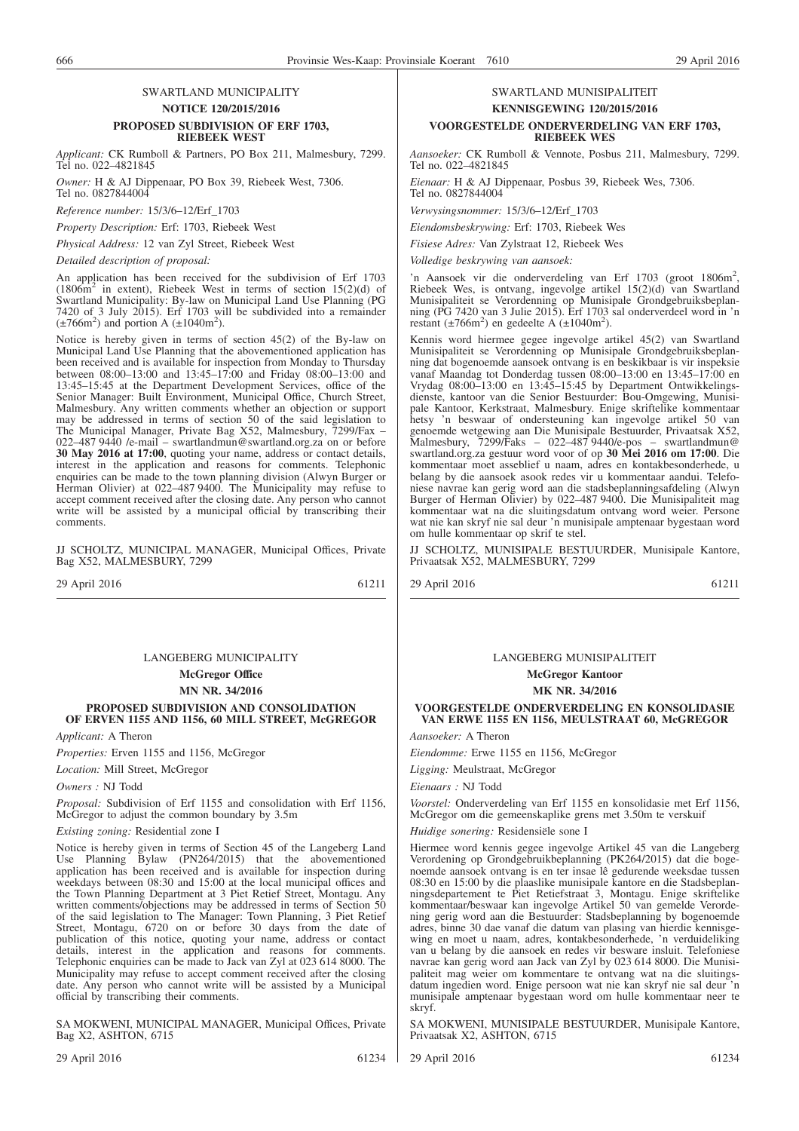#### SWARTLAND MUNICIPALITY **NOTICE 120/2015/2016 PROPOSED SUBDIVISION OF ERF 1703, RIEBEEK WEST**

*Applicant:* CK Rumboll & Partners, PO Box 211, Malmesbury, 7299. Tel no. 022–4821845

*Owner:* H & AJ Dippenaar, PO Box 39, Riebeek West, 7306. Tel no. 0827844004

*Reference number:* 15/3/6–12/Erf\_1703

*Property Description:* Erf: 1703, Riebeek West

*Physical Address:* 12 van Zyl Street, Riebeek West

*Detailed description of proposal:*

An application has been received for the subdivision of Erf 1703  $(1806m<sup>2</sup>$  in extent), Riebeek West in terms of section  $15(2)(d)$  of Swartland Municipality: By-law on Municipal Land Use Planning (PG 7420 of 3 July 2015). Erf 1703 will be subdivided into a remainder  $(\pm 766 \text{m}^2)$  and portion A  $(\pm 1040 \text{m}^2)$ .

Notice is hereby given in terms of section 45(2) of the By-law on Municipal Land Use Planning that the abovementioned application has been received and is available for inspection from Monday to Thursday between 08:00–13:00 and 13:45–17:00 and Friday 08:00–13:00 and 13:45–15:45 at the Department Development Services, office of the Senior Manager: Built Environment, Municipal Office, Church Street, Malmesbury. Any written comments whether an objection or support may be addressed in terms of section 50 of the said legislation to The Municipal Manager, Private Bag X52, Malmesbury, 7299/Fax – 022–487 9440 /e-mail – swartlandmun@swartland.org.za on or before **30 May 2016 at 17:00**, quoting your name, address or contact details, interest in the application and reasons for comments. Telephonic enquiries can be made to the town planning division (Alwyn Burger or Herman Olivier) at 022–487 9400. The Municipality may refuse to accept comment received after the closing date. Any person who cannot write will be assisted by a municipal official by transcribing their comments.

JJ SCHOLTZ, MUNICIPAL MANAGER, Municipal Offices, Private Bag X52, MALMESBURY, 7299

29 April 2016 61211

## LANGEBERG MUNICIPALITY

**McGregor Office MN NR. 34/2016**

#### **PROPOSED SUBDIVISION AND CONSOLIDATION OF ERVEN 1155 AND 1156, 60 MILL STREET, McGREGOR**

*Applicant:* A Theron

*Properties:* Erven 1155 and 1156, McGregor

*Location:* Mill Street, McGregor

*Owners :* NJ Todd

*Proposal:* Subdivision of Erf 1155 and consolidation with Erf 1156, McGregor to adjust the common boundary by 3.5m

*Existing zoning:* Residential zone I

Notice is hereby given in terms of Section 45 of the Langeberg Land Use Planning Bylaw (PN264/2015) that the abovementioned application has been received and is available for inspection during weekdays between 08:30 and 15:00 at the local municipal offices and the Town Planning Department at 3 Piet Retief Street, Montagu. Any written comments/objections may be addressed in terms of Section 50 of the said legislation to The Manager: Town Planning, 3 Piet Retief Street, Montagu, 6720 on or before 30 days from the date of publication of this notice, quoting your name, address or contact details, interest in the application and reasons for comments. Telephonic enquiries can be made to Jack van Zyl at 023 614 8000. The Municipality may refuse to accept comment received after the closing date. Any person who cannot write will be assisted by a Municipal official by transcribing their comments.

SA MOKWENI, MUNICIPAL MANAGER, Municipal Offices, Private Bag X2, ASHTON, 6715

29 April 2016 61234

#### SWARTLAND MUNISIPALITEIT **KENNISGEWING 120/2015/2016 VOORGESTELDE ONDERVERDELING VAN ERF 1703, RIEBEEK WES**

*Aansoeker:* CK Rumboll & Vennote, Posbus 211, Malmesbury, 7299. Tel no. 022–4821845

*Eienaar:* H & AJ Dippenaar, Posbus 39, Riebeek Wes, 7306. Tel no. 0827844004

*Verwysingsnommer:* 15/3/6–12/Erf\_1703

*Eiendomsbeskrywing:* Erf: 1703, Riebeek Wes

*Fisiese Adres:* Van Zylstraat 12, Riebeek Wes

*Volledige beskrywing van aansoek:*

'n Aansoek vir die onderverdeling van Erf 1703 (groot 1806m<sup>2</sup>, Riebeek Wes, is ontvang, ingevolge artikel 15(2)(d) van Swartland Munisipaliteit se Verordenning op Munisipale Grondgebruiksbeplanning (PG 7420 van 3 Julie 2015). Erf 1703 sal onderverdeel word in 'n restant  $(\pm 766 \text{m}^2)$  en gedeelte A  $(\pm 1040 \text{m}^2)$ .

Kennis word hiermee gegee ingevolge artikel 45(2) van Swartland Munisipaliteit se Verordenning op Munisipale Grondgebruiksbeplanning dat bogenoemde aansoek ontvang is en beskikbaar is vir inspeksie vanaf Maandag tot Donderdag tussen 08:00–13:00 en 13:45–17:00 en Vrydag 08:00–13:00 en 13:45–15:45 by Department Ontwikkelingsdienste, kantoor van die Senior Bestuurder: Bou-Omgewing, Munisipale Kantoor, Kerkstraat, Malmesbury. Enige skriftelike kommentaar hetsy 'n beswaar of ondersteuning kan ingevolge artikel 50 van genoemde wetgewing aan Die Munisipale Bestuurder, Privaatsak X52, Malmesbury, 7299/Faks – 022–487 9440/e-pos – swartlandmun@ swartland.org.za gestuur word voor of op **30 Mei 2016 om 17:00**. Die kommentaar moet asseblief u naam, adres en kontakbesonderhede, u belang by die aansoek asook redes vir u kommentaar aandui. Telefoniese navrae kan gerig word aan die stadsbeplanningsafdeling (Alwyn Burger of Herman Olivier) by 022–487 9400. Die Munisipaliteit mag kommentaar wat na die sluitingsdatum ontvang word weier. Persone wat nie kan skryf nie sal deur 'n munisipale amptenaar bygestaan word om hulle kommentaar op skrif te stel.

JJ SCHOLTZ, MUNISIPALE BESTUURDER, Munisipale Kantore, Privaatsak X52, MALMESBURY, 7299

29 April 2016 61211

#### LANGEBERG MUNISIPALITEIT

**McGregor Kantoor MK NR. 34/2016**

**VOORGESTELDE ONDERVERDELING EN KONSOLIDASIE VAN ERWE 1155 EN 1156, MEULSTRAAT 60, McGREGOR**

*Aansoeker:* A Theron

*Eiendomme:* Erwe 1155 en 1156, McGregor

*Ligging:* Meulstraat, McGregor

*Eienaars :* NJ Todd

*Voorstel:* Onderverdeling van Erf 1155 en konsolidasie met Erf 1156, McGregor om die gemeenskaplike grens met 3.50m te verskuif

*Huidige sonering:* Residensiële sone I

Hiermee word kennis gegee ingevolge Artikel 45 van die Langeberg Verordening op Grondgebruikbeplanning (PK264/2015) dat die bogenoemde aansoek ontvang is en ter insae lê gedurende weeksdae tussen 08:30 en 15:00 by die plaaslike munisipale kantore en die Stadsbeplanningsdepartement te Piet Retiefstraat 3, Montagu. Enige skriftelike kommentaar/beswaar kan ingevolge Artikel 50 van gemelde Verordening gerig word aan die Bestuurder: Stadsbeplanning by bogenoemde adres, binne 30 dae vanaf die datum van plasing van hierdie kennisgewing en moet u naam, adres, kontakbesonderhede, 'n verduideliking van u belang by die aansoek en redes vir besware insluit. Telefoniese navrae kan gerig word aan Jack van Zyl by 023 614 8000. Die Munisipaliteit mag weier om kommentare te ontvang wat na die sluitingsdatum ingedien word. Enige persoon wat nie kan skryf nie sal deur 'n munisipale amptenaar bygestaan word om hulle kommentaar neer te skryf.

SA MOKWENI, MUNISIPALE BESTUURDER, Munisipale Kantore, Privaatsak X2, ASHTON, 6715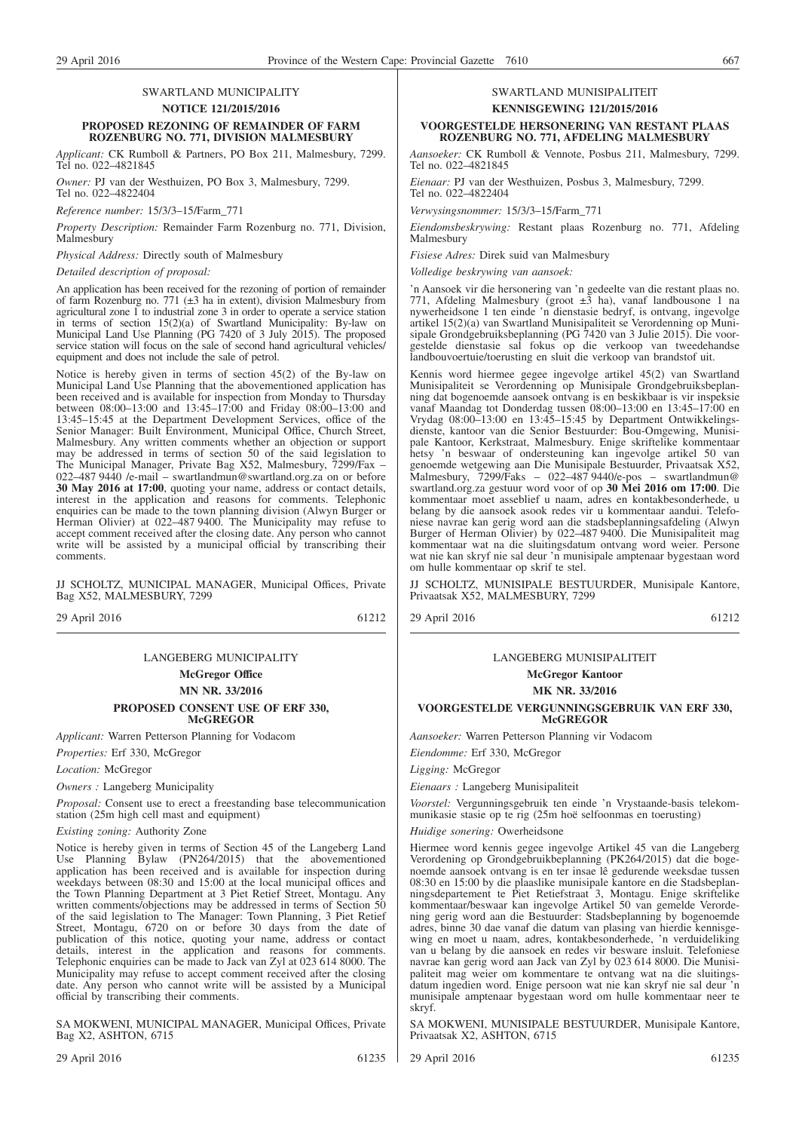#### SWARTLAND MUNICIPALITY **NOTICE 121/2015/2016 PROPOSED REZONING OF REMAINDER OF FARM ROZENBURG NO. 771, DIVISION MALMESBURY**

*Applicant:* CK Rumboll & Partners, PO Box 211, Malmesbury, 7299. Tel no. 022–4821845

*Owner:* PJ van der Westhuizen, PO Box 3, Malmesbury, 7299. Tel no. 022–4822404

*Reference number:* 15/3/3–15/Farm\_771

*Property Description:* Remainder Farm Rozenburg no. 771, Division, Malmesbury

*Physical Address:* Directly south of Malmesbury

*Detailed description of proposal:*

An application has been received for the rezoning of portion of remainder of farm Rozenburg no. 771 (±3 ha in extent), division Malmesbury from agricultural zone 1 to industrial zone 3 in order to operate a service station in terms of section 15(2)(a) of Swartland Municipality: By-law on Municipal Land Use Planning (PG 7420 of 3 July 2015). The proposed service station will focus on the sale of second hand agricultural vehicles/ equipment and does not include the sale of petrol.

Notice is hereby given in terms of section 45(2) of the By-law on Municipal Land Use Planning that the abovementioned application has been received and is available for inspection from Monday to Thursday between 08:00–13:00 and 13:45–17:00 and Friday 08:00–13:00 and 13:45–15:45 at the Department Development Services, office of the Senior Manager: Built Environment, Municipal Office, Church Street, Malmesbury. Any written comments whether an objection or support may be addressed in terms of section 50 of the said legislation to The Municipal Manager, Private Bag X52, Malmesbury, 7299/Fax – 022–487 9440 /e-mail – swartlandmun@swartland.org.za on or before **30 May 2016 at 17:00**, quoting your name, address or contact details, interest in the application and reasons for comments. Telephonic enquiries can be made to the town planning division (Alwyn Burger or Herman Olivier) at 022–487 9400. The Municipality may refuse to accept comment received after the closing date. Any person who cannot write will be assisted by a municipal official by transcribing their comments.

JJ SCHOLTZ, MUNICIPAL MANAGER, Municipal Offices, Private Bag X52, MALMESBURY, 7299

29 April 2016 61212

#### LANGEBERG MUNICIPALITY

**McGregor Office MN NR. 33/2016 PROPOSED CONSENT USE OF ERF 330, McGREGOR**

*Applicant:* Warren Petterson Planning for Vodacom

*Properties:* Erf 330, McGregor

*Location:* McGregor

*Owners :* Langeberg Municipality

*Proposal:* Consent use to erect a freestanding base telecommunication station (25m high cell mast and equipment)

*Existing zoning:* Authority Zone

Notice is hereby given in terms of Section 45 of the Langeberg Land Use Planning Bylaw (PN264/2015) that the abovementioned application has been received and is available for inspection during weekdays between 08:30 and 15:00 at the local municipal offices and the Town Planning Department at 3 Piet Retief Street, Montagu. Any written comments/objections may be addressed in terms of Section 50 of the said legislation to The Manager: Town Planning, 3 Piet Retief Street, Montagu, 6720 on or before 30 days from the date of publication of this notice, quoting your name, address or contact details, interest in the application and reasons for comments. Telephonic enquiries can be made to Jack van Zyl at 023 614 8000. The Municipality may refuse to accept comment received after the closing date. Any person who cannot write will be assisted by a Municipal official by transcribing their comments.

SA MOKWENI, MUNICIPAL MANAGER, Municipal Offices, Private Bag X2, ASHTON, 6715

29 April 2016 61235

#### SWARTLAND MUNISIPALITEIT **KENNISGEWING 121/2015/2016**

#### **VOORGESTELDE HERSONERING VAN RESTANT PLAAS ROZENBURG NO. 771, AFDELING MALMESBURY**

*Aansoeker:* CK Rumboll & Vennote, Posbus 211, Malmesbury, 7299. Tel no. 022–4821845

*Eienaar:* PJ van der Westhuizen, Posbus 3, Malmesbury, 7299. Tel no. 022–4822404

*Verwysingsnommer:* 15/3/3–15/Farm\_771

*Eiendomsbeskrywing:* Restant plaas Rozenburg no. 771, Afdeling Malmesbury

*Fisiese Adres:* Direk suid van Malmesbury

*Volledige beskrywing van aansoek:*

'n Aansoek vir die hersonering van 'n gedeelte van die restant plaas no. 771, Afdeling Malmesbury (groot  $\pm 3$  ha), vanaf landbousone 1 na nywerheidsone 1 ten einde 'n dienstasie bedryf, is ontvang, ingevolge artikel 15(2)(a) van Swartland Munisipaliteit se Verordenning op Munisipale Grondgebruiksbeplanning (PG 7420 van 3 Julie 2015). Die voorgestelde dienstasie sal fokus op die verkoop van tweedehandse landbouvoertuie/toerusting en sluit die verkoop van brandstof uit.

Kennis word hiermee gegee ingevolge artikel 45(2) van Swartland Munisipaliteit se Verordenning op Munisipale Grondgebruiksbeplanning dat bogenoemde aansoek ontvang is en beskikbaar is vir inspeksie vanaf Maandag tot Donderdag tussen 08:00–13:00 en 13:45–17:00 en Vrydag 08:00–13:00 en 13:45–15:45 by Department Ontwikkelingsdienste, kantoor van die Senior Bestuurder: Bou-Omgewing, Munisipale Kantoor, Kerkstraat, Malmesbury. Enige skriftelike kommentaar hetsy 'n beswaar of ondersteuning kan ingevolge artikel 50 van genoemde wetgewing aan Die Munisipale Bestuurder, Privaatsak X52, Malmesbury, 7299/Faks – 022–487 9440/e-pos – swartlandmun@ swartland.org.za gestuur word voor of op **30 Mei 2016 om 17:00**. Die kommentaar moet asseblief u naam, adres en kontakbesonderhede, u belang by die aansoek asook redes vir u kommentaar aandui. Telefoniese navrae kan gerig word aan die stadsbeplanningsafdeling (Alwyn Burger of Herman Olivier) by 022–487 9400. Die Munisipaliteit mag kommentaar wat na die sluitingsdatum ontvang word weier. Persone wat nie kan skryf nie sal deur 'n munisipale amptenaar bygestaan word om hulle kommentaar op skrif te stel.

JJ SCHOLTZ, MUNISIPALE BESTUURDER, Munisipale Kantore, Privaatsak X52, MALMESBURY, 7299

29 April 2016 61212

LANGEBERG MUNISIPALITEIT

**McGregor Kantoor**

**MK NR. 33/2016**

#### **VOORGESTELDE VERGUNNINGSGEBRUIK VAN ERF 330, McGREGOR**

*Aansoeker:* Warren Petterson Planning vir Vodacom

*Eiendomme:* Erf 330, McGregor

*Ligging:* McGregor

*Eienaars :* Langeberg Munisipaliteit

*Voorstel:* Vergunningsgebruik ten einde 'n Vrystaande-basis telekommunikasie stasie op te rig (25m hoë selfoonmas en toerusting)

*Huidige sonering:* Owerheidsone

Hiermee word kennis gegee ingevolge Artikel 45 van die Langeberg Verordening op Grondgebruikbeplanning (PK264/2015) dat die bogenoemde aansoek ontvang is en ter insae lê gedurende weeksdae tussen 08:30 en 15:00 by die plaaslike munisipale kantore en die Stadsbeplanningsdepartement te Piet Retiefstraat 3, Montagu. Enige skriftelike kommentaar/beswaar kan ingevolge Artikel 50 van gemelde Verordening gerig word aan die Bestuurder: Stadsbeplanning by bogenoemde adres, binne 30 dae vanaf die datum van plasing van hierdie kennisgewing en moet u naam, adres, kontakbesonderhede, 'n verduideliking van u belang by die aansoek en redes vir besware insluit. Telefoniese navrae kan gerig word aan Jack van Zyl by 023 614 8000. Die Munisipaliteit mag weier om kommentare te ontvang wat na die sluitingsdatum ingedien word. Enige persoon wat nie kan skryf nie sal deur 'n munisipale amptenaar bygestaan word om hulle kommentaar neer te skryf.

SA MOKWENI, MUNISIPALE BESTUURDER, Munisipale Kantore, Privaatsak X2, ASHTON, 6715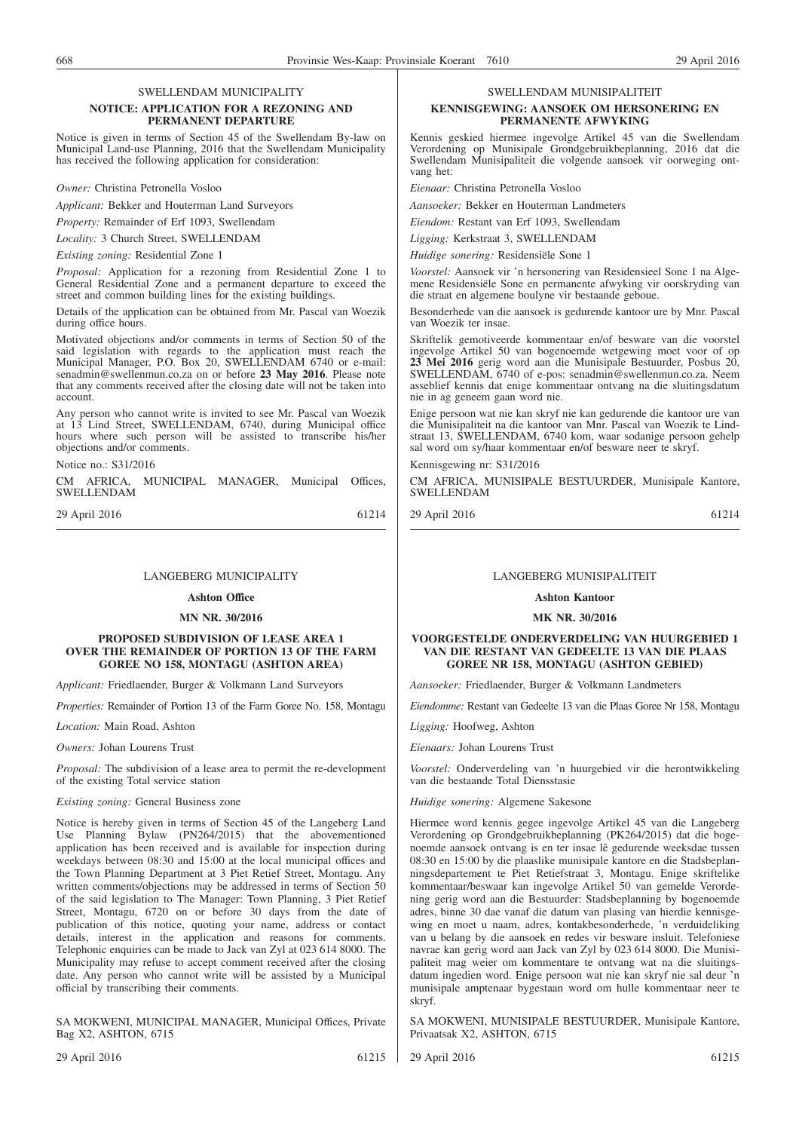### SWELLENDAM MUNICIPALITY

#### **NOTICE: APPLICATION FOR A REZONING AND PERMANENT DEPARTURE**

Notice is given in terms of Section 45 of the Swellendam By-law on Municipal Land-use Planning, 2016 that the Swellendam Municipality has received the following application for consideration:

*Owner:* Christina Petronella Vosloo

*Applicant:* Bekker and Houterman Land Surveyors

*Property:* Remainder of Erf 1093, Swellendam

*Locality:* 3 Church Street, SWELLENDAM

*Existing zoning:* Residential Zone 1

*Proposal:* Application for a rezoning from Residential Zone 1 to General Residential Zone and a permanent departure to exceed the street and common building lines for the existing buildings.

Details of the application can be obtained from Mr. Pascal van Woezik during office hours.

Motivated objections and/or comments in terms of Section 50 of the said legislation with regards to the application must reach the Municipal Manager, P.O. Box 20, SWELLENDAM 6740 or e-mail: senadmin@swellenmun.co.za on or before 23 May 2016. Please note that any comments received after the closing date will not be taken into account.

Any person who cannot write is invited to see Mr. Pascal van Woezik at 13 Lind Street, SWELLENDAM, 6740, during Municipal office hours where such person will be assisted to transcribe his/her objections and/or comments.

Notice no.: S31/2016

CM AFRICA, MUNICIPAL MANAGER, Municipal Offices, SWELLENDAM

29 April 2016 61214

#### LANGEBERG MUNICIPALITY

#### **Ashton Office**

#### **MN NR. 30/2016**

#### **PROPOSED SUBDIVISION OF LEASE AREA 1 OVER THE REMAINDER OF PORTION 13 OF THE FARM GOREE NO 158, MONTAGU (ASHTON AREA)**

*Applicant:* Friedlaender, Burger & Volkmann Land Surveyors

*Properties:* Remainder of Portion 13 of the Farm Goree No. 158, Montagu

*Location:* Main Road, Ashton

*Owners:* Johan Lourens Trust

*Proposal:* The subdivision of a lease area to permit the re-development of the existing Total service station

*Existing zoning:* General Business zone

Notice is hereby given in terms of Section 45 of the Langeberg Land Use Planning Bylaw (PN264/2015) that the abovementioned application has been received and is available for inspection during weekdays between 08:30 and 15:00 at the local municipal offices and the Town Planning Department at 3 Piet Retief Street, Montagu. Any written comments/objections may be addressed in terms of Section 50 of the said legislation to The Manager: Town Planning, 3 Piet Retief Street, Montagu, 6720 on or before 30 days from the date of publication of this notice, quoting your name, address or contact details, interest in the application and reasons for comments. Telephonic enquiries can be made to Jack van Zyl at 023 614 8000. The Municipality may refuse to accept comment received after the closing date. Any person who cannot write will be assisted by a Municipal official by transcribing their comments.

SA MOKWENI, MUNICIPAL MANAGER, Municipal Offices, Private Bag X2, ASHTON, 6715

29 April 2016 61215

#### SWELLENDAM MUNISIPALITEIT

#### **KENNISGEWING: AANSOEK OM HERSONERING EN PERMANENTE AFWYKING**

Kennis geskied hiermee ingevolge Artikel 45 van die Swellendam Verordening op Munisipale Grondgebruikbeplanning, 2016 dat die Swellendam Munisipaliteit die volgende aansoek vir oorweging ontvang het:

*Eienaar:* Christina Petronella Vosloo

*Aansoeker:* Bekker en Houterman Landmeters

*Eiendom:* Restant van Erf 1093, Swellendam

*Ligging:* Kerkstraat 3, SWELLENDAM

*Huidige sonering:* Residensiële Sone 1

*Voorstel:* Aansoek vir 'n hersonering van Residensieel Sone 1 na Algemene Residensiële Sone en permanente afwyking vir oorskryding van die straat en algemene boulyne vir bestaande geboue.

Besonderhede van die aansoek is gedurende kantoor ure by Mnr. Pascal van Woezik ter insae.

Skriftelik gemotiveerde kommentaar en/of besware van die voorstel ingevolge Artikel 50 van bogenoemde wetgewing moet voor of op **23 Mei 2016** gerig word aan die Munisipale Bestuurder, Posbus 20, SWELLENDAM, 6740 of e-pos: senadmin@swellenmun.co.za. Neem asseblief kennis dat enige kommentaar ontvang na die sluitingsdatum nie in ag geneem gaan word nie.

Enige persoon wat nie kan skryf nie kan gedurende die kantoor ure van die Munisipaliteit na die kantoor van Mnr. Pascal van Woezik te Lindstraat 13, SWELLENDAM, 6740 kom, waar sodanige persoon gehelp sal word om sy/haar kommentaar en/of besware neer te skryf.

Kennisgewing nr: S31/2016

CM AFRICA, MUNISIPALE BESTUURDER, Munisipale Kantore, SWELLENDAM

| 29 April 2016 | 61214 |
|---------------|-------|
|               |       |

#### LANGEBERG MUNISIPALITEIT

#### **Ashton Kantoor**

#### **MK NR. 30/2016**

#### **VOORGESTELDE ONDERVERDELING VAN HUURGEBIED 1 VAN DIE RESTANT VAN GEDEELTE 13 VAN DIE PLAAS GOREE NR 158, MONTAGU (ASHTON GEBIED)**

*Aansoeker:* Friedlaender, Burger & Volkmann Landmeters

*Eiendomme:* Restant van Gedeelte 13 van die Plaas Goree Nr 158, Montagu

*Ligging:* Hoofweg, Ashton

*Eienaars:* Johan Lourens Trust

*Voorstel:* Onderverdeling van 'n huurgebied vir die herontwikkeling van die bestaande Total Diensstasie

*Huidige sonering:* Algemene Sakesone

Hiermee word kennis gegee ingevolge Artikel 45 van die Langeberg Verordening op Grondgebruikbeplanning (PK264/2015) dat die bogenoemde aansoek ontvang is en ter insae lê gedurende weeksdae tussen 08:30 en 15:00 by die plaaslike munisipale kantore en die Stadsbeplanningsdepartement te Piet Retiefstraat 3, Montagu. Enige skriftelike kommentaar/beswaar kan ingevolge Artikel 50 van gemelde Verordening gerig word aan die Bestuurder: Stadsbeplanning by bogenoemde adres, binne 30 dae vanaf die datum van plasing van hierdie kennisgewing en moet u naam, adres, kontakbesonderhede, 'n verduideliking van u belang by die aansoek en redes vir besware insluit. Telefoniese navrae kan gerig word aan Jack van Zyl by 023 614 8000. Die Munisipaliteit mag weier om kommentare te ontvang wat na die sluitingsdatum ingedien word. Enige persoon wat nie kan skryf nie sal deur 'n munisipale amptenaar bygestaan word om hulle kommentaar neer te skryf.

SA MOKWENI, MUNISIPALE BESTUURDER, Munisipale Kantore, Privaatsak X2, ASHTON, 6715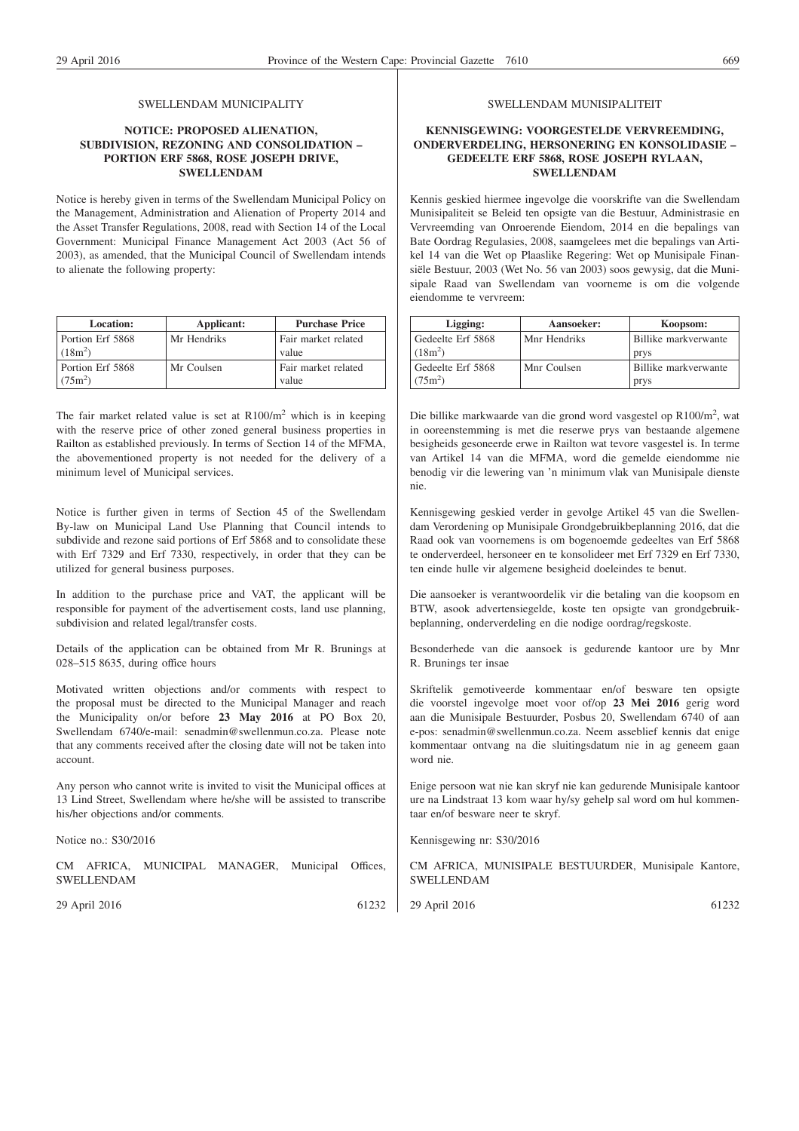#### SWELLENDAM MUNICIPALITY

#### **NOTICE: PROPOSED ALIENATION, SUBDIVISION, REZONING AND CONSOLIDATION – PORTION ERF 5868, ROSE JOSEPH DRIVE, SWELLENDAM**

Notice is hereby given in terms of the Swellendam Municipal Policy on the Management, Administration and Alienation of Property 2014 and the Asset Transfer Regulations, 2008, read with Section 14 of the Local Government: Municipal Finance Management Act 2003 (Act 56 of 2003), as amended, that the Municipal Council of Swellendam intends to alienate the following property:

| Location:                     | Applicant:  | <b>Purchase Price</b>        |
|-------------------------------|-------------|------------------------------|
| Portion Erf 5868<br>$(18m^2)$ | Mr Hendriks | Fair market related<br>value |
| Portion Erf 5868<br>$(75m^2)$ | Mr Coulsen  | Fair market related<br>value |

The fair market related value is set at  $R100/m<sup>2</sup>$  which is in keeping with the reserve price of other zoned general business properties in Railton as established previously. In terms of Section 14 of the MFMA, the abovementioned property is not needed for the delivery of a minimum level of Municipal services.

Notice is further given in terms of Section 45 of the Swellendam By-law on Municipal Land Use Planning that Council intends to subdivide and rezone said portions of Erf 5868 and to consolidate these with Erf 7329 and Erf 7330, respectively, in order that they can be utilized for general business purposes.

In addition to the purchase price and VAT, the applicant will be responsible for payment of the advertisement costs, land use planning, subdivision and related legal/transfer costs.

Details of the application can be obtained from Mr R. Brunings at 028–515 8635, during office hours

Motivated written objections and/or comments with respect to the proposal must be directed to the Municipal Manager and reach the Municipality on/or before **23 May 2016** at PO Box 20, Swellendam 6740/e-mail: senadmin@swellenmun.co.za. Please note that any comments received after the closing date will not be taken into account.

Any person who cannot write is invited to visit the Municipal offices at 13 Lind Street, Swellendam where he/she will be assisted to transcribe his/her objections and/or comments.

Notice no.: S30/2016

CM AFRICA, MUNICIPAL MANAGER, Municipal Offices, SWELLENDAM

29 April 2016 61232

#### SWELLENDAM MUNISIPALITEIT

#### **KENNISGEWING: VOORGESTELDE VERVREEMDING, ONDERVERDELING, HERSONERING EN KONSOLIDASIE – GEDEELTE ERF 5868, ROSE JOSEPH RYLAAN, SWELLENDAM**

Kennis geskied hiermee ingevolge die voorskrifte van die Swellendam Munisipaliteit se Beleid ten opsigte van die Bestuur, Administrasie en Vervreemding van Onroerende Eiendom, 2014 en die bepalings van Bate Oordrag Regulasies, 2008, saamgelees met die bepalings van Artikel 14 van die Wet op Plaaslike Regering: Wet op Munisipale Finansiële Bestuur, 2003 (Wet No. 56 van 2003) soos gewysig, dat die Munisipale Raad van Swellendam van voorneme is om die volgende eiendomme te vervreem:

| Ligging:          | Aansoeker:   | Koopsom:             |
|-------------------|--------------|----------------------|
| Gedeelte Erf 5868 | Mnr Hendriks | Billike markverwante |
| $(18m^2)$         |              | prys                 |
| Gedeelte Erf 5868 | Mnr Coulsen  | Billike markverwante |
| $(75m^2)$         |              | prys                 |

Die billike markwaarde van die grond word vasgestel op R100/m<sup>2</sup>, wat in ooreenstemming is met die reserwe prys van bestaande algemene besigheids gesoneerde erwe in Railton wat tevore vasgestel is. In terme van Artikel 14 van die MFMA, word die gemelde eiendomme nie benodig vir die lewering van 'n minimum vlak van Munisipale dienste nie.

Kennisgewing geskied verder in gevolge Artikel 45 van die Swellendam Verordening op Munisipale Grondgebruikbeplanning 2016, dat die Raad ook van voornemens is om bogenoemde gedeeltes van Erf 5868 te onderverdeel, hersoneer en te konsolideer met Erf 7329 en Erf 7330, ten einde hulle vir algemene besigheid doeleindes te benut.

Die aansoeker is verantwoordelik vir die betaling van die koopsom en BTW, asook advertensiegelde, koste ten opsigte van grondgebruikbeplanning, onderverdeling en die nodige oordrag/regskoste.

Besonderhede van die aansoek is gedurende kantoor ure by Mnr R. Brunings ter insae

Skriftelik gemotiveerde kommentaar en/of besware ten opsigte die voorstel ingevolge moet voor of/op **23 Mei 2016** gerig word aan die Munisipale Bestuurder, Posbus 20, Swellendam 6740 of aan e-pos: senadmin@swellenmun.co.za. Neem asseblief kennis dat enige kommentaar ontvang na die sluitingsdatum nie in ag geneem gaan word nie.

Enige persoon wat nie kan skryf nie kan gedurende Munisipale kantoor ure na Lindstraat 13 kom waar hy/sy gehelp sal word om hul kommentaar en/of besware neer te skryf.

Kennisgewing nr: S30/2016

CM AFRICA, MUNISIPALE BESTUURDER, Munisipale Kantore, SWELLENDAM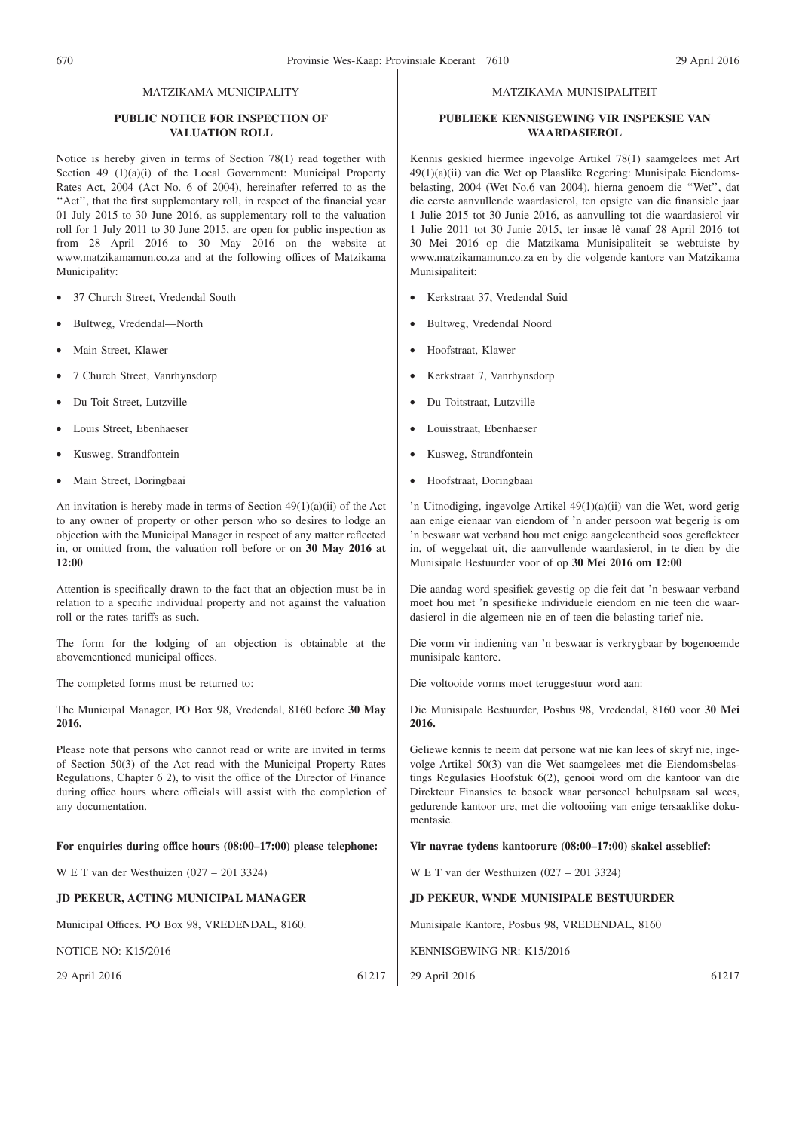#### MATZIKAMA MUNICIPALITY

#### **PUBLIC NOTICE FOR INSPECTION OF VALUATION ROLL**

Notice is hereby given in terms of Section 78(1) read together with Section 49 (1)(a)(i) of the Local Government: Municipal Property Rates Act, 2004 (Act No. 6 of 2004), hereinafter referred to as the "Act", that the first supplementary roll, in respect of the financial year 01 July 2015 to 30 June 2016, as supplementary roll to the valuation roll for 1 July 2011 to 30 June 2015, are open for public inspection as from 28 April 2016 to 30 May 2016 on the website at www.matzikamamun.co.za and at the following offices of Matzikama Municipality:

- 37 Church Street, Vredendal South
- Bultweg, Vredendal—North
- Main Street, Klawer
- 7 Church Street, Vanrhynsdorp
- Du Toit Street, Lutzville
- Louis Street, Ebenhaeser
- Kusweg, Strandfontein
- Main Street, Doringbaai

An invitation is hereby made in terms of Section 49(1)(a)(ii) of the Act to any owner of property or other person who so desires to lodge an objection with the Municipal Manager in respect of any matter reflected in, or omitted from, the valuation roll before or on **30 May 2016 at 12:00**

Attention is specifically drawn to the fact that an objection must be in relation to a specific individual property and not against the valuation roll or the rates tariffs as such.

The form for the lodging of an objection is obtainable at the abovementioned municipal offices.

The completed forms must be returned to:

The Municipal Manager, PO Box 98, Vredendal, 8160 before **30 May 2016.**

Please note that persons who cannot read or write are invited in terms of Section 50(3) of the Act read with the Municipal Property Rates Regulations, Chapter 6 2), to visit the office of the Director of Finance during office hours where officials will assist with the completion of any documentation.

#### **For enquiries during office hours (08:00–17:00) please telephone:**

W E T van der Westhuizen (027 – 201 3324)

#### **JD PEKEUR, ACTING MUNICIPAL MANAGER**

Municipal Offices. PO Box 98, VREDENDAL, 8160.

NOTICE NO: K15/2016

29 April 2016 61217

#### MATZIKAMA MUNISIPALITEIT

#### **PUBLIEKE KENNISGEWING VIR INSPEKSIE VAN WAARDASIEROL**

Kennis geskied hiermee ingevolge Artikel 78(1) saamgelees met Art 49(1)(a)(ii) van die Wet op Plaaslike Regering: Munisipale Eiendomsbelasting, 2004 (Wet No.6 van 2004), hierna genoem die ''Wet'', dat die eerste aanvullende waardasierol, ten opsigte van die finansiële jaar 1 Julie 2015 tot 30 Junie 2016, as aanvulling tot die waardasierol vir 1 Julie 2011 tot 30 Junie 2015, ter insae lê vanaf 28 April 2016 tot 30 Mei 2016 op die Matzikama Munisipaliteit se webtuiste by www.matzikamamun.co.za en by die volgende kantore van Matzikama Munisipaliteit:

- Kerkstraat 37, Vredendal Suid
- Bultweg, Vredendal Noord
- Hoofstraat, Klawer
- Kerkstraat 7, Vanrhynsdorp
- Du Toitstraat, Lutzville
- Louisstraat, Ebenhaeser
- Kusweg, Strandfontein
- Hoofstraat, Doringbaai

'n Uitnodiging, ingevolge Artikel 49(1)(a)(ii) van die Wet, word gerig aan enige eienaar van eiendom of 'n ander persoon wat begerig is om 'n beswaar wat verband hou met enige aangeleentheid soos gereflekteer in, of weggelaat uit, die aanvullende waardasierol, in te dien by die Munisipale Bestuurder voor of op **30 Mei 2016 om 12:00**

Die aandag word spesifiek gevestig op die feit dat 'n beswaar verband moet hou met 'n spesifieke individuele eiendom en nie teen die waardasierol in die algemeen nie en of teen die belasting tarief nie.

Die vorm vir indiening van 'n beswaar is verkrygbaar by bogenoemde munisipale kantore.

Die voltooide vorms moet teruggestuur word aan:

Die Munisipale Bestuurder, Posbus 98, Vredendal, 8160 voor **30 Mei 2016.**

Geliewe kennis te neem dat persone wat nie kan lees of skryf nie, ingevolge Artikel 50(3) van die Wet saamgelees met die Eiendomsbelastings Regulasies Hoofstuk 6(2), genooi word om die kantoor van die Direkteur Finansies te besoek waar personeel behulpsaam sal wees, gedurende kantoor ure, met die voltooiing van enige tersaaklike dokumentasie.

#### **Vir navrae tydens kantoorure (08:00–17:00) skakel asseblief:**

W E T van der Westhuizen (027 – 201 3324)

#### **JD PEKEUR, WNDE MUNISIPALE BESTUURDER**

Munisipale Kantore, Posbus 98, VREDENDAL, 8160

KENNISGEWING NR: K15/2016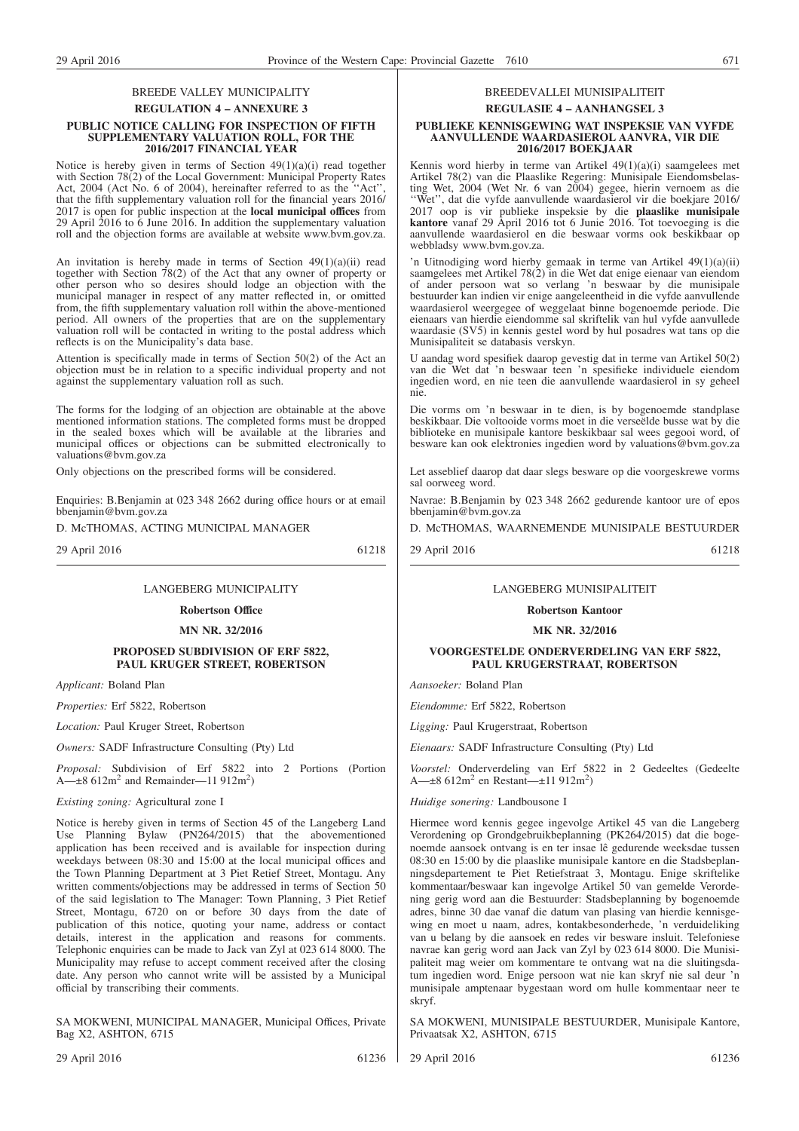#### BREEDE VALLEY MUNICIPALITY **REGULATION 4 – ANNEXURE 3**

#### **PUBLIC NOTICE CALLING FOR INSPECTION OF FIFTH SUPPLEMENTARY VALUATION ROLL, FOR THE 2016/2017 FINANCIAL YEAR**

Notice is hereby given in terms of Section 49(1)(a)(i) read together with Section 78(2) of the Local Government: Municipal Property Rates Act, 2004 (Act No. 6 of 2004), hereinafter referred to as the ''Act'', that the fifth supplementary valuation roll for the financial years 2016/ 2017 is open for public inspection at the **local municipal offices** from 29 April 2016 to 6 June 2016. In addition the supplementary valuation roll and the objection forms are available at website www.bvm.gov.za.

An invitation is hereby made in terms of Section 49(1)(a)(ii) read together with Section 78(2) of the Act that any owner of property or other person who so desires should lodge an objection with the municipal manager in respect of any matter reflected in, or omitted from, the fifth supplementary valuation roll within the above-mentioned period. All owners of the properties that are on the supplementary valuation roll will be contacted in writing to the postal address which reflects is on the Municipality's data base.

Attention is specifically made in terms of Section 50(2) of the Act an objection must be in relation to a specific individual property and not against the supplementary valuation roll as such.

The forms for the lodging of an objection are obtainable at the above mentioned information stations. The completed forms must be dropped in the sealed boxes which will be available at the libraries and municipal offices or objections can be submitted electronically to valuations@bvm.gov.za

Only objections on the prescribed forms will be considered.

Enquiries: B.Benjamin at 023 348 2662 during office hours or at email bbenjamin@bvm.gov.za

D. McTHOMAS, ACTING MUNICIPAL MANAGER

29 April 2016 61218

#### LANGEBERG MUNICIPALITY

**Robertson Office**

#### **MN NR. 32/2016**

#### **PROPOSED SUBDIVISION OF ERF 5822, PAUL KRUGER STREET, ROBERTSON**

*Applicant:* Boland Plan

*Properties:* Erf 5822, Robertson

*Location:* Paul Kruger Street, Robertson

*Owners:* SADF Infrastructure Consulting (Pty) Ltd

*Proposal:* Subdivision of Erf 5822 into 2 Portions (Portion  $A$ — $\pm 8$  612m<sup>2</sup> and Remainder—11 912m<sup>2</sup>)

*Existing zoning:* Agricultural zone I

Notice is hereby given in terms of Section 45 of the Langeberg Land Use Planning Bylaw (PN264/2015) that the abovementioned application has been received and is available for inspection during weekdays between 08:30 and 15:00 at the local municipal offices and the Town Planning Department at 3 Piet Retief Street, Montagu. Any written comments/objections may be addressed in terms of Section 50 of the said legislation to The Manager: Town Planning, 3 Piet Retief Street, Montagu, 6720 on or before 30 days from the date of publication of this notice, quoting your name, address or contact details, interest in the application and reasons for comments. Telephonic enquiries can be made to Jack van Zyl at 023 614 8000. The Municipality may refuse to accept comment received after the closing date. Any person who cannot write will be assisted by a Municipal official by transcribing their comments.

SA MOKWENI, MUNICIPAL MANAGER, Municipal Offices, Private Bag X2, ASHTON, 6715

#### 29 April 2016 61236

#### BREEDEVALLEI MUNISIPALITEIT

## **REGULASIE 4 – AANHANGSEL 3**

#### **PUBLIEKE KENNISGEWING WAT INSPEKSIE VAN VYFDE AANVULLENDE WAARDASIEROL AANVRA, VIR DIE 2016/2017 BOEKJAAR**

Kennis word hierby in terme van Artikel 49(1)(a)(i) saamgelees met Artikel 78(2) van die Plaaslike Regering: Munisipale Eiendomsbelasting Wet, 2004 (Wet Nr. 6 van 2004) gegee, hierin vernoem as die ''Wet'', dat die vyfde aanvullende waardasierol vir die boekjare 2016/ 2017 oop is vir publieke inspeksie by die **plaaslike munisipale kantore** vanaf 29 April 2016 tot 6 Junie 2016. Tot toevoeging is die aanvullende waardasierol en die beswaar vorms ook beskikbaar op webbladsy www.bym.gov.za.

'n Uitnodiging word hierby gemaak in terme van Artikel 49(1)(a)(ii) saamgelees met Artikel 78(2) in die Wet dat enige eienaar van eiendom of ander persoon wat so verlang 'n beswaar by die munisipale bestuurder kan indien vir enige aangeleentheid in die vyfde aanvullende waardasierol weergegee of weggelaat binne bogenoemde periode. Die eienaars van hierdie eiendomme sal skriftelik van hul vyfde aanvullede waardasie (SV5) in kennis gestel word by hul posadres wat tans op die Munisipaliteit se databasis verskyn.

U aandag word spesifiek daarop gevestig dat in terme van Artikel 50(2) van die Wet dat 'n beswaar teen 'n spesifieke individuele eiendom ingedien word, en nie teen die aanvullende waardasierol in sy geheel nie.

Die vorms om 'n beswaar in te dien, is by bogenoemde standplase beskikbaar. Die voltooide vorms moet in die verseëlde busse wat by die biblioteke en munisipale kantore beskikbaar sal wees gegooi word, of besware kan ook elektronies ingedien word by valuations@bvm.gov.za

Let asseblief daarop dat daar slegs besware op die voorgeskrewe vorms sal oorweeg word.

Navrae: B.Benjamin by 023 348 2662 gedurende kantoor ure of epos bbenjamin@bvm.gov.za

D. McTHOMAS, WAARNEMENDE MUNISIPALE BESTUURDER

29 April 2016 61218

#### LANGEBERG MUNISIPALITEIT

## **Robertson Kantoor**

**MK NR. 32/2016**

#### **VOORGESTELDE ONDERVERDELING VAN ERF 5822, PAUL KRUGERSTRAAT, ROBERTSON**

*Aansoeker:* Boland Plan

*Eiendomme:* Erf 5822, Robertson

*Ligging:* Paul Krugerstraat, Robertson

*Eienaars:* SADF Infrastructure Consulting (Pty) Ltd

*Voorstel:* Onderverdeling van Erf 5822 in 2 Gedeeltes (Gedeelte A— $\pm$ 8 612m<sup>2</sup> en Restant— $\pm$ 11 912m<sup>2</sup>)

#### *Huidige sonering:* Landbousone I

Hiermee word kennis gegee ingevolge Artikel 45 van die Langeberg Verordening op Grondgebruikbeplanning (PK264/2015) dat die bogenoemde aansoek ontvang is en ter insae lê gedurende weeksdae tussen 08:30 en 15:00 by die plaaslike munisipale kantore en die Stadsbeplanningsdepartement te Piet Retiefstraat 3, Montagu. Enige skriftelike kommentaar/beswaar kan ingevolge Artikel 50 van gemelde Verordening gerig word aan die Bestuurder: Stadsbeplanning by bogenoemde adres, binne 30 dae vanaf die datum van plasing van hierdie kennisgewing en moet u naam, adres, kontakbesonderhede, 'n verduideliking van u belang by die aansoek en redes vir besware insluit. Telefoniese navrae kan gerig word aan Jack van Zyl by 023 614 8000. Die Munisipaliteit mag weier om kommentare te ontvang wat na die sluitingsdatum ingedien word. Enige persoon wat nie kan skryf nie sal deur 'n munisipale amptenaar bygestaan word om hulle kommentaar neer te skryf.

SA MOKWENI, MUNISIPALE BESTUURDER, Munisipale Kantore, Privaatsak X2, ASHTON, 6715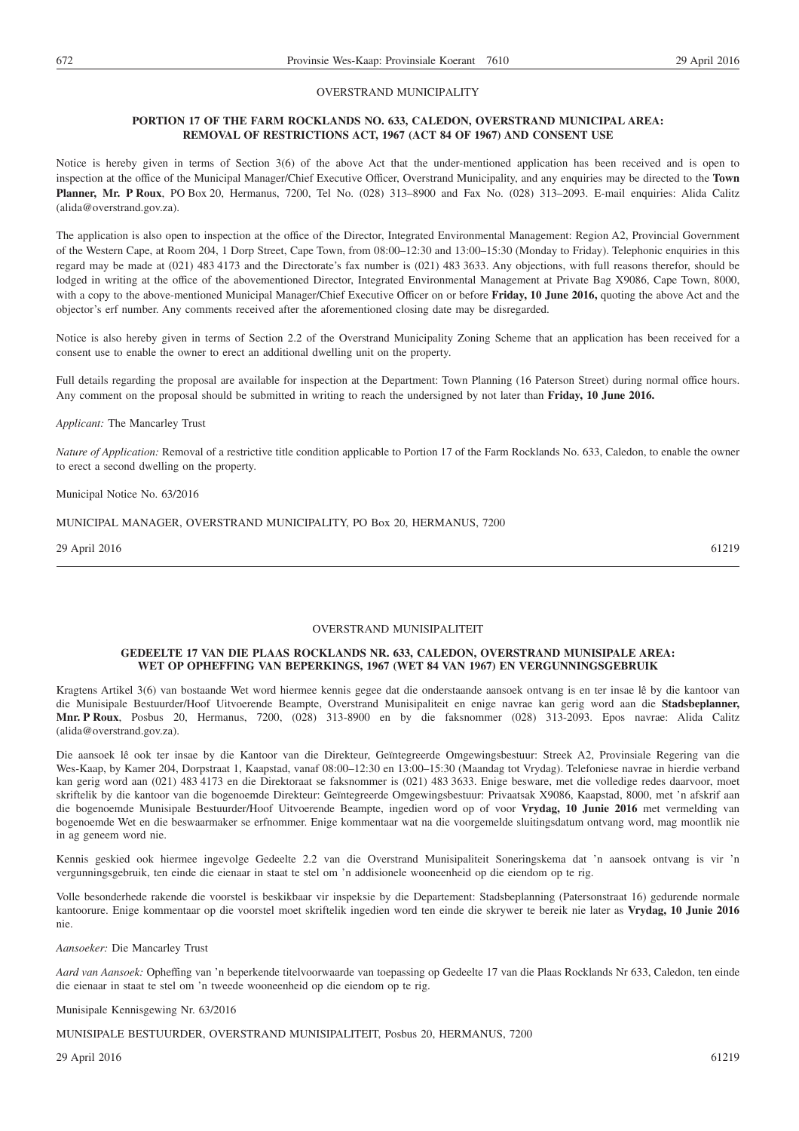#### OVERSTRAND MUNICIPALITY

#### **PORTION 17 OF THE FARM ROCKLANDS NO. 633, CALEDON, OVERSTRAND MUNICIPAL AREA: REMOVAL OF RESTRICTIONS ACT, 1967 (ACT 84 OF 1967) AND CONSENT USE**

Notice is hereby given in terms of Section 3(6) of the above Act that the under-mentioned application has been received and is open to inspection at the office of the Municipal Manager/Chief Executive Officer, Overstrand Municipality, and any enquiries may be directed to the **Town Planner, Mr. P Roux**, PO Box 20, Hermanus, 7200, Tel No. (028) 313–8900 and Fax No. (028) 313–2093. E-mail enquiries: Alida Calitz (alida@overstrand.gov.za).

The application is also open to inspection at the office of the Director, Integrated Environmental Management: Region A2, Provincial Government of the Western Cape, at Room 204, 1 Dorp Street, Cape Town, from 08:00–12:30 and 13:00–15:30 (Monday to Friday). Telephonic enquiries in this regard may be made at (021) 483 4173 and the Directorate's fax number is (021) 483 3633. Any objections, with full reasons therefor, should be lodged in writing at the office of the abovementioned Director, Integrated Environmental Management at Private Bag X9086, Cape Town, 8000, with a copy to the above-mentioned Municipal Manager/Chief Executive Officer on or before **Friday, 10 June 2016,** quoting the above Act and the objector's erf number. Any comments received after the aforementioned closing date may be disregarded.

Notice is also hereby given in terms of Section 2.2 of the Overstrand Municipality Zoning Scheme that an application has been received for a consent use to enable the owner to erect an additional dwelling unit on the property.

Full details regarding the proposal are available for inspection at the Department: Town Planning (16 Paterson Street) during normal office hours. Any comment on the proposal should be submitted in writing to reach the undersigned by not later than **Friday, 10 June 2016.**

#### *Applicant:* The Mancarley Trust

*Nature of Application:* Removal of a restrictive title condition applicable to Portion 17 of the Farm Rocklands No. 633, Caledon, to enable the owner to erect a second dwelling on the property.

Municipal Notice No. 63/2016

MUNICIPAL MANAGER, OVERSTRAND MUNICIPALITY, PO Box 20, HERMANUS, 7200

29 April 2016 61219

#### OVERSTRAND MUNISIPALITEIT

#### **GEDEELTE 17 VAN DIE PLAAS ROCKLANDS NR. 633, CALEDON, OVERSTRAND MUNISIPALE AREA: WET OP OPHEFFING VAN BEPERKINGS, 1967 (WET 84 VAN 1967) EN VERGUNNINGSGEBRUIK**

Kragtens Artikel 3(6) van bostaande Wet word hiermee kennis gegee dat die onderstaande aansoek ontvang is en ter insae lê by die kantoor van die Munisipale Bestuurder/Hoof Uitvoerende Beampte, Overstrand Munisipaliteit en enige navrae kan gerig word aan die **Stadsbeplanner, Mnr. P Roux**, Posbus 20, Hermanus, 7200, (028) 313-8900 en by die faksnommer (028) 313-2093. Epos navrae: Alida Calitz (alida@overstrand.gov.za).

Die aansoek lê ook ter insae by die Kantoor van die Direkteur, Geïntegreerde Omgewingsbestuur: Streek A2, Provinsiale Regering van die Wes-Kaap, by Kamer 204, Dorpstraat 1, Kaapstad, vanaf 08:00–12:30 en 13:00–15:30 (Maandag tot Vrydag). Telefoniese navrae in hierdie verband kan gerig word aan (021) 483 4173 en die Direktoraat se faksnommer is (021) 483 3633. Enige besware, met die volledige redes daarvoor, moet skriftelik by die kantoor van die bogenoemde Direkteur: Geïntegreerde Omgewingsbestuur: Privaatsak X9086, Kaapstad, 8000, met 'n afskrif aan die bogenoemde Munisipale Bestuurder/Hoof Uitvoerende Beampte, ingedien word op of voor **Vrydag, 10 Junie 2016** met vermelding van bogenoemde Wet en die beswaarmaker se erfnommer. Enige kommentaar wat na die voorgemelde sluitingsdatum ontvang word, mag moontlik nie in ag geneem word nie.

Kennis geskied ook hiermee ingevolge Gedeelte 2.2 van die Overstrand Munisipaliteit Soneringskema dat 'n aansoek ontvang is vir 'n vergunningsgebruik, ten einde die eienaar in staat te stel om 'n addisionele wooneenheid op die eiendom op te rig.

Volle besonderhede rakende die voorstel is beskikbaar vir inspeksie by die Departement: Stadsbeplanning (Patersonstraat 16) gedurende normale kantoorure. Enige kommentaar op die voorstel moet skriftelik ingedien word ten einde die skrywer te bereik nie later as **Vrydag, 10 Junie 2016** nie.

*Aansoeker:* Die Mancarley Trust

*Aard van Aansoek:* Opheffing van 'n beperkende titelvoorwaarde van toepassing op Gedeelte 17 van die Plaas Rocklands Nr 633, Caledon, ten einde die eienaar in staat te stel om 'n tweede wooneenheid op die eiendom op te rig.

#### Munisipale Kennisgewing Nr. 63/2016

MUNISIPALE BESTUURDER, OVERSTRAND MUNISIPALITEIT, Posbus 20, HERMANUS, 7200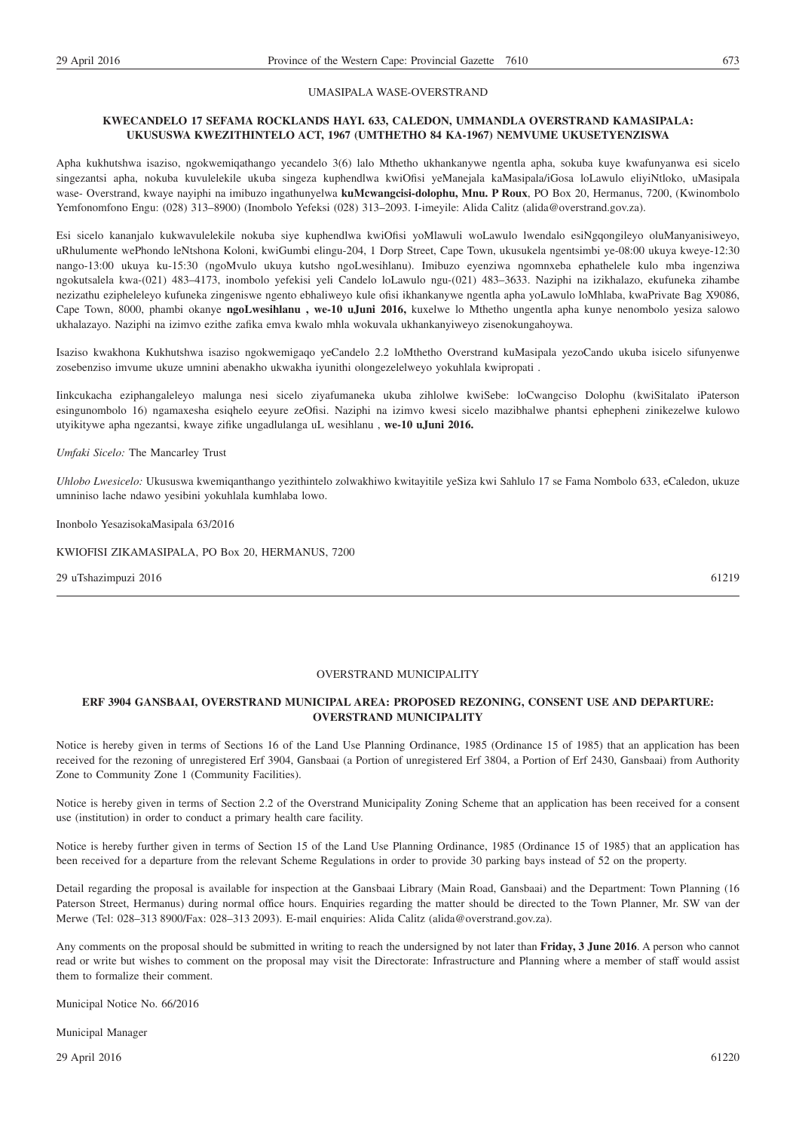#### UMASIPALA WASE-OVERSTRAND

#### **KWECANDELO 17 SEFAMA ROCKLANDS HAYI. 633, CALEDON, UMMANDLA OVERSTRAND KAMASIPALA: UKUSUSWA KWEZITHINTELO ACT, 1967 (UMTHETHO 84 KA-1967) NEMVUME UKUSETYENZISWA**

Apha kukhutshwa isaziso, ngokwemiqathango yecandelo 3(6) lalo Mthetho ukhankanywe ngentla apha, sokuba kuye kwafunyanwa esi sicelo singezantsi apha, nokuba kuvulelekile ukuba singeza kuphendlwa kwiOfisi yeManejala kaMasipala/iGosa loLawulo eliyiNtloko, uMasipala wase- Overstrand, kwaye nayiphi na imibuzo ingathunyelwa **kuMcwangcisi-dolophu, Mnu. P Roux**, PO Box 20, Hermanus, 7200, (Kwinombolo Yemfonomfono Engu: (028) 313–8900) (Inombolo Yefeksi (028) 313–2093. I-imeyile: Alida Calitz (alida@overstrand.gov.za).

Esi sicelo kananjalo kukwavulelekile nokuba siye kuphendlwa kwiOfisi yoMlawuli woLawulo lwendalo esiNgqongileyo oluManyanisiweyo, uRhulumente wePhondo leNtshona Koloni, kwiGumbi elingu-204, 1 Dorp Street, Cape Town, ukusukela ngentsimbi ye-08:00 ukuya kweye-12:30 nango-13:00 ukuya ku-15:30 (ngoMvulo ukuya kutsho ngoLwesihlanu). Imibuzo eyenziwa ngomnxeba ephathelele kulo mba ingenziwa ngokutsalela kwa-(021) 483–4173, inombolo yefekisi yeli Candelo loLawulo ngu-(021) 483–3633. Naziphi na izikhalazo, ekufuneka zihambe nezizathu ezipheleleyo kufuneka zingeniswe ngento ebhaliweyo kule ofisi ikhankanywe ngentla apha yoLawulo loMhlaba, kwaPrivate Bag X9086, Cape Town, 8000, phambi okanye **ngoLwesihlanu , we-10 uJuni 2016,** kuxelwe lo Mthetho ungentla apha kunye nenombolo yesiza salowo ukhalazayo. Naziphi na izimvo ezithe zafika emva kwalo mhla wokuvala ukhankanyiweyo zisenokungahoywa.

Isaziso kwakhona Kukhutshwa isaziso ngokwemigaqo yeCandelo 2.2 loMthetho Overstrand kuMasipala yezoCando ukuba isicelo sifunyenwe zosebenziso imvume ukuze umnini abenakho ukwakha iyunithi olongezelelweyo yokuhlala kwipropati .

Iinkcukacha eziphangaleleyo malunga nesi sicelo ziyafumaneka ukuba zihlolwe kwiSebe: loCwangciso Dolophu (kwiSitalato iPaterson esingunombolo 16) ngamaxesha esiqhelo eeyure zeOfisi. Naziphi na izimvo kwesi sicelo mazibhalwe phantsi ephepheni zinikezelwe kulowo utyikitywe apha ngezantsi, kwaye zifike ungadlulanga uL wesihlanu , **we-10 uJuni 2016.**

*Umfaki Sicelo:* The Mancarley Trust

*Uhlobo Lwesicelo:* Ukususwa kwemiqanthango yezithintelo zolwakhiwo kwitayitile yeSiza kwi Sahlulo 17 se Fama Nombolo 633, eCaledon, ukuze umniniso lache ndawo yesibini yokuhlala kumhlaba lowo.

Inonbolo YesazisokaMasipala 63/2016

KWIOFISI ZIKAMASIPALA, PO Box 20, HERMANUS, 7200

29 uTshazimpuzi 2016 61219

#### OVERSTRAND MUNICIPALITY

#### **ERF 3904 GANSBAAI, OVERSTRAND MUNICIPAL AREA: PROPOSED REZONING, CONSENT USE AND DEPARTURE: OVERSTRAND MUNICIPALITY**

Notice is hereby given in terms of Sections 16 of the Land Use Planning Ordinance, 1985 (Ordinance 15 of 1985) that an application has been received for the rezoning of unregistered Erf 3904, Gansbaai (a Portion of unregistered Erf 3804, a Portion of Erf 2430, Gansbaai) from Authority Zone to Community Zone 1 (Community Facilities).

Notice is hereby given in terms of Section 2.2 of the Overstrand Municipality Zoning Scheme that an application has been received for a consent use (institution) in order to conduct a primary health care facility.

Notice is hereby further given in terms of Section 15 of the Land Use Planning Ordinance, 1985 (Ordinance 15 of 1985) that an application has been received for a departure from the relevant Scheme Regulations in order to provide 30 parking bays instead of 52 on the property.

Detail regarding the proposal is available for inspection at the Gansbaai Library (Main Road, Gansbaai) and the Department: Town Planning (16 Paterson Street, Hermanus) during normal office hours. Enquiries regarding the matter should be directed to the Town Planner, Mr. SW van der Merwe (Tel: 028–313 8900/Fax: 028–313 2093). E-mail enquiries: Alida Calitz (alida@overstrand.gov.za).

Any comments on the proposal should be submitted in writing to reach the undersigned by not later than **Friday, 3 June 2016**. A person who cannot read or write but wishes to comment on the proposal may visit the Directorate: Infrastructure and Planning where a member of staff would assist them to formalize their comment.

Municipal Notice No. 66/2016

Municipal Manager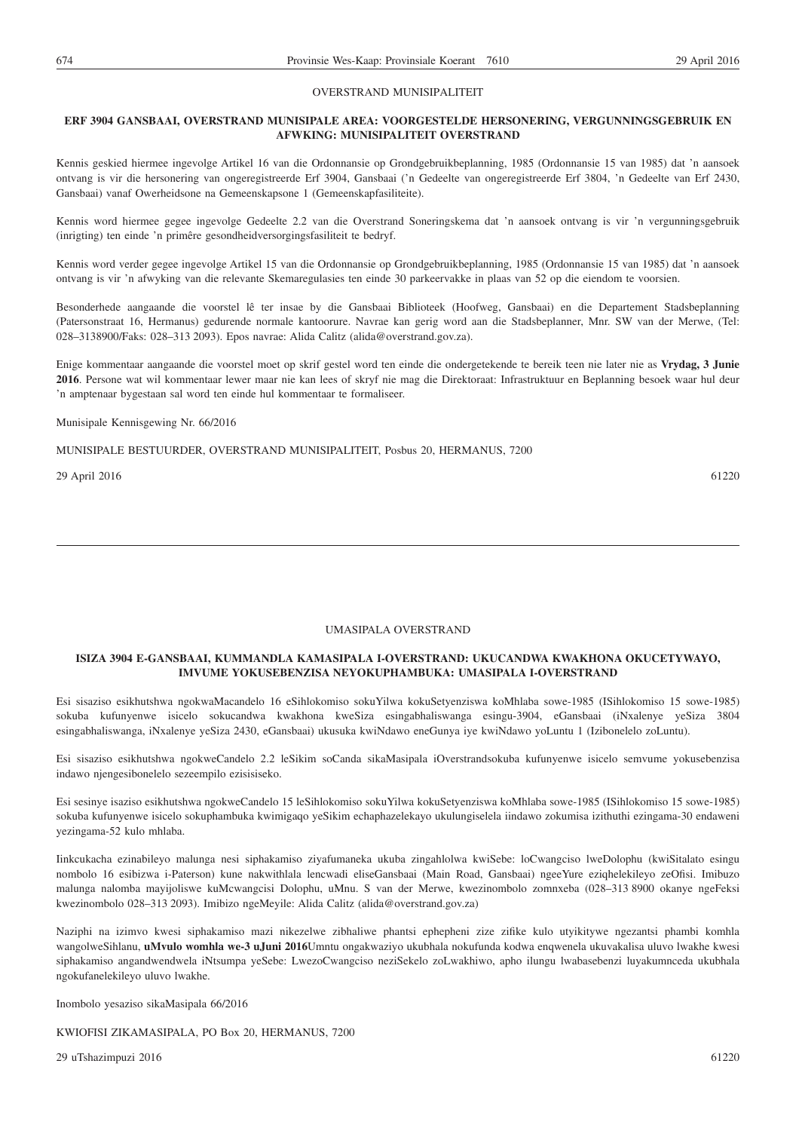#### OVERSTRAND MUNISIPALITEIT

#### **ERF 3904 GANSBAAI, OVERSTRAND MUNISIPALE AREA: VOORGESTELDE HERSONERING, VERGUNNINGSGEBRUIK EN AFWKING: MUNISIPALITEIT OVERSTRAND**

Kennis geskied hiermee ingevolge Artikel 16 van die Ordonnansie op Grondgebruikbeplanning, 1985 (Ordonnansie 15 van 1985) dat 'n aansoek ontvang is vir die hersonering van ongeregistreerde Erf 3904, Gansbaai ('n Gedeelte van ongeregistreerde Erf 3804, 'n Gedeelte van Erf 2430, Gansbaai) vanaf Owerheidsone na Gemeenskapsone 1 (Gemeenskapfasiliteite).

Kennis word hiermee gegee ingevolge Gedeelte 2.2 van die Overstrand Soneringskema dat 'n aansoek ontvang is vir 'n vergunningsgebruik (inrigting) ten einde 'n primêre gesondheidversorgingsfasiliteit te bedryf.

Kennis word verder gegee ingevolge Artikel 15 van die Ordonnansie op Grondgebruikbeplanning, 1985 (Ordonnansie 15 van 1985) dat 'n aansoek ontvang is vir 'n afwyking van die relevante Skemaregulasies ten einde 30 parkeervakke in plaas van 52 op die eiendom te voorsien.

Besonderhede aangaande die voorstel lê ter insae by die Gansbaai Biblioteek (Hoofweg, Gansbaai) en die Departement Stadsbeplanning (Patersonstraat 16, Hermanus) gedurende normale kantoorure. Navrae kan gerig word aan die Stadsbeplanner, Mnr. SW van der Merwe, (Tel: 028–3138900/Faks: 028–313 2093). Epos navrae: Alida Calitz (alida@overstrand.gov.za).

Enige kommentaar aangaande die voorstel moet op skrif gestel word ten einde die ondergetekende te bereik teen nie later nie as **Vrydag, 3 Junie 2016**. Persone wat wil kommentaar lewer maar nie kan lees of skryf nie mag die Direktoraat: Infrastruktuur en Beplanning besoek waar hul deur 'n amptenaar bygestaan sal word ten einde hul kommentaar te formaliseer.

Munisipale Kennisgewing Nr. 66/2016

MUNISIPALE BESTUURDER, OVERSTRAND MUNISIPALITEIT, Posbus 20, HERMANUS, 7200

29 April 2016 61220

UMASIPALA OVERSTRAND

#### **ISIZA 3904 E-GANSBAAI, KUMMANDLA KAMASIPALA I-OVERSTRAND: UKUCANDWA KWAKHONA OKUCETYWAYO, IMVUME YOKUSEBENZISA NEYOKUPHAMBUKA: UMASIPALA I-OVERSTRAND**

Esi sisaziso esikhutshwa ngokwaMacandelo 16 eSihlokomiso sokuYilwa kokuSetyenziswa koMhlaba sowe-1985 (ISihlokomiso 15 sowe-1985) sokuba kufunyenwe isicelo sokucandwa kwakhona kweSiza esingabhaliswanga esingu-3904, eGansbaai (iNxalenye yeSiza 3804 esingabhaliswanga, iNxalenye yeSiza 2430, eGansbaai) ukusuka kwiNdawo eneGunya iye kwiNdawo yoLuntu 1 (Izibonelelo zoLuntu).

Esi sisaziso esikhutshwa ngokweCandelo 2.2 leSikim soCanda sikaMasipala iOverstrandsokuba kufunyenwe isicelo semvume yokusebenzisa indawo njengesibonelelo sezeempilo ezisisiseko.

Esi sesinye isaziso esikhutshwa ngokweCandelo 15 leSihlokomiso sokuYilwa kokuSetyenziswa koMhlaba sowe-1985 (ISihlokomiso 15 sowe-1985) sokuba kufunyenwe isicelo sokuphambuka kwimigaqo yeSikim echaphazelekayo ukulungiselela iindawo zokumisa izithuthi ezingama-30 endaweni yezingama-52 kulo mhlaba.

Iinkcukacha ezinabileyo malunga nesi siphakamiso ziyafumaneka ukuba zingahlolwa kwiSebe: loCwangciso lweDolophu (kwiSitalato esingu nombolo 16 esibizwa i-Paterson) kune nakwithlala lencwadi eliseGansbaai (Main Road, Gansbaai) ngeeYure eziqhelekileyo zeOfisi. Imibuzo malunga nalomba mayijoliswe kuMcwangcisi Dolophu, uMnu. S van der Merwe, kwezinombolo zomnxeba (028–313 8900 okanye ngeFeksi kwezinombolo 028–313 2093). Imibizo ngeMeyile: Alida Calitz (alida@overstrand.gov.za)

Naziphi na izimvo kwesi siphakamiso mazi nikezelwe zibhaliwe phantsi ephepheni zize zifike kulo utyikitywe ngezantsi phambi komhla wangolweSihlanu, **uMvulo womhla we-3 uJuni 2016**Umntu ongakwaziyo ukubhala nokufunda kodwa enqwenela ukuvakalisa uluvo lwakhe kwesi siphakamiso angandwendwela iNtsumpa yeSebe: LwezoCwangciso neziSekelo zoLwakhiwo, apho ilungu lwabasebenzi luyakumnceda ukubhala ngokufanelekileyo uluvo lwakhe.

Inombolo yesaziso sikaMasipala 66/2016

KWIOFISI ZIKAMASIPALA, PO Box 20, HERMANUS, 7200

29 uTshazimpuzi 2016 61220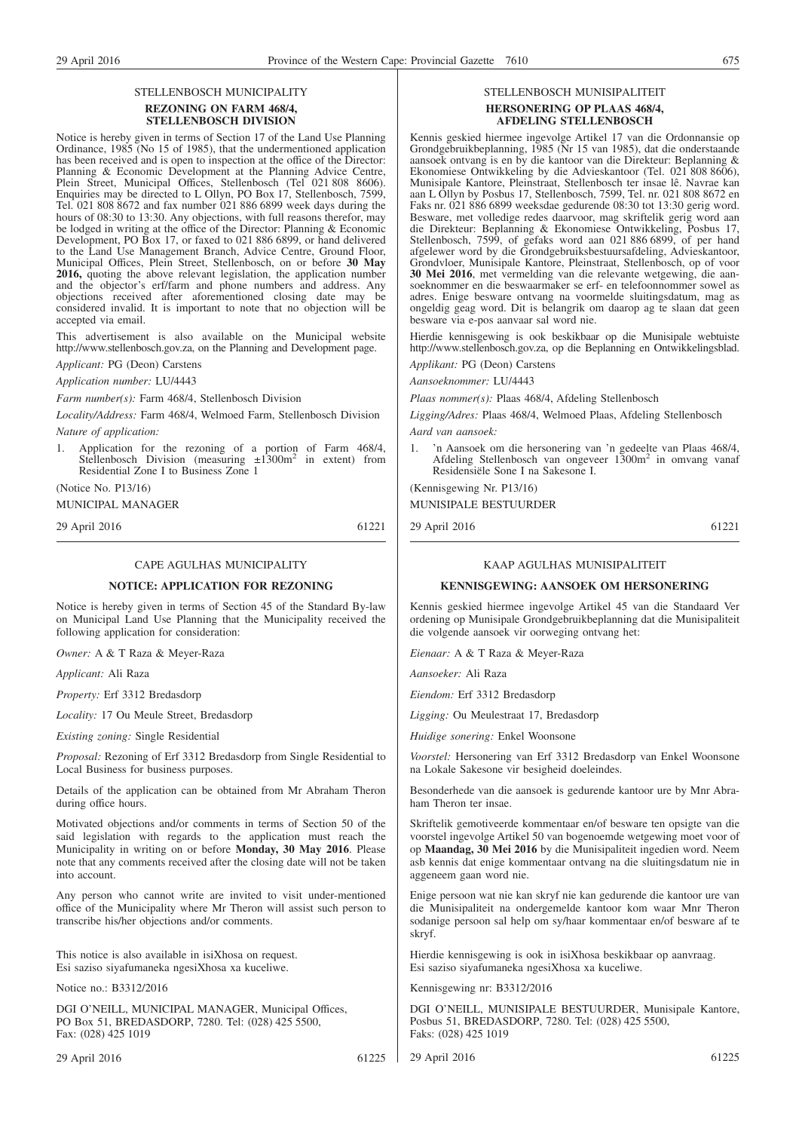#### STELLENBOSCH MUNICIPALITY **REZONING ON FARM 468/4, STELLENBOSCH DIVISION**

Notice is hereby given in terms of Section 17 of the Land Use Planning Ordinance, 1985 (No 15 of 1985), that the undermentioned application has been received and is open to inspection at the office of the Director: Planning & Economic Development at the Planning Advice Centre, Plein Street, Municipal Offices, Stellenbosch (Tel 021 808 8606). Enquiries may be directed to L Ollyn, PO Box 17, Stellenbosch, 7599, Tel. 021 808 8672 and fax number 021 886 6899 week days during the hours of 08:30 to 13:30. Any objections, with full reasons therefor, may be lodged in writing at the office of the Director: Planning & Economic Development, PO Box 17, or faxed to 021 886 6899, or hand delivered to the Land Use Management Branch, Advice Centre, Ground Floor, Municipal Offices, Plein Street, Stellenbosch, on or before **30 May 2016,** quoting the above relevant legislation, the application number and the objector's erf/farm and phone numbers and address. Any objections received after aforementioned closing date may be considered invalid. It is important to note that no objection will be accepted via email.

This advertisement is also available on the Municipal website http://www.stellenbosch.gov.za, on the Planning and Development page.

*Applicant:* PG (Deon) Carstens

*Application number:* LU/4443

*Farm number(s):* Farm 468/4, Stellenbosch Division

*Locality/Address:* Farm 468/4, Welmoed Farm, Stellenbosch Division *Nature of application:*

1. Application for the rezoning of a portion of Farm 468/4, Stellenbosch Division (measuring  $\pm 1300$ m<sup>2</sup> in extent) from Residential Zone I to Business Zone 1

(Notice No. P13/16)

MUNICIPAL MANAGER

29 April 2016 61221

#### CAPE AGULHAS MUNICIPALITY

#### **NOTICE: APPLICATION FOR REZONING**

Notice is hereby given in terms of Section 45 of the Standard By-law on Municipal Land Use Planning that the Municipality received the following application for consideration:

*Owner:* A & T Raza & Meyer-Raza

*Applicant:* Ali Raza

*Property:* Erf 3312 Bredasdorp

*Locality:* 17 Ou Meule Street, Bredasdorp

*Existing zoning:* Single Residential

*Proposal:* Rezoning of Erf 3312 Bredasdorp from Single Residential to Local Business for business purposes.

Details of the application can be obtained from Mr Abraham Theron during office hours.

Motivated objections and/or comments in terms of Section 50 of the said legislation with regards to the application must reach the Municipality in writing on or before **Monday, 30 May 2016**. Please note that any comments received after the closing date will not be taken into account.

Any person who cannot write are invited to visit under-mentioned office of the Municipality where Mr Theron will assist such person to transcribe his/her objections and/or comments.

This notice is also available in isiXhosa on request. Esi saziso siyafumaneka ngesiXhosa xa kuceliwe.

Notice no.: B3312/2016

DGI O'NEILL, MUNICIPAL MANAGER, Municipal Offices, PO Box 51, BREDASDORP, 7280. Tel: (028) 425 5500, Fax: (028) 425 1019

#### STELLENBOSCH MUNISIPALITEIT **HERSONERING OP PLAAS 468/4, AFDELING STELLENBOSCH**

Kennis geskied hiermee ingevolge Artikel 17 van die Ordonnansie op Grondgebruikbeplanning, 1985 (Nr 15 van 1985), dat die onderstaande aansoek ontvang is en by die kantoor van die Direkteur: Beplanning & Ekonomiese Ontwikkeling by die Advieskantoor (Tel. 021 808 8606), Munisipale Kantore, Pleinstraat, Stellenbosch ter insae lê. Navrae kan aan L Ollyn by Posbus 17, Stellenbosch, 7599, Tel. nr. 021 808 8672 en Faks nr. 021 886 6899 weeksdae gedurende 08:30 tot 13:30 gerig word. Besware, met volledige redes daarvoor, mag skriftelik gerig word aan die Direkteur: Beplanning & Ekonomiese Ontwikkeling, Posbus 17, Stellenbosch, 7599, of gefaks word aan 021 886 6899, of per hand afgelewer word by die Grondgebruiksbestuursafdeling, Advieskantoor, Grondvloer, Munisipale Kantore, Pleinstraat, Stellenbosch, op of voor **30 Mei 2016**, met vermelding van die relevante wetgewing, die aansoeknommer en die beswaarmaker se erf- en telefoonnommer sowel as adres. Enige besware ontvang na voormelde sluitingsdatum, mag as ongeldig geag word. Dit is belangrik om daarop ag te slaan dat geen besware via e-pos aanvaar sal word nie.

Hierdie kennisgewing is ook beskikbaar op die Munisipale webtuiste http://www.stellenbosch.gov.za, op die Beplanning en Ontwikkelingsblad.

*Applikant:* PG (Deon) Carstens

*Aansoeknommer:* LU/4443

*Plaas nommer(s):* Plaas 468/4, Afdeling Stellenbosch

*Ligging/Adres:* Plaas 468/4, Welmoed Plaas, Afdeling Stellenbosch *Aard van aansoek:*

1. 'n Aansoek om die hersonering van 'n gedeelte van Plaas 468/4,<br>Afdeling Stellenbosch van ongeveer 1300m<sup>2</sup> in omvang vanaf Residensiële Sone I na Sakesone I.

(Kennisgewing Nr. P13/16)

MUNISIPALE BESTUURDER

29 April 2016 61221

#### KAAP AGULHAS MUNISIPALITEIT

#### **KENNISGEWING: AANSOEK OM HERSONERING**

Kennis geskied hiermee ingevolge Artikel 45 van die Standaard Ver ordening op Munisipale Grondgebruikbeplanning dat die Munisipaliteit die volgende aansoek vir oorweging ontvang het:

*Eienaar:* A & T Raza & Meyer-Raza

*Aansoeker:* Ali Raza

*Eiendom:* Erf 3312 Bredasdorp

*Ligging:* Ou Meulestraat 17, Bredasdorp

*Huidige sonering:* Enkel Woonsone

*Voorstel:* Hersonering van Erf 3312 Bredasdorp van Enkel Woonsone na Lokale Sakesone vir besigheid doeleindes.

Besonderhede van die aansoek is gedurende kantoor ure by Mnr Abraham Theron ter insae.

Skriftelik gemotiveerde kommentaar en/of besware ten opsigte van die voorstel ingevolge Artikel 50 van bogenoemde wetgewing moet voor of op **Maandag, 30 Mei 2016** by die Munisipaliteit ingedien word. Neem asb kennis dat enige kommentaar ontvang na die sluitingsdatum nie in aggeneem gaan word nie.

Enige persoon wat nie kan skryf nie kan gedurende die kantoor ure van die Munisipaliteit na ondergemelde kantoor kom waar Mnr Theron sodanige persoon sal help om sy/haar kommentaar en/of besware af te skryf.

Hierdie kennisgewing is ook in isiXhosa beskikbaar op aanvraag. Esi saziso siyafumaneka ngesiXhosa xa kuceliwe.

Kennisgewing nr: B3312/2016

DGI O'NEILL, MUNISIPALE BESTUURDER, Munisipale Kantore, Posbus 51, BREDASDORP, 7280. Tel: (028) 425 5500, Faks: (028) 425 1019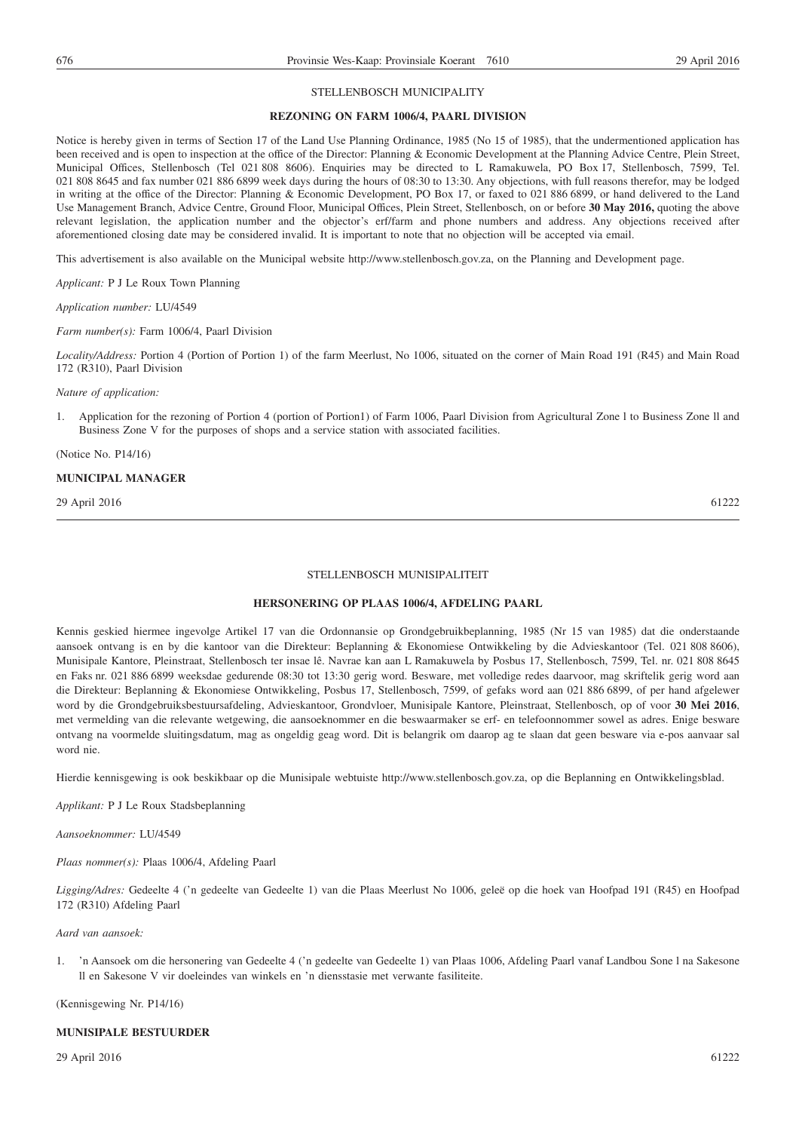#### STELLENBOSCH MUNICIPALITY

#### **REZONING ON FARM 1006/4, PAARL DIVISION**

Notice is hereby given in terms of Section 17 of the Land Use Planning Ordinance, 1985 (No 15 of 1985), that the undermentioned application has been received and is open to inspection at the office of the Director: Planning & Economic Development at the Planning Advice Centre, Plein Street, Municipal Offices, Stellenbosch (Tel 021 808 8606). Enquiries may be directed to L Ramakuwela, PO Box 17, Stellenbosch, 7599, Tel. 021 808 8645 and fax number 021 886 6899 week days during the hours of 08:30 to 13:30. Any objections, with full reasons therefor, may be lodged in writing at the office of the Director: Planning & Economic Development, PO Box 17, or faxed to 021 886 6899, or hand delivered to the Land Use Management Branch, Advice Centre, Ground Floor, Municipal Offices, Plein Street, Stellenbosch, on or before **30 May 2016,** quoting the above relevant legislation, the application number and the objector's erf/farm and phone numbers and address. Any objections received after aforementioned closing date may be considered invalid. It is important to note that no objection will be accepted via email.

This advertisement is also available on the Municipal website http://www.stellenbosch.gov.za, on the Planning and Development page.

*Applicant:* P J Le Roux Town Planning

*Application number:* LU/4549

*Farm number(s):* Farm 1006/4, Paarl Division

*Locality/Address:* Portion 4 (Portion of Portion 1) of the farm Meerlust, No 1006, situated on the corner of Main Road 191 (R45) and Main Road 172 (R310), Paarl Division

*Nature of application:*

1. Application for the rezoning of Portion 4 (portion of Portion1) of Farm 1006, Paarl Division from Agricultural Zone l to Business Zone ll and Business Zone V for the purposes of shops and a service station with associated facilities.

(Notice No. P14/16)

#### **MUNICIPAL MANAGER**

29 April 2016 61222

#### STELLENBOSCH MUNISIPALITEIT

#### **HERSONERING OP PLAAS 1006/4, AFDELING PAARL**

Kennis geskied hiermee ingevolge Artikel 17 van die Ordonnansie op Grondgebruikbeplanning, 1985 (Nr 15 van 1985) dat die onderstaande aansoek ontvang is en by die kantoor van die Direkteur: Beplanning & Ekonomiese Ontwikkeling by die Advieskantoor (Tel. 021 808 8606), Munisipale Kantore, Pleinstraat, Stellenbosch ter insae lê. Navrae kan aan L Ramakuwela by Posbus 17, Stellenbosch, 7599, Tel. nr. 021 808 8645 en Faks nr. 021 886 6899 weeksdae gedurende 08:30 tot 13:30 gerig word. Besware, met volledige redes daarvoor, mag skriftelik gerig word aan die Direkteur: Beplanning & Ekonomiese Ontwikkeling, Posbus 17, Stellenbosch, 7599, of gefaks word aan 021 886 6899, of per hand afgelewer word by die Grondgebruiksbestuursafdeling, Advieskantoor, Grondvloer, Munisipale Kantore, Pleinstraat, Stellenbosch, op of voor **30 Mei 2016**, met vermelding van die relevante wetgewing, die aansoeknommer en die beswaarmaker se erf- en telefoonnommer sowel as adres. Enige besware ontvang na voormelde sluitingsdatum, mag as ongeldig geag word. Dit is belangrik om daarop ag te slaan dat geen besware via e-pos aanvaar sal word nie.

Hierdie kennisgewing is ook beskikbaar op die Munisipale webtuiste http://www.stellenbosch.gov.za, op die Beplanning en Ontwikkelingsblad.

*Applikant:* P J Le Roux Stadsbeplanning

*Aansoeknommer:* LU/4549

*Plaas nommer(s):* Plaas 1006/4, Afdeling Paarl

*Ligging/Adres:* Gedeelte 4 ('n gedeelte van Gedeelte 1) van die Plaas Meerlust No 1006, geleë op die hoek van Hoofpad 191 (R45) en Hoofpad 172 (R310) Afdeling Paarl

#### *Aard van aansoek:*

1. 'n Aansoek om die hersonering van Gedeelte 4 ('n gedeelte van Gedeelte 1) van Plaas 1006, Afdeling Paarl vanaf Landbou Sone l na Sakesone ll en Sakesone V vir doeleindes van winkels en 'n diensstasie met verwante fasiliteite.

(Kennisgewing Nr. P14/16)

#### **MUNISIPALE BESTUURDER**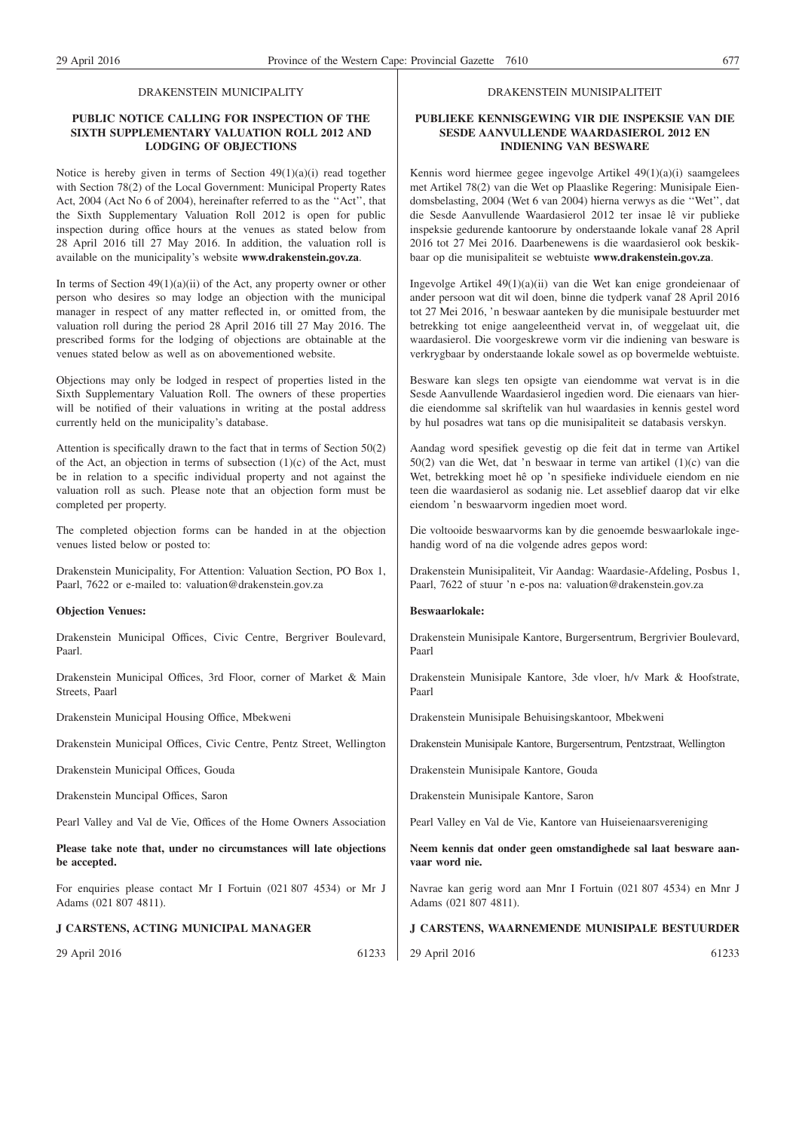#### DRAKENSTEIN MUNICIPALITY

#### **PUBLIC NOTICE CALLING FOR INSPECTION OF THE SIXTH SUPPLEMENTARY VALUATION ROLL 2012 AND LODGING OF OBJECTIONS**

Notice is hereby given in terms of Section  $49(1)(a)(i)$  read together with Section 78(2) of the Local Government: Municipal Property Rates Act, 2004 (Act No 6 of 2004), hereinafter referred to as the ''Act'', that the Sixth Supplementary Valuation Roll 2012 is open for public inspection during office hours at the venues as stated below from 28 April 2016 till 27 May 2016. In addition, the valuation roll is available on the municipality's website **www.drakenstein.gov.za**.

In terms of Section  $49(1)(a)(ii)$  of the Act, any property owner or other person who desires so may lodge an objection with the municipal manager in respect of any matter reflected in, or omitted from, the valuation roll during the period 28 April 2016 till 27 May 2016. The prescribed forms for the lodging of objections are obtainable at the venues stated below as well as on abovementioned website.

Objections may only be lodged in respect of properties listed in the Sixth Supplementary Valuation Roll. The owners of these properties will be notified of their valuations in writing at the postal address currently held on the municipality's database.

Attention is specifically drawn to the fact that in terms of Section 50(2) of the Act, an objection in terms of subsection  $(1)(c)$  of the Act, must be in relation to a specific individual property and not against the valuation roll as such. Please note that an objection form must be completed per property.

The completed objection forms can be handed in at the objection venues listed below or posted to:

Drakenstein Municipality, For Attention: Valuation Section, PO Box 1, Paarl, 7622 or e-mailed to: valuation@drakenstein.gov.za

#### **Objection Venues:**

Drakenstein Municipal Offices, Civic Centre, Bergriver Boulevard, Paarl.

Drakenstein Municipal Offices, 3rd Floor, corner of Market & Main Streets, Paarl

Drakenstein Municipal Housing Office, Mbekweni

Drakenstein Municipal Offices, Civic Centre, Pentz Street, Wellington

Drakenstein Municipal Offices, Gouda

Drakenstein Muncipal Offices, Saron

Pearl Valley and Val de Vie, Offices of the Home Owners Association

**Please take note that, under no circumstances will late objections be accepted.**

For enquiries please contact Mr I Fortuin (021 807 4534) or Mr J Adams (021 807 4811).

#### **J CARSTENS, ACTING MUNICIPAL MANAGER**

29 April 2016 61233

#### DRAKENSTEIN MUNISIPALITEIT

#### **PUBLIEKE KENNISGEWING VIR DIE INSPEKSIE VAN DIE SESDE AANVULLENDE WAARDASIEROL 2012 EN INDIENING VAN BESWARE**

Kennis word hiermee gegee ingevolge Artikel 49(1)(a)(i) saamgelees met Artikel 78(2) van die Wet op Plaaslike Regering: Munisipale Eiendomsbelasting, 2004 (Wet 6 van 2004) hierna verwys as die ''Wet'', dat die Sesde Aanvullende Waardasierol 2012 ter insae lê vir publieke inspeksie gedurende kantoorure by onderstaande lokale vanaf 28 April 2016 tot 27 Mei 2016. Daarbenewens is die waardasierol ook beskikbaar op die munisipaliteit se webtuiste **www.drakenstein.gov.za**.

Ingevolge Artikel 49(1)(a)(ii) van die Wet kan enige grondeienaar of ander persoon wat dit wil doen, binne die tydperk vanaf 28 April 2016 tot 27 Mei 2016, 'n beswaar aanteken by die munisipale bestuurder met betrekking tot enige aangeleentheid vervat in, of weggelaat uit, die waardasierol. Die voorgeskrewe vorm vir die indiening van besware is verkrygbaar by onderstaande lokale sowel as op bovermelde webtuiste.

Besware kan slegs ten opsigte van eiendomme wat vervat is in die Sesde Aanvullende Waardasierol ingedien word. Die eienaars van hierdie eiendomme sal skriftelik van hul waardasies in kennis gestel word by hul posadres wat tans op die munisipaliteit se databasis verskyn.

Aandag word spesifiek gevestig op die feit dat in terme van Artikel 50(2) van die Wet, dat 'n beswaar in terme van artikel (1)(c) van die Wet, betrekking moet hê op 'n spesifieke individuele eiendom en nie teen die waardasierol as sodanig nie. Let asseblief daarop dat vir elke eiendom 'n beswaarvorm ingedien moet word.

Die voltooide beswaarvorms kan by die genoemde beswaarlokale ingehandig word of na die volgende adres gepos word:

Drakenstein Munisipaliteit, Vir Aandag: Waardasie-Afdeling, Posbus 1, Paarl, 7622 of stuur 'n e-pos na: valuation@drakenstein.gov.za

#### **Beswaarlokale:**

Drakenstein Munisipale Kantore, Burgersentrum, Bergrivier Boulevard, Paarl

Drakenstein Munisipale Kantore, 3de vloer, h/v Mark & Hoofstrate, Paarl

Drakenstein Munisipale Behuisingskantoor, Mbekweni

Drakenstein Munisipale Kantore, Burgersentrum, Pentzstraat, Wellington

Drakenstein Munisipale Kantore, Gouda

Drakenstein Munisipale Kantore, Saron

Pearl Valley en Val de Vie, Kantore van Huiseienaarsvereniging

**Neem kennis dat onder geen omstandighede sal laat besware aanvaar word nie.**

Navrae kan gerig word aan Mnr I Fortuin (021 807 4534) en Mnr J Adams (021 807 4811).

#### **J CARSTENS, WAARNEMENDE MUNISIPALE BESTUURDER**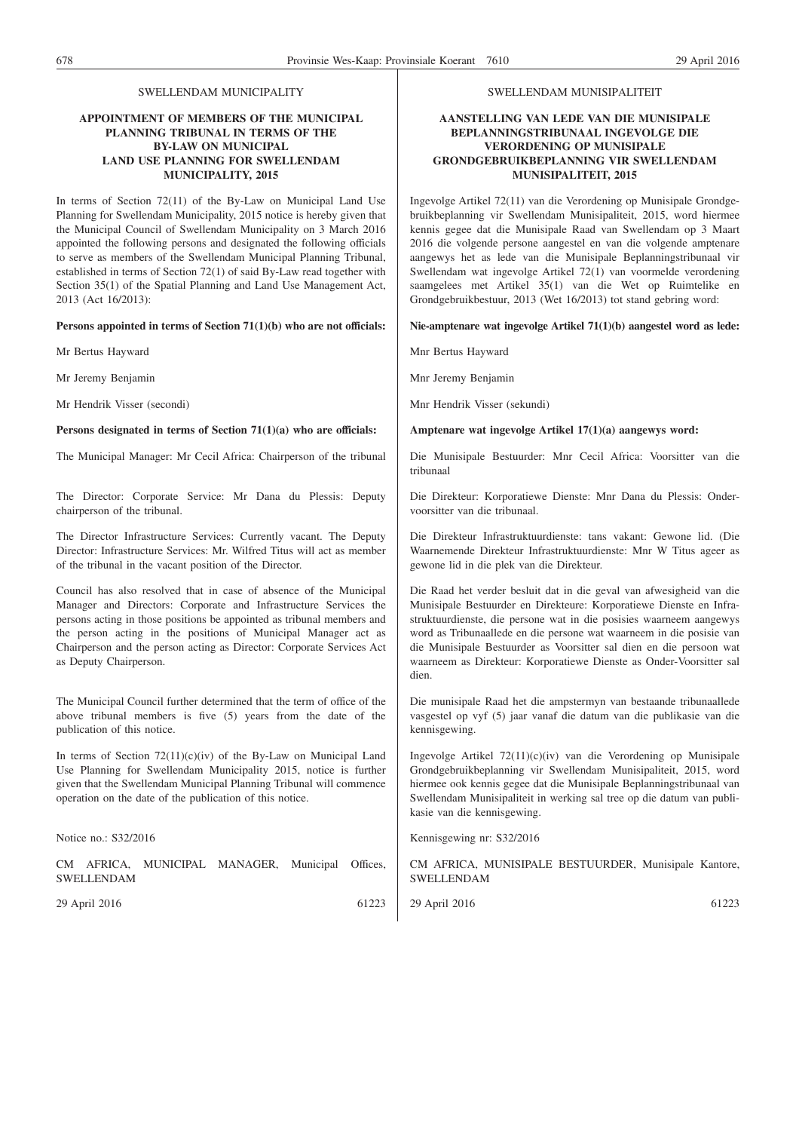#### SWELLENDAM MUNICIPALITY

#### **APPOINTMENT OF MEMBERS OF THE MUNICIPAL PLANNING TRIBUNAL IN TERMS OF THE BY-LAW ON MUNICIPAL LAND USE PLANNING FOR SWELLENDAM MUNICIPALITY, 2015**

In terms of Section 72(11) of the By-Law on Municipal Land Use Planning for Swellendam Municipality, 2015 notice is hereby given that the Municipal Council of Swellendam Municipality on 3 March 2016 appointed the following persons and designated the following officials to serve as members of the Swellendam Municipal Planning Tribunal, established in terms of Section 72(1) of said By-Law read together with Section 35(1) of the Spatial Planning and Land Use Management Act, 2013 (Act 16/2013):

#### **Persons appointed in terms of Section 71(1)(b) who are not officials:**

Mr Bertus Hayward

Mr Jeremy Benjamin

Mr Hendrik Visser (secondi)

#### **Persons designated in terms of Section 71(1)(a) who are officials:**

The Municipal Manager: Mr Cecil Africa: Chairperson of the tribunal

The Director: Corporate Service: Mr Dana du Plessis: Deputy chairperson of the tribunal.

The Director Infrastructure Services: Currently vacant. The Deputy Director: Infrastructure Services: Mr. Wilfred Titus will act as member of the tribunal in the vacant position of the Director.

Council has also resolved that in case of absence of the Municipal Manager and Directors: Corporate and Infrastructure Services the persons acting in those positions be appointed as tribunal members and the person acting in the positions of Municipal Manager act as Chairperson and the person acting as Director: Corporate Services Act as Deputy Chairperson.

The Municipal Council further determined that the term of office of the above tribunal members is five (5) years from the date of the publication of this notice.

In terms of Section  $72(11)(c)(iv)$  of the By-Law on Municipal Land Use Planning for Swellendam Municipality 2015, notice is further given that the Swellendam Municipal Planning Tribunal will commence operation on the date of the publication of this notice.

Notice no.: S32/2016

CM AFRICA, MUNICIPAL MANAGER, Municipal Offices, SWELLENDAM

29 April 2016 61223

#### SWELLENDAM MUNISIPALITEIT

#### **AANSTELLING VAN LEDE VAN DIE MUNISIPALE BEPLANNINGSTRIBUNAAL INGEVOLGE DIE VERORDENING OP MUNISIPALE GRONDGEBRUIKBEPLANNING VIR SWELLENDAM MUNISIPALITEIT, 2015**

Ingevolge Artikel 72(11) van die Verordening op Munisipale Grondgebruikbeplanning vir Swellendam Munisipaliteit, 2015, word hiermee kennis gegee dat die Munisipale Raad van Swellendam op 3 Maart 2016 die volgende persone aangestel en van die volgende amptenare aangewys het as lede van die Munisipale Beplanningstribunaal vir Swellendam wat ingevolge Artikel 72(1) van voormelde verordening saamgelees met Artikel 35(1) van die Wet op Ruimtelike en Grondgebruikbestuur, 2013 (Wet 16/2013) tot stand gebring word:

#### **Nie-amptenare wat ingevolge Artikel 71(1)(b) aangestel word as lede:**

Mnr Bertus Hayward

Mnr Jeremy Benjamin

Mnr Hendrik Visser (sekundi)

#### **Amptenare wat ingevolge Artikel 17(1)(a) aangewys word:**

Die Munisipale Bestuurder: Mnr Cecil Africa: Voorsitter van die tribunaal

Die Direkteur: Korporatiewe Dienste: Mnr Dana du Plessis: Ondervoorsitter van die tribunaal.

Die Direkteur Infrastruktuurdienste: tans vakant: Gewone lid. (Die Waarnemende Direkteur Infrastruktuurdienste: Mnr W Titus ageer as gewone lid in die plek van die Direkteur.

Die Raad het verder besluit dat in die geval van afwesigheid van die Munisipale Bestuurder en Direkteure: Korporatiewe Dienste en Infrastruktuurdienste, die persone wat in die posisies waarneem aangewys word as Tribunaallede en die persone wat waarneem in die posisie van die Munisipale Bestuurder as Voorsitter sal dien en die persoon wat waarneem as Direkteur: Korporatiewe Dienste as Onder-Voorsitter sal dien.

Die munisipale Raad het die ampstermyn van bestaande tribunaallede vasgestel op vyf (5) jaar vanaf die datum van die publikasie van die kennisgewing.

Ingevolge Artikel 72(11)(c)(iv) van die Verordening op Munisipale Grondgebruikbeplanning vir Swellendam Munisipaliteit, 2015, word hiermee ook kennis gegee dat die Munisipale Beplanningstribunaal van Swellendam Munisipaliteit in werking sal tree op die datum van publikasie van die kennisgewing.

Kennisgewing nr: S32/2016

CM AFRICA, MUNISIPALE BESTUURDER, Munisipale Kantore, SWELLENDAM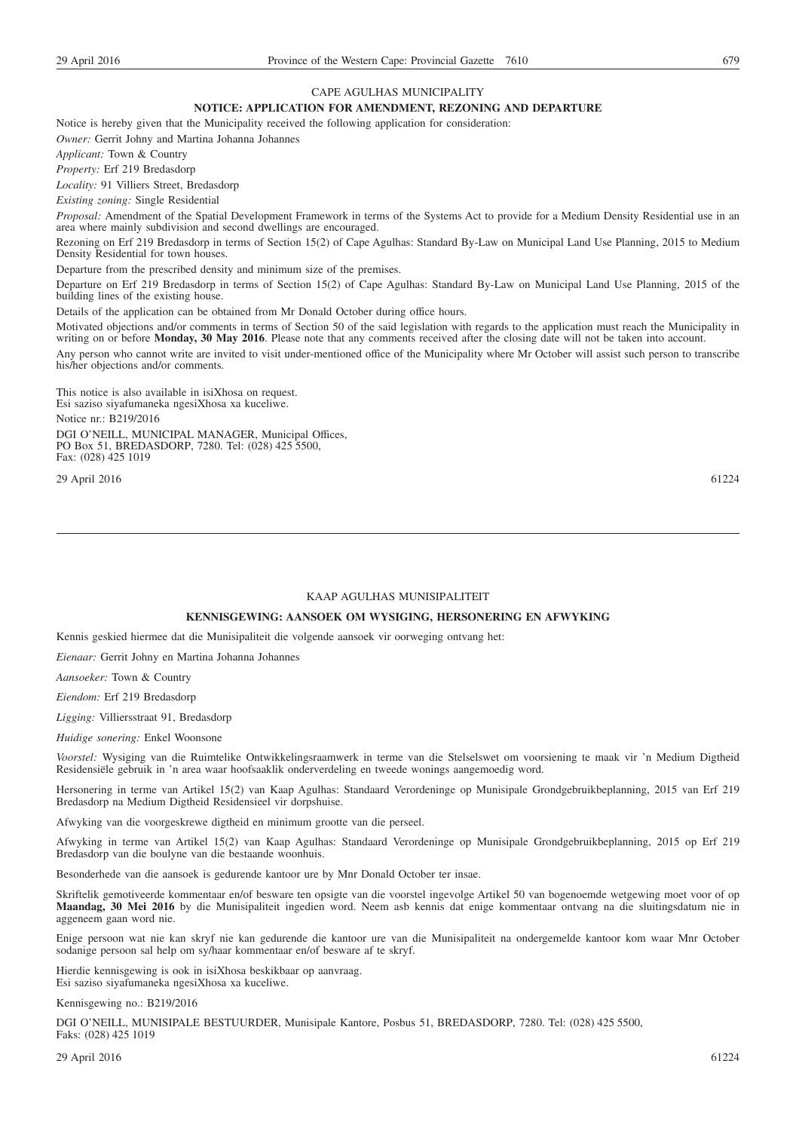#### CAPE AGULHAS MUNICIPALITY

#### **NOTICE: APPLICATION FOR AMENDMENT, REZONING AND DEPARTURE**

Notice is hereby given that the Municipality received the following application for consideration:

*Owner:* Gerrit Johny and Martina Johanna Johannes

*Applicant:* Town & Country

*Property:* Erf 219 Bredasdorp

*Locality:* 91 Villiers Street, Bredasdorp

*Existing zoning:* Single Residential

*Proposal:* Amendment of the Spatial Development Framework in terms of the Systems Act to provide for a Medium Density Residential use in an area where mainly subdivision and second dwellings are encouraged.

Rezoning on Erf 219 Bredasdorp in terms of Section 15(2) of Cape Agulhas: Standard By-Law on Municipal Land Use Planning, 2015 to Medium Density Residential for town houses.

Departure from the prescribed density and minimum size of the premises.

Departure on Erf 219 Bredasdorp in terms of Section 15(2) of Cape Agulhas: Standard By-Law on Municipal Land Use Planning, 2015 of the building lines of the existing house.

Details of the application can be obtained from Mr Donald October during office hours.

Motivated objections and/or comments in terms of Section 50 of the said legislation with regards to the application must reach the Municipality in writing on or before **Monday, 30 May 2016**. Please note that any comments received after the closing date will not be taken into account. Any person who cannot write are invited to visit under-mentioned office of the Municipality where Mr October will assist such person to transcribe his/her objections and/or comments.

This notice is also available in isiXhosa on request. Esi saziso siyafumaneka ngesiXhosa xa kuceliwe. Notice nr.: B219/2016 DGI O'NEILL, MUNICIPAL MANAGER, Municipal Offices, PO Box 51, BREDASDORP, 7280. Tel: (028) 425 5500, Fax: (028) 425 1019

29 April 2016 61224

#### KAAP AGULHAS MUNISIPALITEIT

#### **KENNISGEWING: AANSOEK OM WYSIGING, HERSONERING EN AFWYKING**

Kennis geskied hiermee dat die Munisipaliteit die volgende aansoek vir oorweging ontvang het:

*Eienaar:* Gerrit Johny en Martina Johanna Johannes

*Aansoeker:* Town & Country

*Eiendom:* Erf 219 Bredasdorp

*Ligging:* Villiersstraat 91, Bredasdorp

*Huidige sonering:* Enkel Woonsone

*Voorstel:* Wysiging van die Ruimtelike Ontwikkelingsraamwerk in terme van die Stelselswet om voorsiening te maak vir 'n Medium Digtheid Residensiële gebruik in 'n area waar hoofsaaklik onderverdeling en tweede wonings aangemoedig word.

Hersonering in terme van Artikel 15(2) van Kaap Agulhas: Standaard Verordeninge op Munisipale Grondgebruikbeplanning, 2015 van Erf 219 Bredasdorp na Medium Digtheid Residensieel vir dorpshuise.

Afwyking van die voorgeskrewe digtheid en minimum grootte van die perseel.

Afwyking in terme van Artikel 15(2) van Kaap Agulhas: Standaard Verordeninge op Munisipale Grondgebruikbeplanning, 2015 op Erf 219 Bredasdorp van die boulyne van die bestaande woonhuis.

Besonderhede van die aansoek is gedurende kantoor ure by Mnr Donald October ter insae.

Skriftelik gemotiveerde kommentaar en/of besware ten opsigte van die voorstel ingevolge Artikel 50 van bogenoemde wetgewing moet voor of op **Maandag, 30 Mei 2016** by die Munisipaliteit ingedien word. Neem asb kennis dat enige kommentaar ontvang na die sluitingsdatum nie in aggeneem gaan word nie.

Enige persoon wat nie kan skryf nie kan gedurende die kantoor ure van die Munisipaliteit na ondergemelde kantoor kom waar Mnr October sodanige persoon sal help om sy/haar kommentaar en/of besware af te skryf.

Hierdie kennisgewing is ook in isiXhosa beskikbaar op aanvraag. Esi saziso siyafumaneka ngesiXhosa xa kuceliwe.

Kennisgewing no.: B219/2016

DGI O'NEILL, MUNISIPALE BESTUURDER, Munisipale Kantore, Posbus 51, BREDASDORP, 7280. Tel: (028) 425 5500, Faks: (028) 425 1019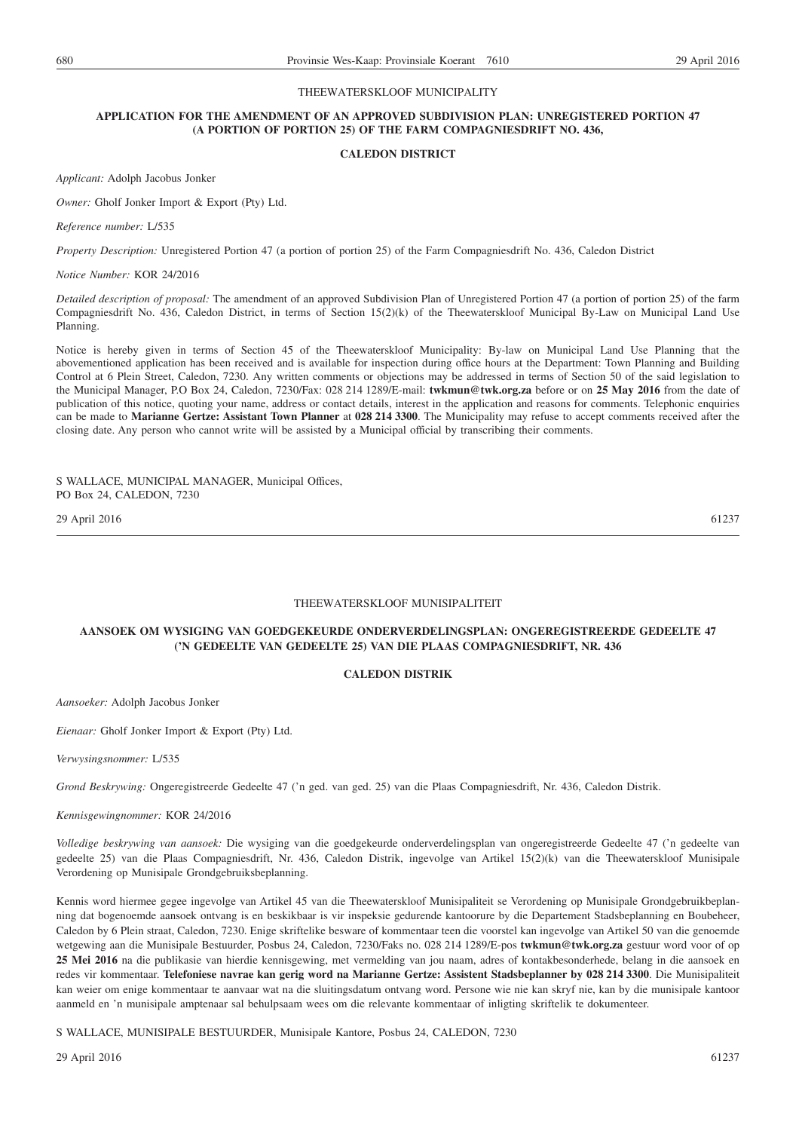#### THEEWATERSKLOOF MUNICIPALITY

#### **APPLICATION FOR THE AMENDMENT OF AN APPROVED SUBDIVISION PLAN: UNREGISTERED PORTION 47 (A PORTION OF PORTION 25) OF THE FARM COMPAGNIESDRIFT NO. 436,**

#### **CALEDON DISTRICT**

*Applicant:* Adolph Jacobus Jonker

*Owner:* Gholf Jonker Import & Export (Pty) Ltd.

*Reference number:* L/535

*Property Description:* Unregistered Portion 47 (a portion of portion 25) of the Farm Compagniesdrift No. 436, Caledon District

*Notice Number:* KOR 24/2016

*Detailed description of proposal:* The amendment of an approved Subdivision Plan of Unregistered Portion 47 (a portion of portion 25) of the farm Compagniesdrift No. 436, Caledon District, in terms of Section 15(2)(k) of the Theewaterskloof Municipal By-Law on Municipal Land Use Planning.

Notice is hereby given in terms of Section 45 of the Theewaterskloof Municipality: By-law on Municipal Land Use Planning that the abovementioned application has been received and is available for inspection during office hours at the Department: Town Planning and Building Control at 6 Plein Street, Caledon, 7230. Any written comments or objections may be addressed in terms of Section 50 of the said legislation to the Municipal Manager, P.O Box 24, Caledon, 7230/Fax: 028 214 1289/E-mail: **twkmun@twk.org.za** before or on **25 May 2016** from the date of publication of this notice, quoting your name, address or contact details, interest in the application and reasons for comments. Telephonic enquiries can be made to **Marianne Gertze: Assistant Town Planner** at **028 214 3300**. The Municipality may refuse to accept comments received after the closing date. Any person who cannot write will be assisted by a Municipal official by transcribing their comments.

S WALLACE, MUNICIPAL MANAGER, Municipal Offices, PO Box 24, CALEDON, 7230

29 April 2016 61237

#### THEEWATERSKLOOF MUNISIPALITEIT

#### **AANSOEK OM WYSIGING VAN GOEDGEKEURDE ONDERVERDELINGSPLAN: ONGEREGISTREERDE GEDEELTE 47 ('N GEDEELTE VAN GEDEELTE 25) VAN DIE PLAAS COMPAGNIESDRIFT, NR. 436**

#### **CALEDON DISTRIK**

*Aansoeker:* Adolph Jacobus Jonker

*Eienaar:* Gholf Jonker Import & Export (Pty) Ltd.

*Verwysingsnommer:* L/535

*Grond Beskrywing:* Ongeregistreerde Gedeelte 47 ('n ged. van ged. 25) van die Plaas Compagniesdrift, Nr. 436, Caledon Distrik.

*Kennisgewingnommer:* KOR 24/2016

*Volledige beskrywing van aansoek:* Die wysiging van die goedgekeurde onderverdelingsplan van ongeregistreerde Gedeelte 47 ('n gedeelte van gedeelte 25) van die Plaas Compagniesdrift, Nr. 436, Caledon Distrik, ingevolge van Artikel 15(2)(k) van die Theewaterskloof Munisipale Verordening op Munisipale Grondgebruiksbeplanning.

Kennis word hiermee gegee ingevolge van Artikel 45 van die Theewaterskloof Munisipaliteit se Verordening op Munisipale Grondgebruikbeplanning dat bogenoemde aansoek ontvang is en beskikbaar is vir inspeksie gedurende kantoorure by die Departement Stadsbeplanning en Boubeheer, Caledon by 6 Plein straat, Caledon, 7230. Enige skriftelike besware of kommentaar teen die voorstel kan ingevolge van Artikel 50 van die genoemde wetgewing aan die Munisipale Bestuurder, Posbus 24, Caledon, 7230/Faks no. 028 214 1289/E-pos **twkmun@twk.org.za** gestuur word voor of op **25 Mei 2016** na die publikasie van hierdie kennisgewing, met vermelding van jou naam, adres of kontakbesonderhede, belang in die aansoek en redes vir kommentaar. **Telefoniese navrae kan gerig word na Marianne Gertze: Assistent Stadsbeplanner by 028 214 3300**. Die Munisipaliteit kan weier om enige kommentaar te aanvaar wat na die sluitingsdatum ontvang word. Persone wie nie kan skryf nie, kan by die munisipale kantoor aanmeld en 'n munisipale amptenaar sal behulpsaam wees om die relevante kommentaar of inligting skriftelik te dokumenteer.

S WALLACE, MUNISIPALE BESTUURDER, Munisipale Kantore, Posbus 24, CALEDON, 7230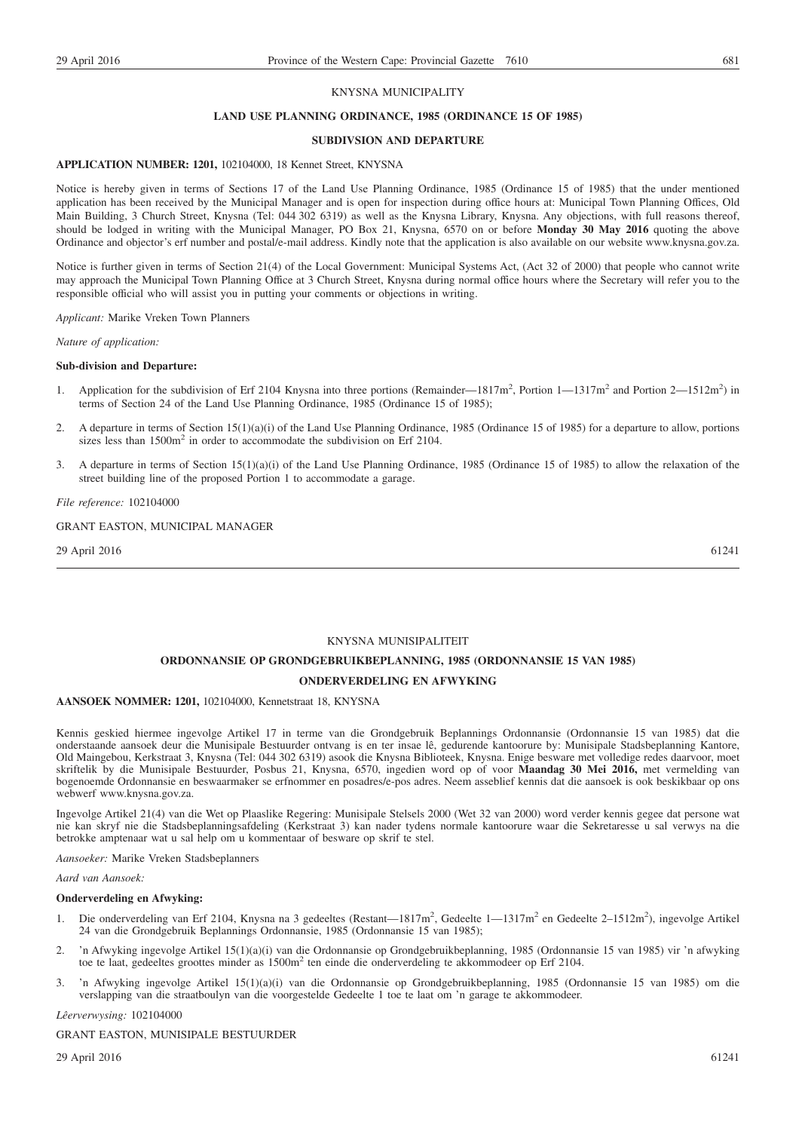#### KNYSNA MUNICIPALITY

#### **LAND USE PLANNING ORDINANCE, 1985 (ORDINANCE 15 OF 1985)**

#### **SUBDIVSION AND DEPARTURE**

#### **APPLICATION NUMBER: 1201,** 102104000, 18 Kennet Street, KNYSNA

Notice is hereby given in terms of Sections 17 of the Land Use Planning Ordinance, 1985 (Ordinance 15 of 1985) that the under mentioned application has been received by the Municipal Manager and is open for inspection during office hours at: Municipal Town Planning Offices, Old Main Building, 3 Church Street, Knysna (Tel: 044 302 6319) as well as the Knysna Library, Knysna. Any objections, with full reasons thereof, should be lodged in writing with the Municipal Manager, PO Box 21, Knysna, 6570 on or before **Monday 30 May 2016** quoting the above Ordinance and objector's erf number and postal/e-mail address. Kindly note that the application is also available on our website www.knysna.gov.za.

Notice is further given in terms of Section 21(4) of the Local Government: Municipal Systems Act, (Act 32 of 2000) that people who cannot write may approach the Municipal Town Planning Office at 3 Church Street, Knysna during normal office hours where the Secretary will refer you to the responsible official who will assist you in putting your comments or objections in writing.

*Applicant:* Marike Vreken Town Planners

*Nature of application:*

#### **Sub-division and Departure:**

- 1. Application for the subdivision of Erf 2104 Knysna into three portions (Remainder—1817m<sup>2</sup>, Portion 1—1317m<sup>2</sup> and Portion 2—1512m<sup>2</sup>) in terms of Section 24 of the Land Use Planning Ordinance, 1985 (Ordinance 15 of 1985);
- 2. A departure in terms of Section 15(1)(a)(i) of the Land Use Planning Ordinance, 1985 (Ordinance 15 of 1985) for a departure to allow, portions sizes less than 1500m<sup>2</sup> in order to accommodate the subdivision on Erf 2104.
- 3. A departure in terms of Section 15(1)(a)(i) of the Land Use Planning Ordinance, 1985 (Ordinance 15 of 1985) to allow the relaxation of the street building line of the proposed Portion 1 to accommodate a garage.

#### *File reference:* 102104000

GRANT EASTON, MUNICIPAL MANAGER

29 April 2016 61241

#### KNYSNA MUNISIPALITEIT

#### **ORDONNANSIE OP GRONDGEBRUIKBEPLANNING, 1985 (ORDONNANSIE 15 VAN 1985)**

#### **ONDERVERDELING EN AFWYKING**

#### **AANSOEK NOMMER: 1201,** 102104000, Kennetstraat 18, KNYSNA

Kennis geskied hiermee ingevolge Artikel 17 in terme van die Grondgebruik Beplannings Ordonnansie (Ordonnansie 15 van 1985) dat die onderstaande aansoek deur die Munisipale Bestuurder ontvang is en ter insae lê, gedurende kantoorure by: Munisipale Stadsbeplanning Kantore, Old Maingebou, Kerkstraat 3, Knysna (Tel: 044 302 6319) asook die Knysna Biblioteek, Knysna. Enige besware met volledige redes daarvoor, moet skriftelik by die Munisipale Bestuurder, Posbus 21, Knysna, 6570, ingedien word op of voor **Maandag 30 Mei 2016,** met vermelding van bogenoemde Ordonnansie en beswaarmaker se erfnommer en posadres/e-pos adres. Neem asseblief kennis dat die aansoek is ook beskikbaar op ons webwerf www.knysna.gov.za.

Ingevolge Artikel 21(4) van die Wet op Plaaslike Regering: Munisipale Stelsels 2000 (Wet 32 van 2000) word verder kennis gegee dat persone wat nie kan skryf nie die Stadsbeplanningsafdeling (Kerkstraat 3) kan nader tydens normale kantoorure waar die Sekretaresse u sal verwys na die betrokke amptenaar wat u sal help om u kommentaar of besware op skrif te stel.

*Aansoeker:* Marike Vreken Stadsbeplanners

#### *Aard van Aansoek:*

#### **Onderverdeling en Afwyking:**

- 1. Die onderverdeling van Erf 2104, Knysna na 3 gedeeltes (Restant—1817m<sup>2</sup>, Gedeelte 1—1317m<sup>2</sup> en Gedeelte 2-1512m<sup>2</sup>), ingevolge Artikel 24 van die Grondgebruik Beplannings Ordonnansie, 1985 (Ordonnansie 15 van 1985);
- 2. 'n Afwyking ingevolge Artikel 15(1)(a)(i) van die Ordonnansie op Grondgebruikbeplanning, 1985 (Ordonnansie 15 van 1985) vir 'n afwyking toe te laat, gedeeltes groottes minder as 1500m<sup>2</sup> ten einde die onderverdeling te akkommodeer op Erf 2104.
- 3. 'n Afwyking ingevolge Artikel 15(1)(a)(i) van die Ordonnansie op Grondgebruikbeplanning, 1985 (Ordonnansie 15 van 1985) om die verslapping van die straatboulyn van die voorgestelde Gedeelte 1 toe te laat om 'n garage te akkommodeer.

*Lêerverwysing:* 102104000

GRANT EASTON, MUNISIPALE BESTUURDER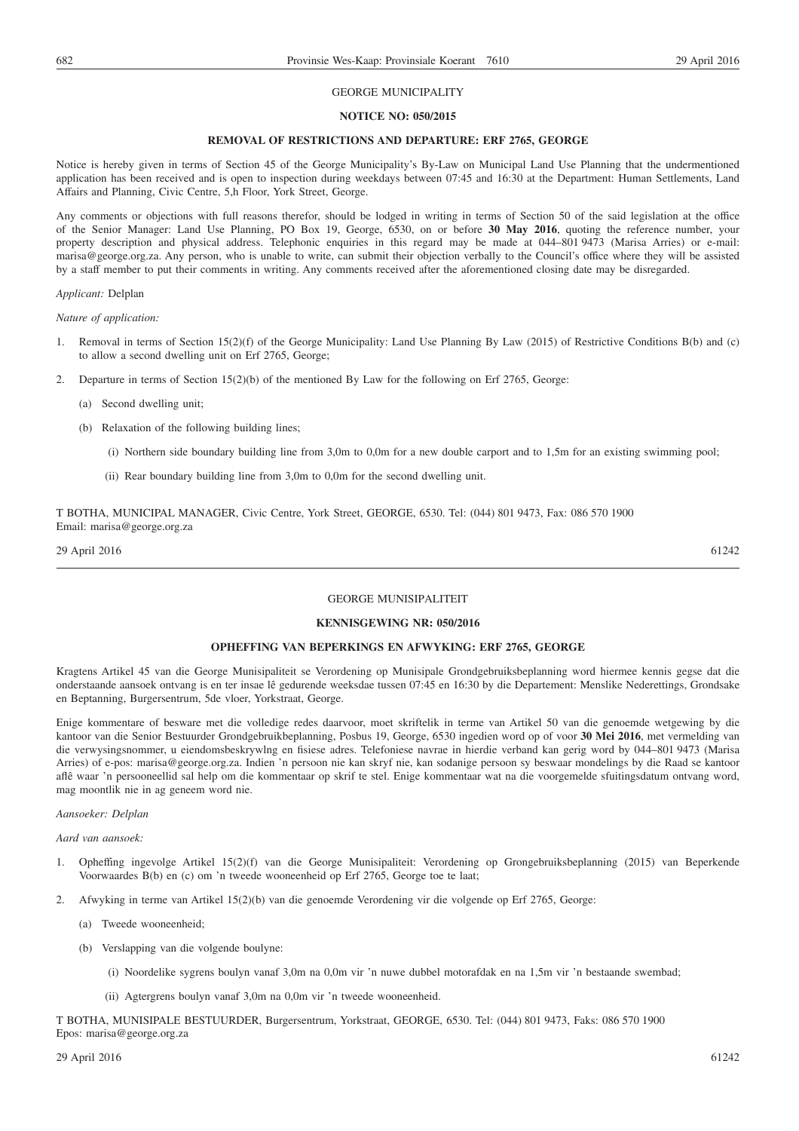#### GEORGE MUNICIPALITY

#### **NOTICE NO: 050/2015**

#### **REMOVAL OF RESTRICTIONS AND DEPARTURE: ERF 2765, GEORGE**

Notice is hereby given in terms of Section 45 of the George Municipality's By-Law on Municipal Land Use Planning that the undermentioned application has been received and is open to inspection during weekdays between 07:45 and 16:30 at the Department: Human Settlements, Land Affairs and Planning, Civic Centre, 5,h Floor, York Street, George.

Any comments or objections with full reasons therefor, should be lodged in writing in terms of Section 50 of the said legislation at the office of the Senior Manager: Land Use Planning, PO Box 19, George, 6530, on or before **30 May 2016**, quoting the reference number, your property description and physical address. Telephonic enquiries in this regard may be made at 044–801 9473 (Marisa Arries) or e-mail: marisa@george.org.za. Any person, who is unable to write, can submit their objection verbally to the Council's office where they will be assisted by a staff member to put their comments in writing. Any comments received after the aforementioned closing date may be disregarded.

#### *Applicant:* Delplan

*Nature of application:*

- 1. Removal in terms of Section 15(2)(f) of the George Municipality: Land Use Planning By Law (2015) of Restrictive Conditions B(b) and (c) to allow a second dwelling unit on Erf 2765, George;
- 2. Departure in terms of Section 15(2)(b) of the mentioned By Law for the following on Erf 2765, George:
	- (a) Second dwelling unit;
	- (b) Relaxation of the following building lines;
		- (i) Northern side boundary building line from 3,0m to 0,0m for a new double carport and to 1,5m for an existing swimming pool;
		- (ii) Rear boundary building line from 3,0m to 0,0m for the second dwelling unit.

T BOTHA, MUNICIPAL MANAGER, Civic Centre, York Street, GEORGE, 6530. Tel: (044) 801 9473, Fax: 086 570 1900 Email: marisa@george.org.za

29 April 2016 61242

#### GEORGE MUNISIPALITEIT

#### **KENNISGEWING NR: 050/2016**

#### **OPHEFFING VAN BEPERKINGS EN AFWYKING: ERF 2765, GEORGE**

Kragtens Artikel 45 van die George Munisipaliteit se Verordening op Munisipale Grondgebruiksbeplanning word hiermee kennis gegse dat die onderstaande aansoek ontvang is en ter insae lê gedurende weeksdae tussen 07:45 en 16:30 by die Departement: Menslike Nederettings, Grondsake en Beptanning, Burgersentrum, 5de vloer, Yorkstraat, George.

Enige kommentare of besware met die volledige redes daarvoor, moet skriftelik in terme van Artikel 50 van die genoemde wetgewing by die kantoor van die Senior Bestuurder Grondgebruikbeplanning, Posbus 19, George, 6530 ingedien word op of voor **30 Mei 2016**, met vermelding van die verwysingsnommer, u eiendomsbeskrywlng en fisiese adres. Telefoniese navrae in hierdie verband kan gerig word by 044–801 9473 (Marisa Arries) of e-pos: marisa@george.org.za. Indien 'n persoon nie kan skryf nie, kan sodanige persoon sy beswaar mondelings by die Raad se kantoor aflê waar 'n persooneellid sal help om die kommentaar op skrif te stel. Enige kommentaar wat na die voorgemelde sfuitingsdatum ontvang word, mag moontlik nie in ag geneem word nie.

#### *Aansoeker: Delplan*

*Aard van aansoek:*

- 1. Opheffing ingevolge Artikel 15(2)(f) van die George Munisipaliteit: Verordening op Grongebruiksbeplanning (2015) van Beperkende Voorwaardes B(b) en (c) om 'n tweede wooneenheid op Erf 2765, George toe te laat;
- 2. Afwyking in terme van Artikel 15(2)(b) van die genoemde Verordening vir die volgende op Erf 2765, George:
	- (a) Tweede wooneenheid;
	- (b) Verslapping van die volgende boulyne:
		- (i) Noordelike sygrens boulyn vanaf 3,0m na 0,0m vir 'n nuwe dubbel motorafdak en na 1,5m vir 'n bestaande swembad;
		- (ii) Agtergrens boulyn vanaf 3,0m na 0,0m vir 'n tweede wooneenheid.

T BOTHA, MUNISIPALE BESTUURDER, Burgersentrum, Yorkstraat, GEORGE, 6530. Tel: (044) 801 9473, Faks: 086 570 1900 Epos: marisa@george.org.za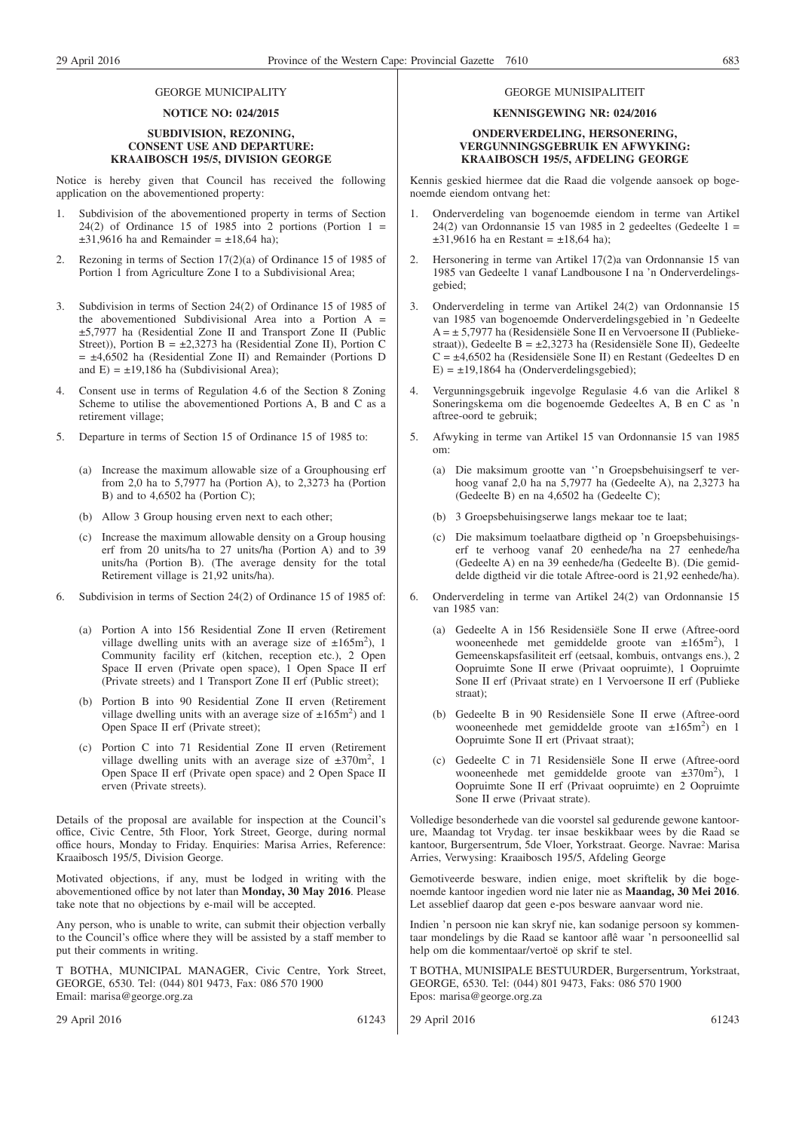#### GEORGE MUNICIPALITY

#### **NOTICE NO: 024/2015**

#### **SUBDIVISION, REZONING, CONSENT USE AND DEPARTURE: KRAAIBOSCH 195/5, DIVISION GEORGE**

Notice is hereby given that Council has received the following application on the abovementioned property:

- 1. Subdivision of the abovementioned property in terms of Section 24(2) of Ordinance 15 of 1985 into 2 portions (Portion  $1 =$  $\pm$ 31,9616 ha and Remainder =  $\pm$ 18,64 ha);
- 2. Rezoning in terms of Section 17(2)(a) of Ordinance 15 of 1985 of Portion 1 from Agriculture Zone I to a Subdivisional Area;
- 3. Subdivision in terms of Section 24(2) of Ordinance 15 of 1985 of the abovementioned Subdivisional Area into a Portion A = ±5,7977 ha (Residential Zone II and Transport Zone II (Public Street)), Portion B =  $\pm 2,3273$  ha (Residential Zone II), Portion C  $= \pm 4,6502$  ha (Residential Zone II) and Remainder (Portions D and  $E$ ) =  $\pm$ 19,186 ha (Subdivisional Area);
- 4. Consent use in terms of Regulation 4.6 of the Section 8 Zoning Scheme to utilise the abovementioned Portions A, B and C as a retirement village;
- 5. Departure in terms of Section 15 of Ordinance 15 of 1985 to:
	- (a) Increase the maximum allowable size of a Grouphousing erf from 2,0 ha to 5,7977 ha (Portion A), to 2,3273 ha (Portion B) and to 4,6502 ha (Portion C);
	- (b) Allow 3 Group housing erven next to each other;
	- (c) Increase the maximum allowable density on a Group housing erf from 20 units/ha to 27 units/ha (Portion A) and to 39 units/ha (Portion B). (The average density for the total Retirement village is 21,92 units/ha).
- 6. Subdivision in terms of Section 24(2) of Ordinance 15 of 1985 of:
	- (a) Portion A into 156 Residential Zone II erven (Retirement village dwelling units with an average size of  $\pm 165$ m<sup>2</sup>), 1 Community facility erf (kitchen, reception etc.), 2 Open Space II erven (Private open space), 1 Open Space II erf (Private streets) and 1 Transport Zone II erf (Public street);
	- (b) Portion B into 90 Residential Zone II erven (Retirement village dwelling units with an average size of  $\pm 165$ m<sup>2</sup>) and 1 Open Space II erf (Private street);
	- (c) Portion C into 71 Residential Zone II erven (Retirement village dwelling units with an average size of  $\pm 370$ m<sup>2</sup>, 1 Open Space II erf (Private open space) and 2 Open Space II erven (Private streets).

Details of the proposal are available for inspection at the Council's office, Civic Centre, 5th Floor, York Street, George, during normal office hours, Monday to Friday. Enquiries: Marisa Arries, Reference: Kraaibosch 195/5, Division George.

Motivated objections, if any, must be lodged in writing with the abovementioned office by not later than **Monday, 30 May 2016**. Please take note that no objections by e-mail will be accepted.

Any person, who is unable to write, can submit their objection verbally to the Council's office where they will be assisted by a staff member to put their comments in writing.

T BOTHA, MUNICIPAL MANAGER, Civic Centre, York Street, GEORGE, 6530. Tel: (044) 801 9473, Fax: 086 570 1900 Email: marisa@george.org.za

29 April 2016 61243

GEORGE MUNISIPALITEIT

#### **KENNISGEWING NR: 024/2016**

#### **ONDERVERDELING, HERSONERING, VERGUNNINGSGEBRUIK EN AFWYKING: KRAAIBOSCH 195/5, AFDELING GEORGE**

Kennis geskied hiermee dat die Raad die volgende aansoek op bogenoemde eiendom ontvang het:

- 1. Onderverdeling van bogenoemde eiendom in terme van Artikel 24(2) van Ordonnansie 15 van 1985 in 2 gedeeltes (Gedeelte 1 =  $\pm$ 31,9616 ha en Restant =  $\pm$ 18,64 ha);
- 2. Hersonering in terme van Artikel 17(2)a van Ordonnansie 15 van 1985 van Gedeelte 1 vanaf Landbousone I na 'n Onderverdelingsgebied;
- 3. Onderverdeling in terme van Artikel 24(2) van Ordonnansie 15 van 1985 van bogenoemde Onderverdelingsgebied in 'n Gedeelte A = ± 5,7977 ha (Residensiële Sone II en Vervoersone II (Publiekestraat)), Gedeelte B = ±2,3273 ha (Residensiële Sone II), Gedeelte C = ±4,6502 ha (Residensiële Sone II) en Restant (Gedeeltes D en  $E$ ) =  $\pm$ 19,1864 ha (Onderverdelingsgebied);
- 4. Vergunningsgebruik ingevolge Regulasie 4.6 van die Arlikel 8 Soneringskema om die bogenoemde Gedeeltes A, B en C as 'n aftree-oord te gebruik;
- 5. Afwyking in terme van Artikel 15 van Ordonnansie 15 van 1985 om:
	- (a) Die maksimum grootte van ''n Groepsbehuisingserf te verhoog vanaf 2,0 ha na 5,7977 ha (Gedeelte A), na 2,3273 ha (Gedeelte B) en na 4,6502 ha (Gedeelte C);
	- (b) 3 Groepsbehuisingserwe langs mekaar toe te laat;
	- (c) Die maksimum toelaatbare digtheid op 'n Groepsbehuisingserf te verhoog vanaf 20 eenhede/ha na 27 eenhede/ha (Gedeelte A) en na 39 eenhede/ha (Gedeelte B). (Die gemiddelde digtheid vir die totale Aftree-oord is 21,92 eenhede/ha).
- 6. Onderverdeling in terme van Artikel 24(2) van Ordonnansie 15 van 1985 van:
	- (a) Gedeelte A in 156 Residensiële Sone II erwe (Aftree-oord wooneenhede met gemiddelde groote van ±165m<sup>2</sup>), 1 Gemeenskapsfasiliteit erf (eetsaal, kombuis, ontvangs ens.), 2 Oopruimte Sone II erwe (Privaat oopruimte), 1 Oopruimte Sone II erf (Privaat strate) en 1 Vervoersone II erf (Publieke straat);
	- (b) Gedeelte B in 90 Residensiële Sone II erwe (Aftree-oord wooneenhede met gemiddelde groote van  $\pm 165$ m<sup>2</sup>) en 1 Oopruimte Sone II ert (Privaat straat);
	- (c) Gedeelte C in 71 Residensiële Sone II erwe (Aftree-oord wooneenhede met gemiddelde groote van ±370m<sup>2</sup>), 1 Oopruimte Sone II erf (Privaat oopruimte) en 2 Oopruimte Sone II erwe (Privaat strate).

Volledige besonderhede van die voorstel sal gedurende gewone kantoorure, Maandag tot Vrydag. ter insae beskikbaar wees by die Raad se kantoor, Burgersentrum, 5de Vloer, Yorkstraat. George. Navrae: Marisa Arries, Verwysing: Kraaibosch 195/5, Afdeling George

Gemotiveerde besware, indien enige, moet skriftelik by die bogenoemde kantoor ingedien word nie later nie as **Maandag, 30 Mei 2016**. Let asseblief daarop dat geen e-pos besware aanvaar word nie.

Indien 'n persoon nie kan skryf nie, kan sodanige persoon sy kommentaar mondelings by die Raad se kantoor aflê waar 'n persooneellid sal help om die kommentaar/vertoë op skrif te stel.

T BOTHA, MUNISIPALE BESTUURDER, Burgersentrum, Yorkstraat, GEORGE, 6530. Tel: (044) 801 9473, Faks: 086 570 1900 Epos: marisa@george.org.za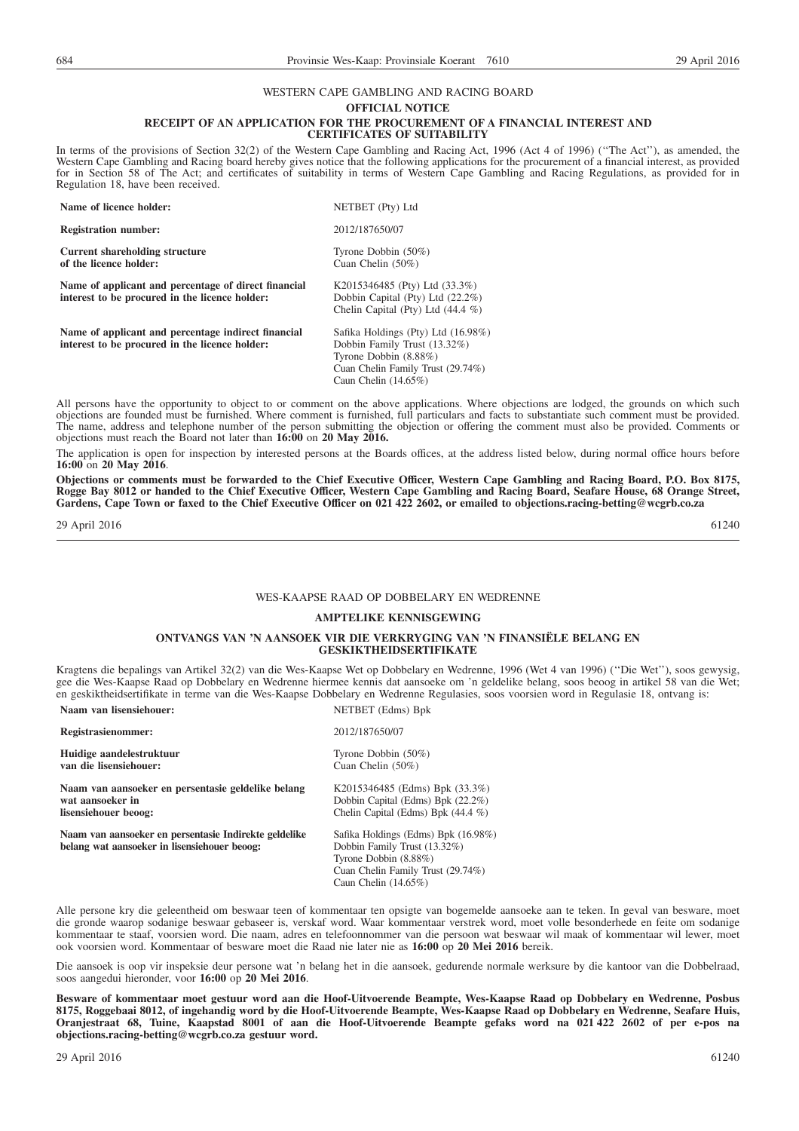## WESTERN CAPE GAMBLING AND RACING BOARD

**OFFICIAL NOTICE**

#### **RECEIPT OF AN APPLICATION FOR THE PROCUREMENT OF A FINANCIAL INTEREST AND**

**CERTIFICATES OF SUITABILITY**

In terms of the provisions of Section 32(2) of the Western Cape Gambling and Racing Act, 1996 (Act 4 of 1996) (''The Act''), as amended, the Western Cape Gambling and Racing board hereby gives notice that the following applications for the procurement of a financial interest, as provided for in Section 58 of The Act; and certificates of suitability in terms of Western Cape Gambling and Racing Regulations, as provided for in Regulation 18, have been received.

| Name of licence holder:                                                                                | NETBET (Pty) Ltd                                                                                                                                            |
|--------------------------------------------------------------------------------------------------------|-------------------------------------------------------------------------------------------------------------------------------------------------------------|
| <b>Registration number:</b>                                                                            | 2012/187650/07                                                                                                                                              |
| Current shareholding structure<br>of the licence holder:                                               | Tyrone Dobbin $(50\%)$<br>Cuan Chelin $(50\%)$                                                                                                              |
| Name of applicant and percentage of direct financial<br>interest to be procured in the licence holder: | K2015346485 (Pty) Ltd $(33.3\%)$<br>Dobbin Capital (Pty) Ltd (22.2%)<br>Chelin Capital (Pty) Ltd $(44.4\%)$                                                 |
| Name of applicant and percentage indirect financial<br>interest to be procured in the licence holder:  | Safika Holdings (Pty) Ltd (16.98%)<br>Dobbin Family Trust (13.32%)<br>Tyrone Dobbin (8.88%)<br>Cuan Chelin Family Trust (29.74%)<br>Caun Chelin $(14.65\%)$ |

All persons have the opportunity to object to or comment on the above applications. Where objections are lodged, the grounds on which such objections are founded must be furnished. Where comment is furnished, full particulars and facts to substantiate such comment must be provided. The name, address and telephone number of the person submitting the objection or offering the comment must also be provided. Comments or objections must reach the Board not later than **16:00** on **20 May 2016.**

The application is open for inspection by interested persons at the Boards offices, at the address listed below, during normal office hours before **16:00** on **20 May 2016**.

**Objections or comments must be forwarded to the Chief Executive Officer, Western Cape Gambling and Racing Board, P.O. Box 8175, Rogge Bay 8012 or handed to the Chief Executive Officer, Western Cape Gambling and Racing Board, Seafare House, 68 Orange Street, Gardens, Cape Town or faxed to the Chief Executive Officer on 021 422 2602, or emailed to objections.racing-betting@wcgrb.co.za**

29 April 2016 61240

#### WES-KAAPSE RAAD OP DOBBELARY EN WEDRENNE

#### **AMPTELIKE KENNISGEWING**

#### **ONTVANGS VAN 'N AANSOEK VIR DIE VERKRYGING VAN 'N FINANSIËLE BELANG EN GESKIKTHEIDSERTIFIKATE**

Kragtens die bepalings van Artikel 32(2) van die Wes-Kaapse Wet op Dobbelary en Wedrenne, 1996 (Wet 4 van 1996) (''Die Wet''), soos gewysig, gee die Wes-Kaapse Raad op Dobbelary en Wedrenne hiermee kennis dat aansoeke om 'n geldelike belang, soos beoog in artikel 58 van die Wet; en geskiktheidsertifikate in terme van die Wes-Kaapse Dobbelary en Wedrenne Regulasies, soos voorsien word in Regulasie 18, ontvang is: **Naam van lisensiehouer:** NETBET (Edms) Bpk

| Registrasienommer:                                                                                    | 2012/187650/07                                                                                                                                               |
|-------------------------------------------------------------------------------------------------------|--------------------------------------------------------------------------------------------------------------------------------------------------------------|
| Huidige aandelestruktuur                                                                              | Tyrone Dobbin $(50\%)$                                                                                                                                       |
| van die lisensiehouer:                                                                                | Cuan Chelin $(50\%)$                                                                                                                                         |
| Naam van aansoeker en persentasie geldelike belang                                                    | K2015346485 (Edms) Bpk (33.3%)                                                                                                                               |
| wat aansoeker in                                                                                      | Dobbin Capital (Edms) Bpk (22.2%)                                                                                                                            |
| lisensiehouer beoog:                                                                                  | Chelin Capital (Edms) Bpk $(44.4\%)$                                                                                                                         |
| Naam van aansoeker en persentasie Indirekte geldelike<br>belang wat aansoeker in lisensiehouer beoog: | Safika Holdings (Edms) Bpk (16.98%)<br>Dobbin Family Trust (13.32%)<br>Tyrone Dobbin (8.88%)<br>Cuan Chelin Family Trust (29.74%)<br>Caun Chelin $(14.65\%)$ |

Alle persone kry die geleentheid om beswaar teen of kommentaar ten opsigte van bogemelde aansoeke aan te teken. In geval van besware, moet die gronde waarop sodanige beswaar gebaseer is, verskaf word. Waar kommentaar verstrek word, moet volle besonderhede en feite om sodanige kommentaar te staaf, voorsien word. Die naam, adres en telefoonnommer van die persoon wat beswaar wil maak of kommentaar wil lewer, moet ook voorsien word. Kommentaar of besware moet die Raad nie later nie as **16:00** op **20 Mei 2016** bereik.

Die aansoek is oop vir inspeksie deur persone wat 'n belang het in die aansoek, gedurende normale werksure by die kantoor van die Dobbelraad, soos aangedui hieronder, voor **16:00** op **20 Mei 2016**.

**Besware of kommentaar moet gestuur word aan die Hoof-Uitvoerende Beampte, Wes-Kaapse Raad op Dobbelary en Wedrenne, Posbus 8175, Roggebaai 8012, of ingehandig word by die Hoof-Uitvoerende Beampte, Wes-Kaapse Raad op Dobbelary en Wedrenne, Seafare Huis, Oranjestraat 68, Tuine, Kaapstad 8001 of aan die Hoof-Uitvoerende Beampte gefaks word na 021 422 2602 of per e-pos na objections.racing-betting@wcgrb.co.za gestuur word.**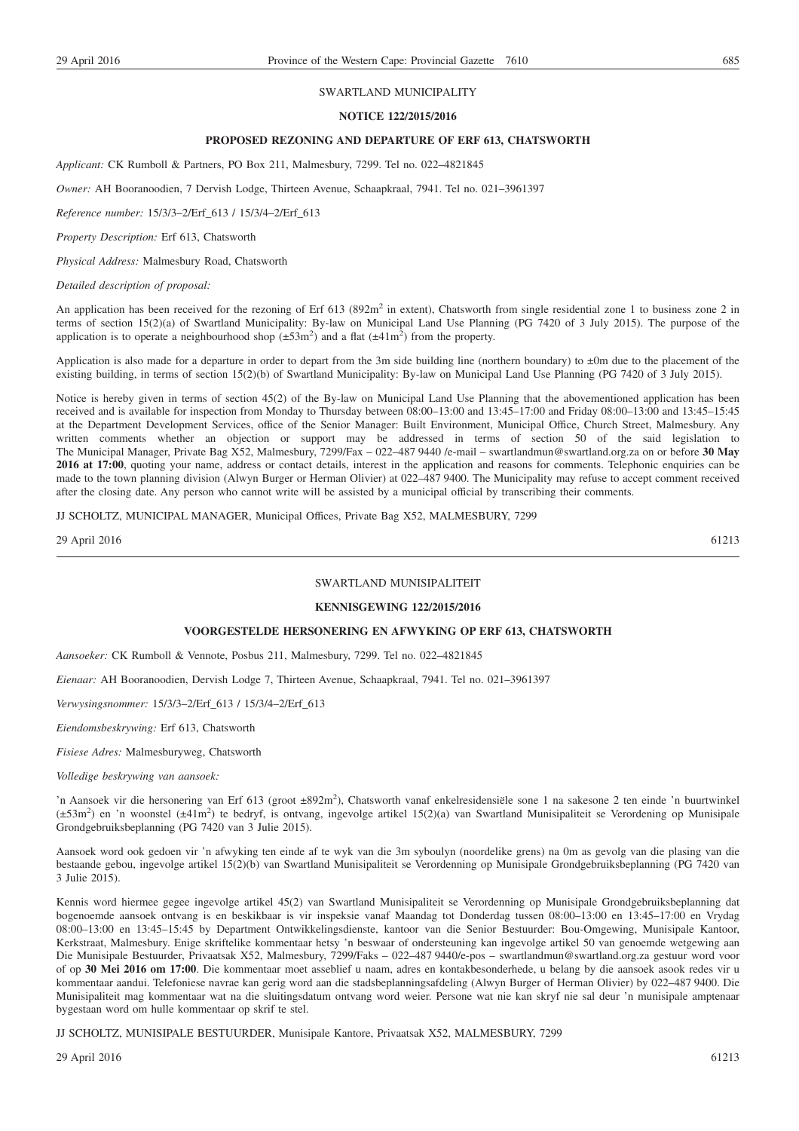#### SWARTLAND MUNICIPALITY

#### **NOTICE 122/2015/2016**

#### **PROPOSED REZONING AND DEPARTURE OF ERF 613, CHATSWORTH**

*Applicant:* CK Rumboll & Partners, PO Box 211, Malmesbury, 7299. Tel no. 022–4821845

*Owner:* AH Booranoodien, 7 Dervish Lodge, Thirteen Avenue, Schaapkraal, 7941. Tel no. 021–3961397

*Reference number:* 15/3/3–2/Erf\_613 / 15/3/4–2/Erf\_613

*Property Description:* Erf 613, Chatsworth

*Physical Address:* Malmesbury Road, Chatsworth

*Detailed description of proposal:*

An application has been received for the rezoning of Erf 613 (892m<sup>2</sup> in extent), Chatsworth from single residential zone 1 to business zone 2 in terms of section 15(2)(a) of Swartland Municipality: By-law on Municipal Land Use Planning (PG 7420 of 3 July 2015). The purpose of the application is to operate a neighbourhood shop  $(\pm 53m^2)$  and a flat  $(\pm 41m^2)$  from the property.

Application is also made for a departure in order to depart from the 3m side building line (northern boundary) to  $\pm 0$ m due to the placement of the existing building, in terms of section 15(2)(b) of Swartland Municipality: By-law on Municipal Land Use Planning (PG 7420 of 3 July 2015).

Notice is hereby given in terms of section 45(2) of the By-law on Municipal Land Use Planning that the abovementioned application has been received and is available for inspection from Monday to Thursday between 08:00–13:00 and 13:45–17:00 and Friday 08:00–13:00 and 13:45–15:45 at the Department Development Services, office of the Senior Manager: Built Environment, Municipal Office, Church Street, Malmesbury. Any written comments whether an objection or support may be addressed in terms of section 50 of the said legislation to The Municipal Manager, Private Bag X52, Malmesbury, 7299/Fax – 022–487 9440 /e-mail – swartlandmun@swartland.org.za on or before **30 May 2016 at 17:00**, quoting your name, address or contact details, interest in the application and reasons for comments. Telephonic enquiries can be made to the town planning division (Alwyn Burger or Herman Olivier) at 022–487 9400. The Municipality may refuse to accept comment received after the closing date. Any person who cannot write will be assisted by a municipal official by transcribing their comments.

JJ SCHOLTZ, MUNICIPAL MANAGER, Municipal Offices, Private Bag X52, MALMESBURY, 7299

29 April 2016 61213

#### SWARTLAND MUNISIPALITEIT

#### **KENNISGEWING 122/2015/2016**

#### **VOORGESTELDE HERSONERING EN AFWYKING OP ERF 613, CHATSWORTH**

*Aansoeker:* CK Rumboll & Vennote, Posbus 211, Malmesbury, 7299. Tel no. 022–4821845

*Eienaar:* AH Booranoodien, Dervish Lodge 7, Thirteen Avenue, Schaapkraal, 7941. Tel no. 021–3961397

*Verwysingsnommer:* 15/3/3–2/Erf\_613 / 15/3/4–2/Erf\_613

*Eiendomsbeskrywing:* Erf 613, Chatsworth

*Fisiese Adres:* Malmesburyweg, Chatsworth

*Volledige beskrywing van aansoek:*

'n Aansoek vir die hersonering van Erf 613 (groot ±892m2 ), Chatsworth vanaf enkelresidensiële sone 1 na sakesone 2 ten einde 'n buurtwinkel (±53m2 ) en 'n woonstel (±41m2 ) te bedryf, is ontvang, ingevolge artikel 15(2)(a) van Swartland Munisipaliteit se Verordening op Munisipale Grondgebruiksbeplanning (PG 7420 van 3 Julie 2015).

Aansoek word ook gedoen vir 'n afwyking ten einde af te wyk van die 3m syboulyn (noordelike grens) na 0m as gevolg van die plasing van die bestaande gebou, ingevolge artikel 15(2)(b) van Swartland Munisipaliteit se Verordenning op Munisipale Grondgebruiksbeplanning (PG 7420 van 3 Julie 2015).

Kennis word hiermee gegee ingevolge artikel 45(2) van Swartland Munisipaliteit se Verordenning op Munisipale Grondgebruiksbeplanning dat bogenoemde aansoek ontvang is en beskikbaar is vir inspeksie vanaf Maandag tot Donderdag tussen 08:00–13:00 en 13:45–17:00 en Vrydag 08:00–13:00 en 13:45–15:45 by Department Ontwikkelingsdienste, kantoor van die Senior Bestuurder: Bou-Omgewing, Munisipale Kantoor, Kerkstraat, Malmesbury. Enige skriftelike kommentaar hetsy 'n beswaar of ondersteuning kan ingevolge artikel 50 van genoemde wetgewing aan Die Munisipale Bestuurder, Privaatsak X52, Malmesbury, 7299/Faks – 022–487 9440/e-pos – swartlandmun@swartland.org.za gestuur word voor of op **30 Mei 2016 om 17:00**. Die kommentaar moet asseblief u naam, adres en kontakbesonderhede, u belang by die aansoek asook redes vir u kommentaar aandui. Telefoniese navrae kan gerig word aan die stadsbeplanningsafdeling (Alwyn Burger of Herman Olivier) by 022–487 9400. Die Munisipaliteit mag kommentaar wat na die sluitingsdatum ontvang word weier. Persone wat nie kan skryf nie sal deur 'n munisipale amptenaar bygestaan word om hulle kommentaar op skrif te stel.

JJ SCHOLTZ, MUNISIPALE BESTUURDER, Munisipale Kantore, Privaatsak X52, MALMESBURY, 7299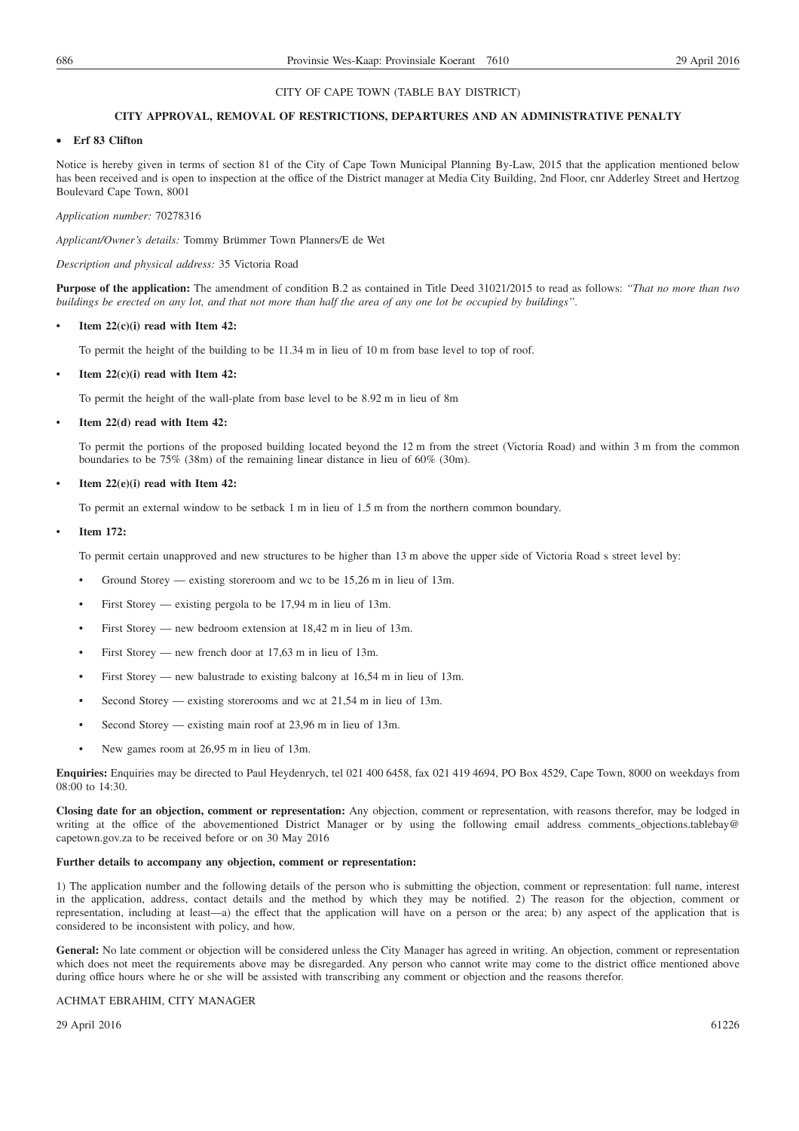#### **CITY APPROVAL, REMOVAL OF RESTRICTIONS, DEPARTURES AND AN ADMINISTRATIVE PENALTY**

#### • **Erf 83 Clifton**

Notice is hereby given in terms of section 81 of the City of Cape Town Municipal Planning By-Law, 2015 that the application mentioned below has been received and is open to inspection at the office of the District manager at Media City Building, 2nd Floor, cnr Adderley Street and Hertzog Boulevard Cape Town, 8001

*Application number:* 70278316

*Applicant/Owner's details:* Tommy Brümmer Town Planners/E de Wet

#### *Description and physical address:* 35 Victoria Road

**Purpose of the application:** The amendment of condition B.2 as contained in Title Deed 31021/2015 to read as follows: *''That no more than two buildings be erected on any lot, and that not more than half the area of any one lot be occupied by buildings''*.

#### • **Item 22(c)(i) read with Item 42:**

To permit the height of the building to be 11.34 m in lieu of 10 m from base level to top of roof.

#### • **Item 22(c)(i) read with Item 42:**

To permit the height of the wall-plate from base level to be 8.92 m in lieu of 8m

#### • **Item 22(d) read with Item 42:**

To permit the portions of the proposed building located beyond the 12 m from the street (Victoria Road) and within 3 m from the common boundaries to be 75% (38m) of the remaining linear distance in lieu of 60% (30m).

#### • **Item 22(e)(i) read with Item 42:**

To permit an external window to be setback 1 m in lieu of 1.5 m from the northern common boundary.

#### • **Item 172:**

To permit certain unapproved and new structures to be higher than 13 m above the upper side of Victoria Road s street level by:

- Ground Storey existing storeroom and wc to be 15,26 m in lieu of 13m.
- First Storey existing pergola to be 17,94 m in lieu of 13m.
- First Storey new bedroom extension at 18,42 m in lieu of 13m.
- First Storey new french door at 17,63 m in lieu of 13m.
- First Storey new balustrade to existing balcony at 16,54 m in lieu of 13m.
- Second Storey existing storerooms and wc at  $21,54$  m in lieu of 13m.
- Second Storey existing main roof at 23,96 m in lieu of 13m.
- New games room at 26,95 m in lieu of 13m.

**Enquiries:** Enquiries may be directed to Paul Heydenrych, tel 021 400 6458, fax 021 419 4694, PO Box 4529, Cape Town, 8000 on weekdays from 08:00 to 14:30.

**Closing date for an objection, comment or representation:** Any objection, comment or representation, with reasons therefor, may be lodged in writing at the office of the abovementioned District Manager or by using the following email address comments\_objections.tablebay@ capetown.gov.za to be received before or on 30 May 2016

#### **Further details to accompany any objection, comment or representation:**

1) The application number and the following details of the person who is submitting the objection, comment or representation: full name, interest in the application, address, contact details and the method by which they may be notified. 2) The reason for the objection, comment or representation, including at least—a) the effect that the application will have on a person or the area; b) any aspect of the application that is considered to be inconsistent with policy, and how.

General: No late comment or objection will be considered unless the City Manager has agreed in writing. An objection, comment or representation which does not meet the requirements above may be disregarded. Any person who cannot write may come to the district office mentioned above during office hours where he or she will be assisted with transcribing any comment or objection and the reasons therefor.

#### ACHMAT EBRAHIM, CITY MANAGER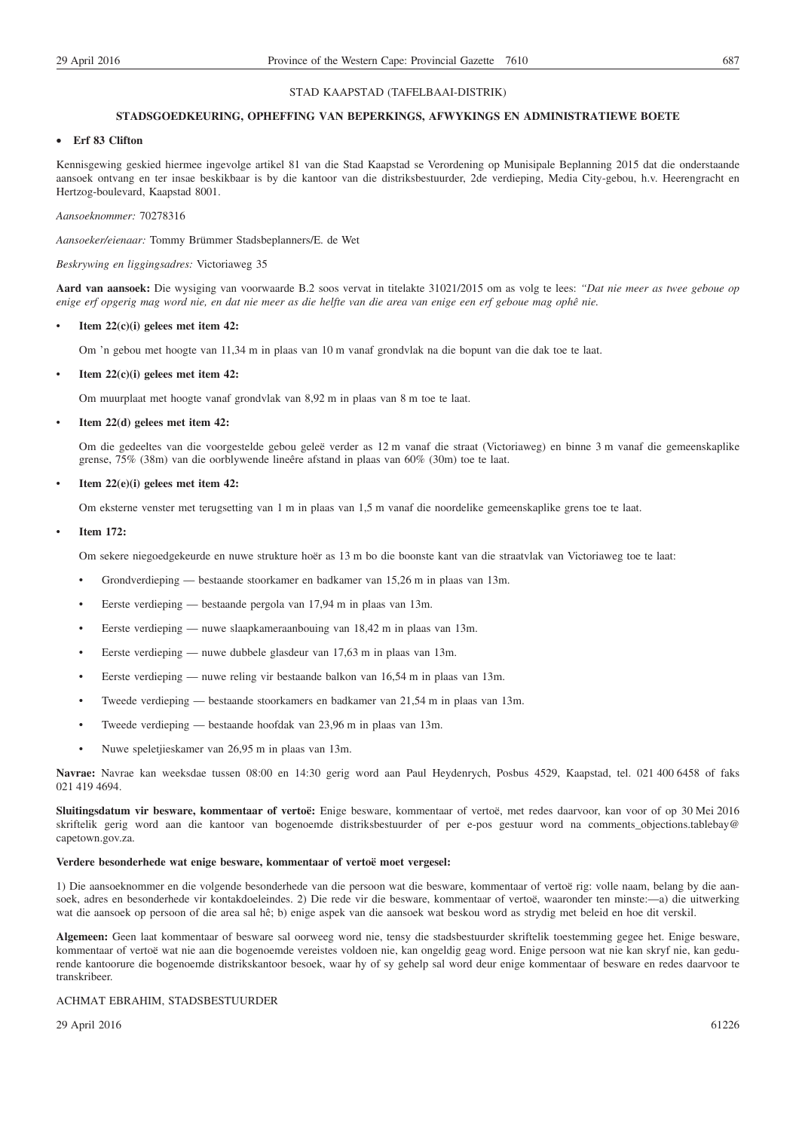#### STAD KAAPSTAD (TAFELBAAI-DISTRIK)

#### **STADSGOEDKEURING, OPHEFFING VAN BEPERKINGS, AFWYKINGS EN ADMINISTRATIEWE BOETE**

#### • **Erf 83 Clifton**

Kennisgewing geskied hiermee ingevolge artikel 81 van die Stad Kaapstad se Verordening op Munisipale Beplanning 2015 dat die onderstaande aansoek ontvang en ter insae beskikbaar is by die kantoor van die distriksbestuurder, 2de verdieping, Media City-gebou, h.v. Heerengracht en Hertzog-boulevard, Kaapstad 8001.

*Aansoeknommer:* 70278316

*Aansoeker/eienaar:* Tommy Brümmer Stadsbeplanners/E. de Wet

#### *Beskrywing en liggingsadres:* Victoriaweg 35

**Aard van aansoek:** Die wysiging van voorwaarde B.2 soos vervat in titelakte 31021/2015 om as volg te lees: *''Dat nie meer as twee geboue op enige erf opgerig mag word nie, en dat nie meer as die helfte van die area van enige een erf geboue mag ophê nie.*

#### • **Item 22(c)(i) gelees met item 42:**

Om 'n gebou met hoogte van 11,34 m in plaas van 10 m vanaf grondvlak na die bopunt van die dak toe te laat.

#### • **Item 22(c)(i) gelees met item 42:**

Om muurplaat met hoogte vanaf grondvlak van 8,92 m in plaas van 8 m toe te laat.

#### • **Item 22(d) gelees met item 42:**

Om die gedeeltes van die voorgestelde gebou geleë verder as 12 m vanaf die straat (Victoriaweg) en binne 3 m vanaf die gemeenskaplike grense, 75% (38m) van die oorblywende lineêre afstand in plaas van 60% (30m) toe te laat.

#### • **Item 22(e)(i) gelees met item 42:**

Om eksterne venster met terugsetting van 1 m in plaas van 1,5 m vanaf die noordelike gemeenskaplike grens toe te laat.

#### • **Item 172:**

Om sekere niegoedgekeurde en nuwe strukture hoër as 13 m bo die boonste kant van die straatvlak van Victoriaweg toe te laat:

- Grondverdieping bestaande stoorkamer en badkamer van 15,26 m in plaas van 13m.
- Eerste verdieping bestaande pergola van 17,94 m in plaas van 13m.
- Eerste verdieping nuwe slaapkameraanbouing van 18,42 m in plaas van 13m.
- Eerste verdieping nuwe dubbele glasdeur van 17,63 m in plaas van 13m.
- Eerste verdieping nuwe reling vir bestaande balkon van 16,54 m in plaas van 13m.
- Tweede verdieping bestaande stoorkamers en badkamer van 21,54 m in plaas van 13m.
- Tweede verdieping bestaande hoofdak van 23,96 m in plaas van 13m.
- Nuwe speletjieskamer van 26,95 m in plaas van 13m.

**Navrae:** Navrae kan weeksdae tussen 08:00 en 14:30 gerig word aan Paul Heydenrych, Posbus 4529, Kaapstad, tel. 021 400 6458 of faks 021 419 4694.

**Sluitingsdatum vir besware, kommentaar of vertoë:** Enige besware, kommentaar of vertoë, met redes daarvoor, kan voor of op 30 Mei 2016 skriftelik gerig word aan die kantoor van bogenoemde distriksbestuurder of per e-pos gestuur word na comments\_objections.tablebay@ capetown.gov.za.

#### **Verdere besonderhede wat enige besware, kommentaar of vertoë moet vergesel:**

1) Die aansoeknommer en die volgende besonderhede van die persoon wat die besware, kommentaar of vertoë rig: volle naam, belang by die aansoek, adres en besonderhede vir kontakdoeleindes. 2) Die rede vir die besware, kommentaar of vertoë, waaronder ten minste:—a) die uitwerking wat die aansoek op persoon of die area sal hê; b) enige aspek van die aansoek wat beskou word as strydig met beleid en hoe dit verskil.

**Algemeen:** Geen laat kommentaar of besware sal oorweeg word nie, tensy die stadsbestuurder skriftelik toestemming gegee het. Enige besware, kommentaar of vertoë wat nie aan die bogenoemde vereistes voldoen nie, kan ongeldig geag word. Enige persoon wat nie kan skryf nie, kan gedurende kantoorure die bogenoemde distrikskantoor besoek, waar hy of sy gehelp sal word deur enige kommentaar of besware en redes daarvoor te transkribeer.

#### ACHMAT EBRAHIM, STADSBESTUURDER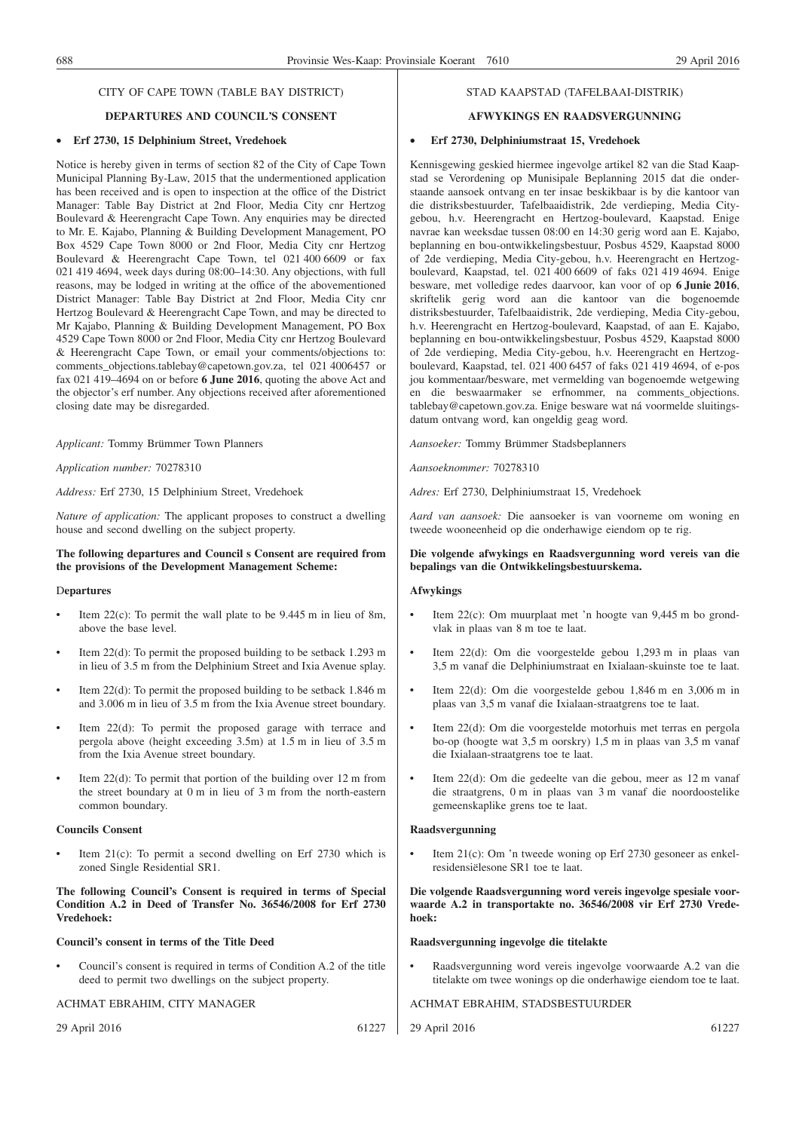#### **DEPARTURES AND COUNCIL'S CONSENT**

#### • **Erf 2730, 15 Delphinium Street, Vredehoek**

Notice is hereby given in terms of section 82 of the City of Cape Town Municipal Planning By-Law, 2015 that the undermentioned application has been received and is open to inspection at the office of the District Manager: Table Bay District at 2nd Floor, Media City cnr Hertzog Boulevard & Heerengracht Cape Town. Any enquiries may be directed to Mr. E. Kajabo, Planning & Building Development Management, PO Box 4529 Cape Town 8000 or 2nd Floor, Media City cnr Hertzog Boulevard & Heerengracht Cape Town, tel 021 400 6609 or fax 021 419 4694, week days during 08:00–14:30. Any objections, with full reasons, may be lodged in writing at the office of the abovementioned District Manager: Table Bay District at 2nd Floor, Media City cnr Hertzog Boulevard & Heerengracht Cape Town, and may be directed to Mr Kajabo, Planning & Building Development Management, PO Box 4529 Cape Town 8000 or 2nd Floor, Media City cnr Hertzog Boulevard & Heerengracht Cape Town, or email your comments/objections to: comments objections.tablebay@capetown.gov.za, tel 021 4006457 or fax 021 419–4694 on or before **6 June 2016**, quoting the above Act and the objector's erf number. Any objections received after aforementioned closing date may be disregarded.

*Applicant:* Tommy Brümmer Town Planners

*Application number:* 70278310

*Address:* Erf 2730, 15 Delphinium Street, Vredehoek

*Nature of application:* The applicant proposes to construct a dwelling house and second dwelling on the subject property.

#### **The following departures and Council s Consent are required from the provisions of the Development Management Scheme:**

#### D**epartures**

- Item 22(c): To permit the wall plate to be 9.445 m in lieu of 8m, above the base level.
- Item  $22(d)$ : To permit the proposed building to be setback 1.293 m in lieu of 3.5 m from the Delphinium Street and Ixia Avenue splay.
- Item  $22(d)$ : To permit the proposed building to be setback 1.846 m and 3.006 m in lieu of 3.5 m from the Ixia Avenue street boundary.
- Item  $22(d)$ : To permit the proposed garage with terrace and pergola above (height exceeding 3.5m) at 1.5 m in lieu of 3.5 m from the Ixia Avenue street boundary.
- Item  $22(d)$ : To permit that portion of the building over 12 m from the street boundary at 0 m in lieu of 3 m from the north-eastern common boundary.

#### **Councils Consent**

Item 21(c): To permit a second dwelling on Erf 2730 which is zoned Single Residential SR1.

**The following Council's Consent is required in terms of Special Condition A.2 in Deed of Transfer No. 36546/2008 for Erf 2730 Vredehoek:**

#### **Council's consent in terms of the Title Deed**

• Council's consent is required in terms of Condition A.2 of the title deed to permit two dwellings on the subject property.

ACHMAT EBRAHIM, CITY MANAGER

29 April 2016 61227

#### STAD KAAPSTAD (TAFELBAAI-DISTRIK)

#### **AFWYKINGS EN RAADSVERGUNNING**

#### • **Erf 2730, Delphiniumstraat 15, Vredehoek**

Kennisgewing geskied hiermee ingevolge artikel 82 van die Stad Kaapstad se Verordening op Munisipale Beplanning 2015 dat die onderstaande aansoek ontvang en ter insae beskikbaar is by die kantoor van die distriksbestuurder, Tafelbaaidistrik, 2de verdieping, Media Citygebou, h.v. Heerengracht en Hertzog-boulevard, Kaapstad. Enige navrae kan weeksdae tussen 08:00 en 14:30 gerig word aan E. Kajabo, beplanning en bou-ontwikkelingsbestuur, Posbus 4529, Kaapstad 8000 of 2de verdieping, Media City-gebou, h.v. Heerengracht en Hertzogboulevard, Kaapstad, tel. 021 400 6609 of faks 021 419 4694. Enige besware, met volledige redes daarvoor, kan voor of op **6 Junie 2016**, skriftelik gerig word aan die kantoor van die bogenoemde distriksbestuurder, Tafelbaaidistrik, 2de verdieping, Media City-gebou, h.v. Heerengracht en Hertzog-boulevard, Kaapstad, of aan E. Kajabo, beplanning en bou-ontwikkelingsbestuur, Posbus 4529, Kaapstad 8000 of 2de verdieping, Media City-gebou, h.v. Heerengracht en Hertzogboulevard, Kaapstad, tel. 021 400 6457 of faks 021 419 4694, of e-pos jou kommentaar/besware, met vermelding van bogenoemde wetgewing en die beswaarmaker se erfnommer, na comments\_objections. tablebay@capetown.gov.za. Enige besware wat ná voormelde sluitingsdatum ontvang word, kan ongeldig geag word.

*Aansoeker:* Tommy Brümmer Stadsbeplanners

*Aansoeknommer:* 70278310

*Adres:* Erf 2730, Delphiniumstraat 15, Vredehoek

*Aard van aansoek:* Die aansoeker is van voorneme om woning en tweede wooneenheid op die onderhawige eiendom op te rig.

#### **Die volgende afwykings en Raadsvergunning word vereis van die bepalings van die Ontwikkelingsbestuurskema.**

#### **Afwykings**

- Item 22(c): Om muurplaat met 'n hoogte van 9,445 m bo grondvlak in plaas van 8 m toe te laat.
- Item 22(d): Om die voorgestelde gebou 1,293 m in plaas van 3,5 m vanaf die Delphiniumstraat en Ixialaan-skuinste toe te laat.
- Item 22(d): Om die voorgestelde gebou 1,846 m en 3,006 m in plaas van 3,5 m vanaf die Ixialaan-straatgrens toe te laat.
- Item 22(d): Om die voorgestelde motorhuis met terras en pergola bo-op (hoogte wat 3,5 m oorskry) 1,5 m in plaas van 3,5 m vanaf die Ixialaan-straatgrens toe te laat.
- Item 22(d): Om die gedeelte van die gebou, meer as 12 m vanaf die straatgrens, 0 m in plaas van 3 m vanaf die noordoostelike gemeenskaplike grens toe te laat.

#### **Raadsvergunning**

• Item 21(c): Om 'n tweede woning op Erf 2730 gesoneer as enkelresidensiëlesone SR1 toe te laat.

**Die volgende Raadsvergunning word vereis ingevolge spesiale voorwaarde A.2 in transportakte no. 36546/2008 vir Erf 2730 Vredehoek:**

#### **Raadsvergunning ingevolge die titelakte**

• Raadsvergunning word vereis ingevolge voorwaarde A.2 van die titelakte om twee wonings op die onderhawige eiendom toe te laat.

#### ACHMAT EBRAHIM, STADSBESTUURDER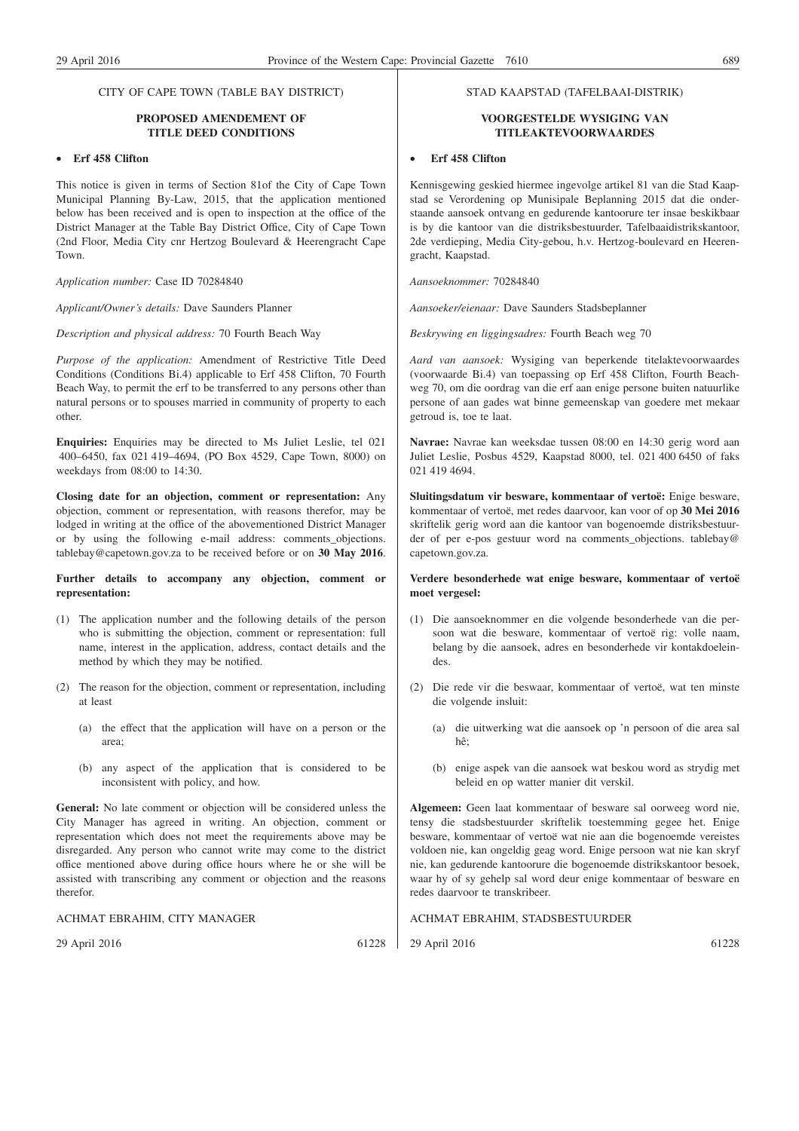#### **PROPOSED AMENDEMENT OF TITLE DEED CONDITIONS**

#### • **Erf 458 Clifton**

This notice is given in terms of Section 81of the City of Cape Town Municipal Planning By-Law, 2015, that the application mentioned below has been received and is open to inspection at the office of the District Manager at the Table Bay District Office, City of Cape Town (2nd Floor, Media City cnr Hertzog Boulevard & Heerengracht Cape Town.

*Application number:* Case ID 70284840

*Applicant/Owner's details:* Dave Saunders Planner

*Description and physical address:* 70 Fourth Beach Way

*Purpose of the application:* Amendment of Restrictive Title Deed Conditions (Conditions Bi.4) applicable to Erf 458 Clifton, 70 Fourth Beach Way, to permit the erf to be transferred to any persons other than natural persons or to spouses married in community of property to each other.

**Enquiries:** Enquiries may be directed to Ms Juliet Leslie, tel 021 400–6450, fax 021 419–4694, (PO Box 4529, Cape Town, 8000) on weekdays from 08:00 to 14:30.

**Closing date for an objection, comment or representation:** Any objection, comment or representation, with reasons therefor, may be lodged in writing at the office of the abovementioned District Manager or by using the following e-mail address: comments\_objections. tablebay@capetown.gov.za to be received before or on **30 May 2016**.

#### **Further details to accompany any objection, comment or representation:**

- (1) The application number and the following details of the person who is submitting the objection, comment or representation: full name, interest in the application, address, contact details and the method by which they may be notified.
- (2) The reason for the objection, comment or representation, including at least
	- (a) the effect that the application will have on a person or the area;
	- (b) any aspect of the application that is considered to be inconsistent with policy, and how.

**General:** No late comment or objection will be considered unless the City Manager has agreed in writing. An objection, comment or representation which does not meet the requirements above may be disregarded. Any person who cannot write may come to the district office mentioned above during office hours where he or she will be assisted with transcribing any comment or objection and the reasons therefor.

#### ACHMAT EBRAHIM, CITY MANAGER

29 April 2016 61228

#### STAD KAAPSTAD (TAFELBAAI-DISTRIK)

#### **VOORGESTELDE WYSIGING VAN TITLEAKTEVOORWAARDES**

#### • **Erf 458 Clifton**

Kennisgewing geskied hiermee ingevolge artikel 81 van die Stad Kaapstad se Verordening op Munisipale Beplanning 2015 dat die onderstaande aansoek ontvang en gedurende kantoorure ter insae beskikbaar is by die kantoor van die distriksbestuurder, Tafelbaaidistrikskantoor, 2de verdieping, Media City-gebou, h.v. Hertzog-boulevard en Heerengracht, Kaapstad.

*Aansoeknommer:* 70284840

*Aansoeker/eienaar:* Dave Saunders Stadsbeplanner

*Beskrywing en liggingsadres:* Fourth Beach weg 70

*Aard van aansoek:* Wysiging van beperkende titelaktevoorwaardes (voorwaarde Bi.4) van toepassing op Erf 458 Clifton, Fourth Beachweg 70, om die oordrag van die erf aan enige persone buiten natuurlike persone of aan gades wat binne gemeenskap van goedere met mekaar getroud is, toe te laat.

**Navrae:** Navrae kan weeksdae tussen 08:00 en 14:30 gerig word aan Juliet Leslie, Posbus 4529, Kaapstad 8000, tel. 021 400 6450 of faks 021 419 4694.

**Sluitingsdatum vir besware, kommentaar of vertoë:** Enige besware, kommentaar of vertoë, met redes daarvoor, kan voor of op **30 Mei 2016** skriftelik gerig word aan die kantoor van bogenoemde distriksbestuurder of per e-pos gestuur word na comments objections. tablebay@ capetown.gov.za.

#### **Verdere besonderhede wat enige besware, kommentaar of vertoë moet vergesel:**

- (1) Die aansoeknommer en die volgende besonderhede van die persoon wat die besware, kommentaar of vertoë rig: volle naam, belang by die aansoek, adres en besonderhede vir kontakdoeleindes.
- (2) Die rede vir die beswaar, kommentaar of vertoë, wat ten minste die volgende insluit:
	- (a) die uitwerking wat die aansoek op 'n persoon of die area sal hê;
	- (b) enige aspek van die aansoek wat beskou word as strydig met beleid en op watter manier dit verskil.

**Algemeen:** Geen laat kommentaar of besware sal oorweeg word nie, tensy die stadsbestuurder skriftelik toestemming gegee het. Enige besware, kommentaar of vertoë wat nie aan die bogenoemde vereistes voldoen nie, kan ongeldig geag word. Enige persoon wat nie kan skryf nie, kan gedurende kantoorure die bogenoemde distrikskantoor besoek, waar hy of sy gehelp sal word deur enige kommentaar of besware en redes daarvoor te transkribeer.

ACHMAT EBRAHIM, STADSBESTUURDER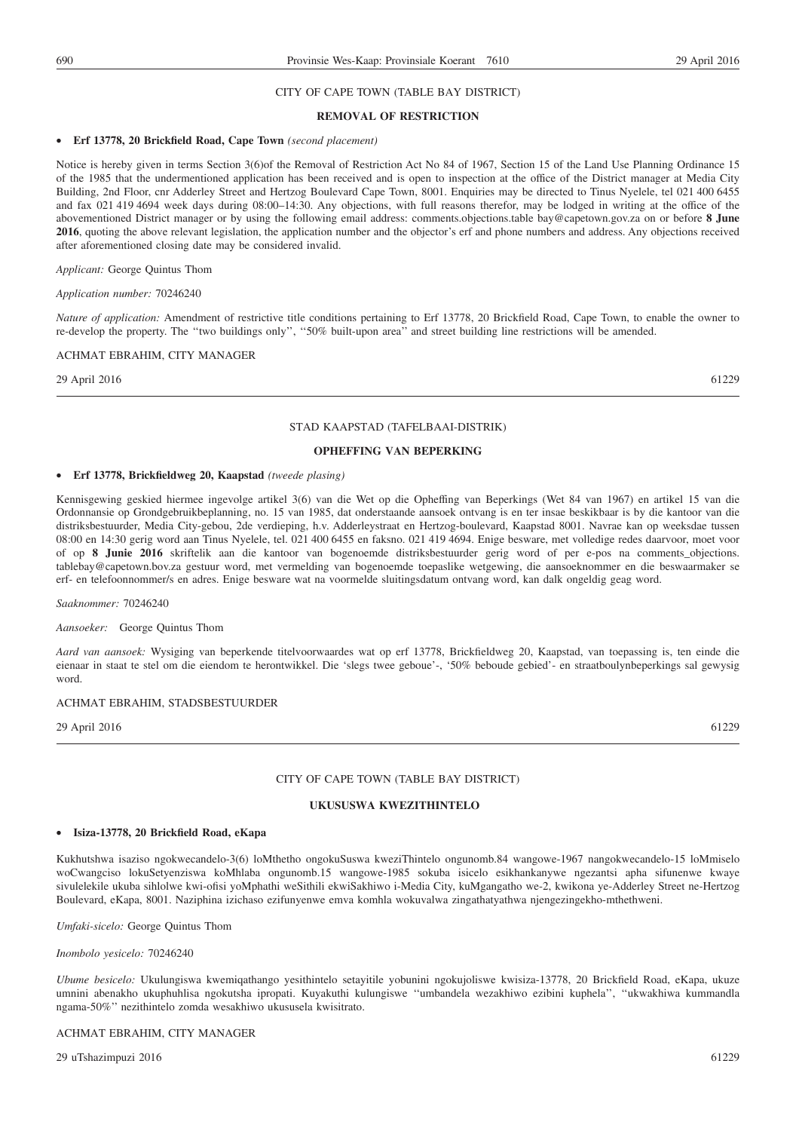#### **REMOVAL OF RESTRICTION**

#### • **Erf 13778, 20 Brickfield Road, Cape Town** *(second placement)*

Notice is hereby given in terms Section 3(6)of the Removal of Restriction Act No 84 of 1967, Section 15 of the Land Use Planning Ordinance 15 of the 1985 that the undermentioned application has been received and is open to inspection at the office of the District manager at Media City Building, 2nd Floor, cnr Adderley Street and Hertzog Boulevard Cape Town, 8001. Enquiries may be directed to Tinus Nyelele, tel 021 400 6455 and fax 021 419 4694 week days during 08:00–14:30. Any objections, with full reasons therefor, may be lodged in writing at the office of the abovementioned District manager or by using the following email address: comments.objections.table bay@capetown.gov.za on or before **8 June 2016**, quoting the above relevant legislation, the application number and the objector's erf and phone numbers and address. Any objections received after aforementioned closing date may be considered invalid.

*Applicant:* George Quintus Thom

#### *Application number:* 70246240

*Nature of application:* Amendment of restrictive title conditions pertaining to Erf 13778, 20 Brickfield Road, Cape Town, to enable the owner to re-develop the property. The ''two buildings only'', ''50% built-upon area'' and street building line restrictions will be amended.

#### ACHMAT EBRAHIM, CITY MANAGER

29 April 2016 61229

#### STAD KAAPSTAD (TAFELBAAI-DISTRIK)

#### **OPHEFFING VAN BEPERKING**

#### • **Erf 13778, Brickfieldweg 20, Kaapstad** *(tweede plasing)*

Kennisgewing geskied hiermee ingevolge artikel 3(6) van die Wet op die Opheffing van Beperkings (Wet 84 van 1967) en artikel 15 van die Ordonnansie op Grondgebruikbeplanning, no. 15 van 1985, dat onderstaande aansoek ontvang is en ter insae beskikbaar is by die kantoor van die distriksbestuurder, Media City-gebou, 2de verdieping, h.v. Adderleystraat en Hertzog-boulevard, Kaapstad 8001. Navrae kan op weeksdae tussen 08:00 en 14:30 gerig word aan Tinus Nyelele, tel. 021 400 6455 en faksno. 021 419 4694. Enige besware, met volledige redes daarvoor, moet voor of op **8 Junie 2016** skriftelik aan die kantoor van bogenoemde distriksbestuurder gerig word of per e-pos na comments\_objections. tablebay@capetown.bov.za gestuur word, met vermelding van bogenoemde toepaslike wetgewing, die aansoeknommer en die beswaarmaker se erf- en telefoonnommer/s en adres. Enige besware wat na voormelde sluitingsdatum ontvang word, kan dalk ongeldig geag word.

*Saaknommer:* 70246240

*Aansoeker:* George Quintus Thom

*Aard van aansoek:* Wysiging van beperkende titelvoorwaardes wat op erf 13778, Brickfieldweg 20, Kaapstad, van toepassing is, ten einde die eienaar in staat te stel om die eiendom te herontwikkel. Die 'slegs twee geboue'-, '50% beboude gebied'- en straatboulynbeperkings sal gewysig word.

#### ACHMAT EBRAHIM, STADSBESTUURDER

29 April 2016 61229

#### CITY OF CAPE TOWN (TABLE BAY DISTRICT)

#### **UKUSUSWA KWEZITHINTELO**

#### • **Isiza-13778, 20 Brickfield Road, eKapa**

Kukhutshwa isaziso ngokwecandelo-3(6) loMthetho ongokuSuswa kweziThintelo ongunomb.84 wangowe-1967 nangokwecandelo-15 loMmiselo woCwangciso lokuSetyenziswa koMhlaba ongunomb.15 wangowe-1985 sokuba isicelo esikhankanywe ngezantsi apha sifunenwe kwaye sivulelekile ukuba sihlolwe kwi-ofisi yoMphathi weSithili ekwiSakhiwo i-Media City, kuMgangatho we-2, kwikona ye-Adderley Street ne-Hertzog Boulevard, eKapa, 8001. Naziphina izichaso ezifunyenwe emva komhla wokuvalwa zingathatyathwa njengezingekho-mthethweni.

*Umfaki-sicelo:* George Quintus Thom

#### *Inombolo yesicelo:* 70246240

*Ubume besicelo:* Ukulungiswa kwemiqathango yesithintelo setayitile yobunini ngokujoliswe kwisiza-13778, 20 Brickfield Road, eKapa, ukuze umnini abenakho ukuphuhlisa ngokutsha ipropati. Kuyakuthi kulungiswe ''umbandela wezakhiwo ezibini kuphela'', ''ukwakhiwa kummandla ngama-50%'' nezithintelo zomda wesakhiwo ukususela kwisitrato.

#### ACHMAT EBRAHIM, CITY MANAGER

29 uTshazimpuzi 2016 61229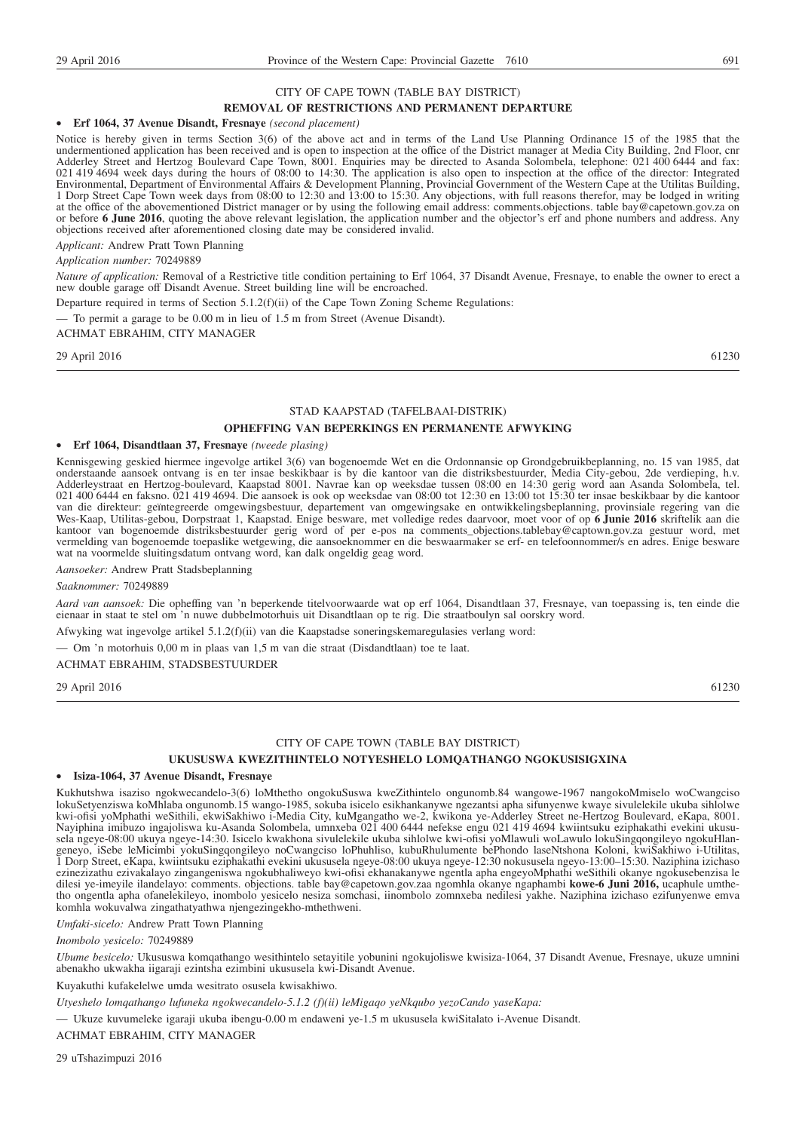#### **REMOVAL OF RESTRICTIONS AND PERMANENT DEPARTURE**

#### • **Erf 1064, 37 Avenue Disandt, Fresnaye** *(second placement)*

Notice is hereby given in terms Section 3(6) of the above act and in terms of the Land Use Planning Ordinance 15 of the 1985 that the undermentioned application has been received and is open to inspection at the office of the District manager at Media City Building, 2nd Floor, cnr Adderley Street and Hertzog Boulevard Cape Town, 8001. Enquiries may be directed to Asanda Solombela, telephone: 021 400 6444 and fax: 021 419 4694 week days during the hours of 08:00 to 14:30. The application is also open to inspection at the office of the director: Integrated Environmental, Department of Environmental Affairs & Development Planning, Provincial Government of the Western Cape at the Utilitas Building, 1 Dorp Street Cape Town week days from 08:00 to 12:30 and 13:00 to 15:30. Any objections, with full reasons therefor, may be lodged in writing at the office of the abovementioned District manager or by using the following email address: comments.objections. table bay@capetown.gov.za on or before **6 June 2016**, quoting the above relevant legislation, the application number and the objector's erf and phone numbers and address. Any objections received after aforementioned closing date may be considered invalid.

*Applicant:* Andrew Pratt Town Planning

#### *Application number:* 70249889

*Nature of application:* Removal of a Restrictive title condition pertaining to Erf 1064, 37 Disandt Avenue, Fresnaye, to enable the owner to erect a new double garage off Disandt Avenue. Street building line will be encroached.

Departure required in terms of Section 5.1.2(f)(ii) of the Cape Town Zoning Scheme Regulations:

— To permit a garage to be 0.00 m in lieu of 1.5 m from Street (Avenue Disandt).

#### ACHMAT EBRAHIM, CITY MANAGER

29 April 2016 61230

#### STAD KAAPSTAD (TAFELBAAI-DISTRIK)

#### **OPHEFFING VAN BEPERKINGS EN PERMANENTE AFWYKING**

#### • **Erf 1064, Disandtlaan 37, Fresnaye** *(tweede plasing)*

Kennisgewing geskied hiermee ingevolge artikel 3(6) van bogenoemde Wet en die Ordonnansie op Grondgebruikbeplanning, no. 15 van 1985, dat onderstaande aansoek ontvang is en ter insae beskikbaar is by die kantoor van die distriksbestuurder, Media City-gebou, 2de verdieping, h.v. Adderleystraat en Hertzog-boulevard, Kaapstad 8001. Navrae kan op weeksdae tussen 08:00 en 14:30 gerig word aan Asanda Solombela, tel. 021 400 6444 en faksno. 021 419 4694. Die aansoek is ook op weeksdae van 08:00 tot 12:30 en 13:00 tot 15:30 ter insae beskikbaar by die kantoor van die direkteur: geïntegreerde omgewingsbestuur, departement van omgewingsake en ontwikkelingsbeplanning, provinsiale regering van die Wes-Kaap, Utilitas-gebou, Dorpstraat 1, Kaapstad. Enige besware, met volledige redes daarvoor, moet voor of op **6 Junie 2016** skriftelik aan die kantoor van bogenoemde distriksbestuurder gerig word of per e-pos na comments\_objections.tablebay@captown.gov.za gestuur word, met vermelding van bogenoemde toepaslike wetgewing, die aansoeknommer en die beswaarmaker se erf- en telefoonnommer/s en adres. Enige besware wat na voormelde sluitingsdatum ontvang word, kan dalk ongeldig geag word.

*Aansoeker:* Andrew Pratt Stadsbeplanning

#### *Saaknommer:* 70249889

*Aard van aansoek:* Die opheffing van 'n beperkende titelvoorwaarde wat op erf 1064, Disandtlaan 37, Fresnaye, van toepassing is, ten einde die eienaar in staat te stel om 'n nuwe dubbelmotorhuis uit Disandtlaan op te rig. Die straatboulyn sal oorskry word.

Afwyking wat ingevolge artikel 5.1.2(f)(ii) van die Kaapstadse soneringskemaregulasies verlang word:

— Om 'n motorhuis 0,00 m in plaas van 1,5 m van die straat (Disdandtlaan) toe te laat.

#### ACHMAT EBRAHIM, STADSBESTUURDER

29 April 2016 61230

#### CITY OF CAPE TOWN (TABLE BAY DISTRICT)

#### **UKUSUSWA KWEZITHINTELO NOTYESHELO LOMQATHANGO NGOKUSISIGXINA**

#### • **Isiza-1064, 37 Avenue Disandt, Fresnaye**

Kukhutshwa isaziso ngokwecandelo-3(6) loMthetho ongokuSuswa kweZithintelo ongunomb.84 wangowe-1967 nangokoMmiselo woCwangciso lokuSetyenziswa koMhlaba ongunomb.15 wango-1985, sokuba isicelo esikhankanywe ngezantsi apha sifunyenwe kwaye sivulelekile ukuba sihlolwe kwi-ofisi yoMphathi weSithili, ekwiSakhiwo i-Media City, kuMgangatho we-2, kwikona ye-Adderley Street ne-Hertzog Boulevard, eKapa, 8001. Nayiphina imibuzo ingajoliswa ku-Asanda Solombela, umnxeba 021 400 6444 nefekse engu 021 419 4694 kwiintsuku eziphakathi evekini ukususela ngeye-08:00 ukuya ngeye-14:30. Isicelo kwakhona sivulelekile ukuba sihlolwe kwi-ofisi yoMlawuli woLawulo lokuSingqongileyo ngokuHlangeneyo, iSebe leMicimbi yokuSingqongileyo noCwangciso loPhuhliso, kubuRhulumente bePhondo laseNtshona Koloni, kwiSakhiwo i-Utilitas, 1 Dorp Street, eKapa, kwiintsuku eziphakathi evekini ukususela ngeye-08:00 ukuya ngeye-12:30 nokususela ngeyo-13:00–15:30. Naziphina izichaso ezinezizathu ezivakalayo zingangeniswa ngokubhaliweyo kwi-ofisi ekhanakanywe ngentla apha engeyoMphathi weSithili okanye ngokusebenzisa le dilesi ye-imeyile ilandelayo: comments. objections. table bay@capetown.gov.zaa ngomhla okanye ngaphambi **kowe-6 Juni 2016,** ucaphule umthetho ongentla apha ofanelekileyo, inombolo yesicelo nesiza somchasi, iinombolo zomnxeba nedilesi yakhe. Naziphina izichaso ezifunyenwe emva komhla wokuvalwa zingathatyathwa njengezingekho-mthethweni.

*Umfaki-sicelo:* Andrew Pratt Town Planning

*Inombolo yesicelo:* 70249889

*Ubume besicelo:* Ukususwa komqathango wesithintelo setayitile yobunini ngokujoliswe kwisiza-1064, 37 Disandt Avenue, Fresnaye, ukuze umnini abenakho ukwakha iigaraji ezintsha ezimbini ukususela kwi-Disandt Avenue.

Kuyakuthi kufakelelwe umda wesitrato osusela kwisakhiwo.

*Utyeshelo lomqathango lufuneka ngokwecandelo-5.1.2 (f)(ii) leMigaqo yeNkqubo yezoCando yaseKapa:*

— Ukuze kuvumeleke igaraji ukuba ibengu-0.00 m endaweni ye-1.5 m ukususela kwiSitalato i-Avenue Disandt.

ACHMAT EBRAHIM, CITY MANAGER

29 uTshazimpuzi 2016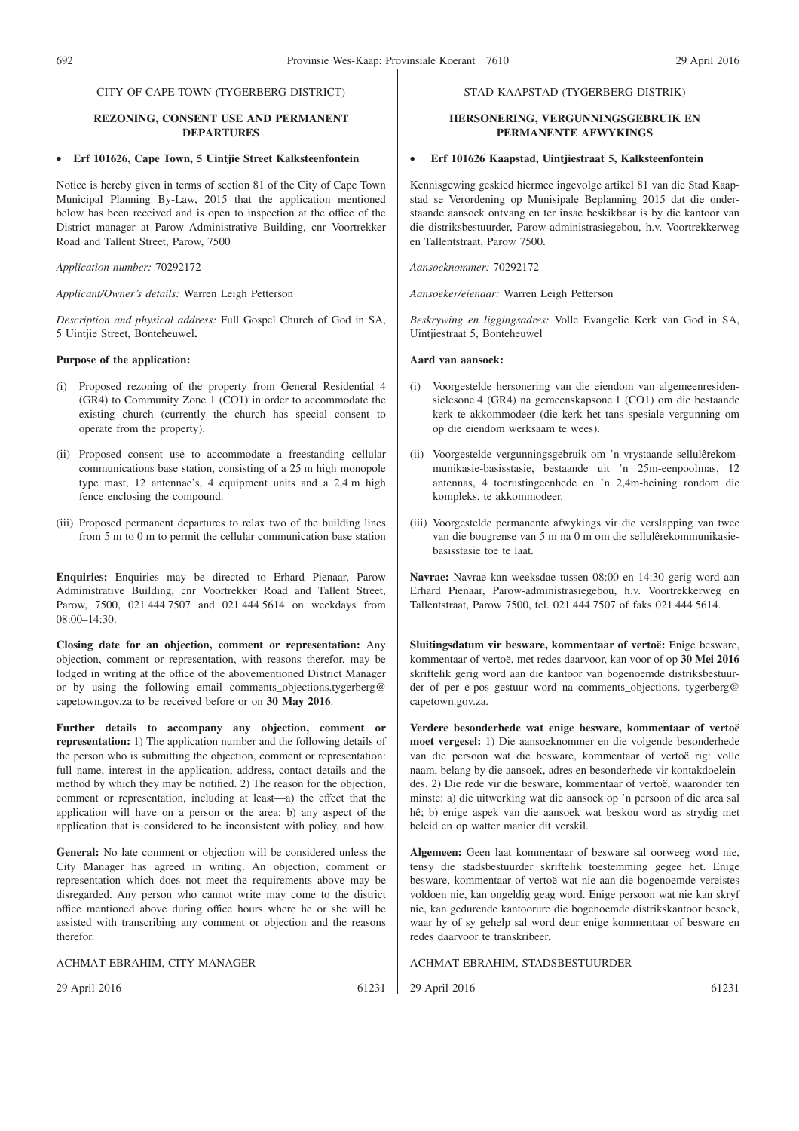#### CITY OF CAPE TOWN (TYGERBERG DISTRICT)

#### **REZONING, CONSENT USE AND PERMANENT DEPARTURES**

#### • **Erf 101626, Cape Town, 5 Uintjie Street Kalksteenfontein**

Notice is hereby given in terms of section 81 of the City of Cape Town Municipal Planning By-Law, 2015 that the application mentioned below has been received and is open to inspection at the office of the District manager at Parow Administrative Building, cnr Voortrekker Road and Tallent Street, Parow, 7500

*Application number:* 70292172

*Applicant/Owner's details:* Warren Leigh Petterson

*Description and physical address:* Full Gospel Church of God in SA, 5 Uintjie Street, Bonteheuwel**.**

#### **Purpose of the application:**

- (i) Proposed rezoning of the property from General Residential 4 (GR4) to Community Zone 1 (CO1) in order to accommodate the existing church (currently the church has special consent to operate from the property).
- (ii) Proposed consent use to accommodate a freestanding cellular communications base station, consisting of a 25 m high monopole type mast, 12 antennae's, 4 equipment units and a 2,4 m high fence enclosing the compound.
- (iii) Proposed permanent departures to relax two of the building lines from 5 m to 0 m to permit the cellular communication base station

**Enquiries:** Enquiries may be directed to Erhard Pienaar, Parow Administrative Building, cnr Voortrekker Road and Tallent Street, Parow, 7500, 021 444 7507 and 021 444 5614 on weekdays from 08:00–14:30.

**Closing date for an objection, comment or representation:** Any objection, comment or representation, with reasons therefor, may be lodged in writing at the office of the abovementioned District Manager or by using the following email comments\_objections.tygerberg@ capetown.gov.za to be received before or on **30 May 2016**.

**Further details to accompany any objection, comment or representation:** 1) The application number and the following details of the person who is submitting the objection, comment or representation: full name, interest in the application, address, contact details and the method by which they may be notified. 2) The reason for the objection, comment or representation, including at least—a) the effect that the application will have on a person or the area; b) any aspect of the application that is considered to be inconsistent with policy, and how.

**General:** No late comment or objection will be considered unless the City Manager has agreed in writing. An objection, comment or representation which does not meet the requirements above may be disregarded. Any person who cannot write may come to the district office mentioned above during office hours where he or she will be assisted with transcribing any comment or objection and the reasons therefor.

ACHMAT EBRAHIM, CITY MANAGER

29 April 2016 61231

#### STAD KAAPSTAD (TYGERBERG-DISTRIK)

#### **HERSONERING, VERGUNNINGSGEBRUIK EN PERMANENTE AFWYKINGS**

#### • **Erf 101626 Kaapstad, Uintjiestraat 5, Kalksteenfontein**

Kennisgewing geskied hiermee ingevolge artikel 81 van die Stad Kaapstad se Verordening op Munisipale Beplanning 2015 dat die onderstaande aansoek ontvang en ter insae beskikbaar is by die kantoor van die distriksbestuurder, Parow-administrasiegebou, h.v. Voortrekkerweg en Tallentstraat, Parow 7500.

*Aansoeknommer:* 70292172

*Aansoeker/eienaar:* Warren Leigh Petterson

*Beskrywing en liggingsadres:* Volle Evangelie Kerk van God in SA, Uintjiestraat 5, Bonteheuwel

#### **Aard van aansoek:**

- (i) Voorgestelde hersonering van die eiendom van algemeenresidensiëlesone 4 (GR4) na gemeenskapsone 1 (CO1) om die bestaande kerk te akkommodeer (die kerk het tans spesiale vergunning om op die eiendom werksaam te wees).
- (ii) Voorgestelde vergunningsgebruik om 'n vrystaande sellulêrekommunikasie-basisstasie, bestaande uit 'n 25m-eenpoolmas, 12 antennas, 4 toerustingeenhede en 'n 2,4m-heining rondom die kompleks, te akkommodeer.
- (iii) Voorgestelde permanente afwykings vir die verslapping van twee van die bougrense van 5 m na 0 m om die sellulêrekommunikasiebasisstasie toe te laat.

**Navrae:** Navrae kan weeksdae tussen 08:00 en 14:30 gerig word aan Erhard Pienaar, Parow-administrasiegebou, h.v. Voortrekkerweg en Tallentstraat, Parow 7500, tel. 021 444 7507 of faks 021 444 5614.

**Sluitingsdatum vir besware, kommentaar of vertoë:** Enige besware, kommentaar of vertoë, met redes daarvoor, kan voor of op **30 Mei 2016** skriftelik gerig word aan die kantoor van bogenoemde distriksbestuurder of per e-pos gestuur word na comments\_objections. tygerberg@ capetown.gov.za.

**Verdere besonderhede wat enige besware, kommentaar of vertoë moet vergesel:** 1) Die aansoeknommer en die volgende besonderhede van die persoon wat die besware, kommentaar of vertoë rig: volle naam, belang by die aansoek, adres en besonderhede vir kontakdoeleindes. 2) Die rede vir die besware, kommentaar of vertoë, waaronder ten minste: a) die uitwerking wat die aansoek op 'n persoon of die area sal hê; b) enige aspek van die aansoek wat beskou word as strydig met beleid en op watter manier dit verskil.

**Algemeen:** Geen laat kommentaar of besware sal oorweeg word nie, tensy die stadsbestuurder skriftelik toestemming gegee het. Enige besware, kommentaar of vertoë wat nie aan die bogenoemde vereistes voldoen nie, kan ongeldig geag word. Enige persoon wat nie kan skryf nie, kan gedurende kantoorure die bogenoemde distrikskantoor besoek, waar hy of sy gehelp sal word deur enige kommentaar of besware en redes daarvoor te transkribeer.

ACHMAT EBRAHIM, STADSBESTUURDER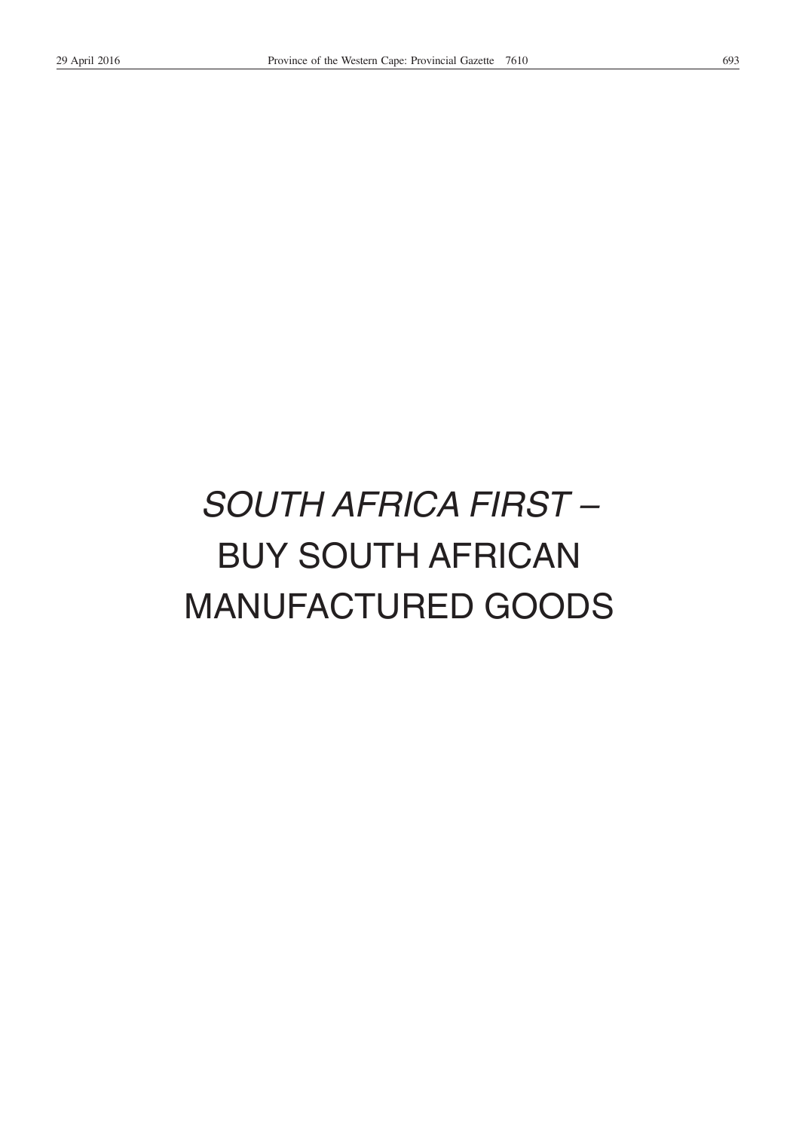# *SOUTH AFRICA FIRST –* BUY SOUTH AFRICAN MANUFACTURED GOODS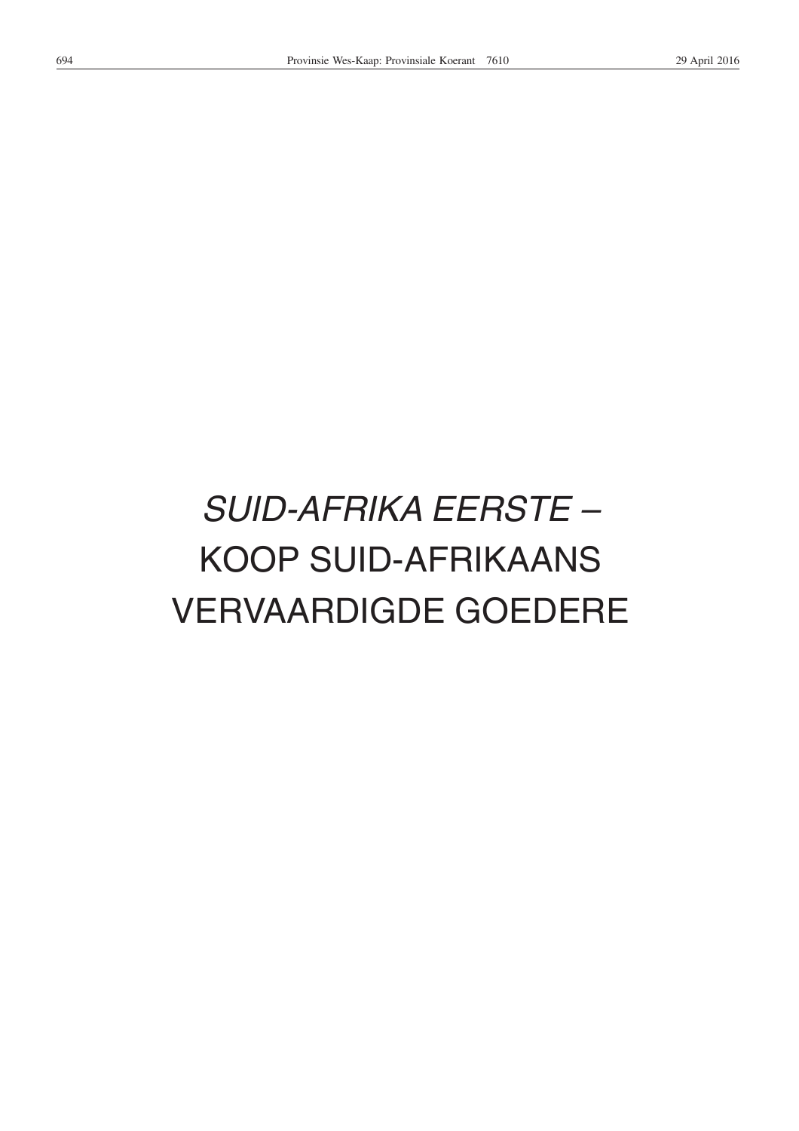# *SUID-AFRIKA EERSTE –* KOOP SUID-AFRIKAANS VERVAARDIGDE GOEDERE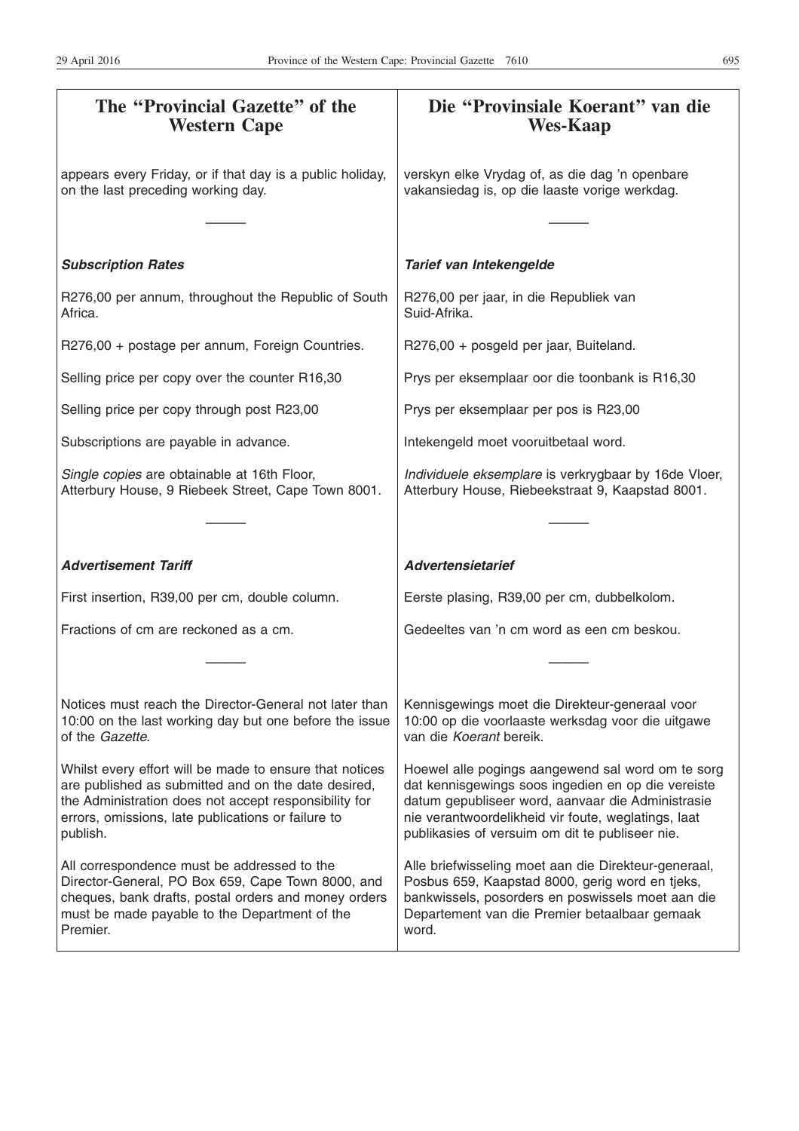| The "Provincial Gazette" of the<br><b>Western Cape</b>                                                                                                                                                                                    | Die "Provinsiale Koerant" van die<br><b>Wes-Kaap</b>                                                                                                                                                                                                                   |
|-------------------------------------------------------------------------------------------------------------------------------------------------------------------------------------------------------------------------------------------|------------------------------------------------------------------------------------------------------------------------------------------------------------------------------------------------------------------------------------------------------------------------|
| appears every Friday, or if that day is a public holiday,<br>on the last preceding working day.                                                                                                                                           | verskyn elke Vrydag of, as die dag 'n openbare<br>vakansiedag is, op die laaste vorige werkdag.                                                                                                                                                                        |
|                                                                                                                                                                                                                                           |                                                                                                                                                                                                                                                                        |
| <b>Subscription Rates</b>                                                                                                                                                                                                                 | Tarief van Intekengelde                                                                                                                                                                                                                                                |
| R276,00 per annum, throughout the Republic of South<br>Africa.                                                                                                                                                                            | R276,00 per jaar, in die Republiek van<br>Suid-Afrika.                                                                                                                                                                                                                 |
| R276,00 + postage per annum, Foreign Countries.                                                                                                                                                                                           | R276,00 + posgeld per jaar, Buiteland.                                                                                                                                                                                                                                 |
| Selling price per copy over the counter R16,30                                                                                                                                                                                            | Prys per eksemplaar oor die toonbank is R16,30                                                                                                                                                                                                                         |
| Selling price per copy through post R23,00                                                                                                                                                                                                | Prys per eksemplaar per pos is R23,00                                                                                                                                                                                                                                  |
| Subscriptions are payable in advance.                                                                                                                                                                                                     | Intekengeld moet vooruitbetaal word.                                                                                                                                                                                                                                   |
| Single copies are obtainable at 16th Floor,<br>Atterbury House, 9 Riebeek Street, Cape Town 8001.                                                                                                                                         | Individuele eksemplare is verkrygbaar by 16de Vloer,<br>Atterbury House, Riebeekstraat 9, Kaapstad 8001.                                                                                                                                                               |
|                                                                                                                                                                                                                                           |                                                                                                                                                                                                                                                                        |
| <b>Advertisement Tariff</b>                                                                                                                                                                                                               | <b>Advertensietarief</b>                                                                                                                                                                                                                                               |
| First insertion, R39,00 per cm, double column.                                                                                                                                                                                            | Eerste plasing, R39,00 per cm, dubbelkolom.                                                                                                                                                                                                                            |
| Fractions of cm are reckoned as a cm.                                                                                                                                                                                                     | Gedeeltes van 'n cm word as een cm beskou.                                                                                                                                                                                                                             |
|                                                                                                                                                                                                                                           |                                                                                                                                                                                                                                                                        |
| Notices must reach the Director-General not later than<br>10:00 on the last working day but one before the issue<br>of the Gazette.                                                                                                       | Kennisgewings moet die Direkteur-generaal voor<br>10:00 op die voorlaaste werksdag voor die uitgawe<br>van die Koerant bereik.                                                                                                                                         |
| Whilst every effort will be made to ensure that notices<br>are published as submitted and on the date desired,<br>the Administration does not accept responsibility for<br>errors, omissions, late publications or failure to<br>publish. | Hoewel alle pogings aangewend sal word om te sorg<br>dat kennisgewings soos ingedien en op die vereiste<br>datum gepubliseer word, aanvaar die Administrasie<br>nie verantwoordelikheid vir foute, weglatings, laat<br>publikasies of versuim om dit te publiseer nie. |
| All correspondence must be addressed to the<br>Director-General, PO Box 659, Cape Town 8000, and<br>cheques, bank drafts, postal orders and money orders<br>must be made payable to the Department of the<br>Premier.                     | Alle briefwisseling moet aan die Direkteur-generaal,<br>Posbus 659, Kaapstad 8000, gerig word en tjeks,<br>bankwissels, posorders en poswissels moet aan die<br>Departement van die Premier betaalbaar gemaak<br>word.                                                 |